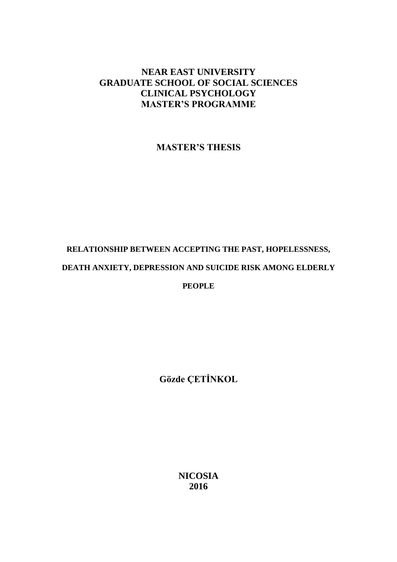### **NEAR EAST UNIVERSITY GRADUATE SCHOOL OF SOCIAL SCIENCES CLINICAL PSYCHOLOGY MASTER'S PROGRAMME**

**MASTER'S THESIS**

# **RELATIONSHIP BETWEEN ACCEPTING THE PAST, HOPELESSNESS, DEATH ANXIETY, DEPRESSION AND SUICIDE RISK AMONG ELDERLY**

**PEOPLE**

**Gözde ÇETİNKOL**

**NICOSIA 2016**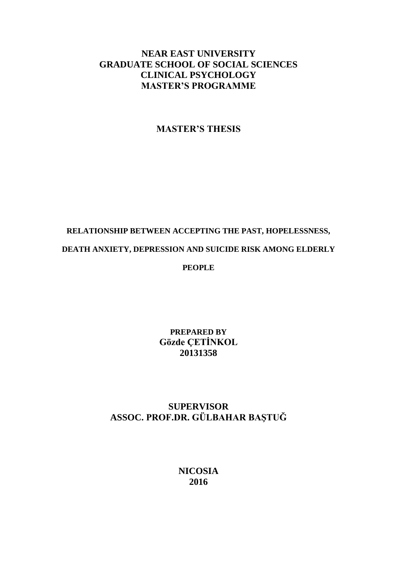### **NEAR EAST UNIVERSITY GRADUATE SCHOOL OF SOCIAL SCIENCES CLINICAL PSYCHOLOGY MASTER'S PROGRAMME**

### **MASTER'S THESIS**

# **RELATIONSHIP BETWEEN ACCEPTING THE PAST, HOPELESSNESS, DEATH ANXIETY, DEPRESSION AND SUICIDE RISK AMONG ELDERLY PEOPLE**

**PREPARED BY Gözde ÇETİNKOL 20131358**

### **SUPERVISOR ASSOC. PROF.DR. GÜLBAHAR BAŞTUĞ**

**NICOSIA 2016**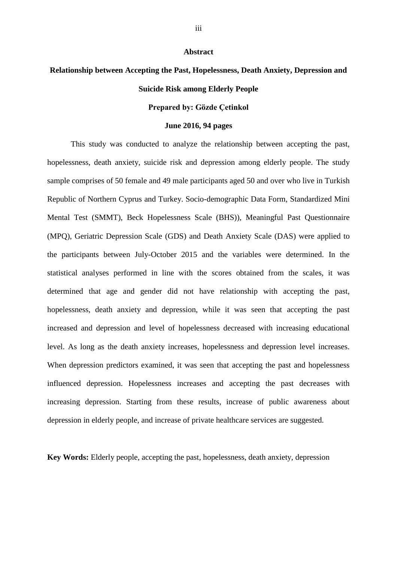#### **Abstract**

## **Relationship between Accepting the Past, Hopelessness, Death Anxiety, Depression and Suicide Risk among Elderly People**

### **Prepared by: Gözde Çetinkol**

### **June 2016, 94 pages**

This study was conducted to analyze the relationship between accepting the past, hopelessness, death anxiety, suicide risk and depression among elderly people. The study sample comprises of 50 female and 49 male participants aged 50 and over who live in Turkish Republic of Northern Cyprus and Turkey. Socio-demographic Data Form, Standardized Mini Mental Test (SMMT), Beck Hopelessness Scale (BHS)), Meaningful Past Questionnaire (MPQ), Geriatric Depression Scale (GDS) and Death Anxiety Scale (DAS) were applied to the participants between July-October 2015 and the variables were determined. In the statistical analyses performed in line with the scores obtained from the scales, it was determined that age and gender did not have relationship with accepting the past, hopelessness, death anxiety and depression, while it was seen that accepting the past increased and depression and level of hopelessness decreased with increasing educational level. As long as the death anxiety increases, hopelessness and depression level increases. When depression predictors examined, it was seen that accepting the past and hopelessness influenced depression. Hopelessness increases and accepting the past decreases with increasing depression. Starting from these results, increase of public awareness about depression in elderly people, and increase of private healthcare services are suggested.

**Key Words:** Elderly people, accepting the past, hopelessness, death anxiety, depression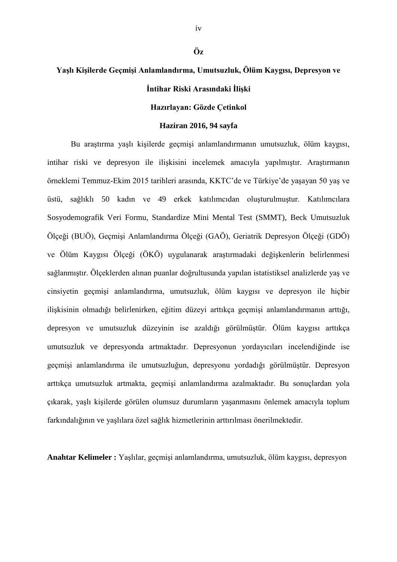## **Yaşlı Kişilerde Geçmişi Anlamlandırma, Umutsuzluk, Ölüm Kaygısı, Depresyon ve İntihar Riski Arasındaki İlişki**

### **Hazırlayan: Gözde Çetinkol**

#### **Haziran 2016, 94 sayfa**

Bu araştırma yaşlı kişilerde geçmişi anlamlandırmanın umutsuzluk, ölüm kaygısı, intihar riski ve depresyon ile ilişkisini incelemek amacıyla yapılmıştır. Araştırmanın örneklemi Temmuz-Ekim 2015 tarihleri arasında, KKTC'de ve Türkiye'de yaşayan 50 yaş ve üstü, sağlıklı 50 kadın ve 49 erkek katılımcıdan oluşturulmuştur. Katılımcılara Sosyodemografik Veri Formu, Standardize Mini Mental Test (SMMT), Beck Umutsuzluk Ölçeği (BUÖ), Geçmişi Anlamlandırma Ölçeği (GAÖ), Geriatrik Depresyon Ölçeği (GDÖ) ve Ölüm Kaygısı Ölçeği (ÖKÖ) uygulanarak araştırmadaki değişkenlerin belirlenmesi sağlanmıştır. Ölçeklerden alınan puanlar doğrultusunda yapılan istatistiksel analizlerde yaş ve cinsiyetin geçmişi anlamlandırma, umutsuzluk, ölüm kaygısı ve depresyon ile hiçbir ilişkisinin olmadığı belirlenirken, eğitim düzeyi arttıkça geçmişi anlamlandırmanın arttığı, depresyon ve umutsuzluk düzeyinin ise azaldığı görülmüştür. Ölüm kaygısı arttıkça umutsuzluk ve depresyonda artmaktadır. Depresyonun yordayıcıları incelendiğinde ise geçmişi anlamlandırma ile umutsuzluğun, depresyonu yordadığı görülmüştür. Depresyon arttıkça umutsuzluk artmakta, geçmişi anlamlandırma azalmaktadır. Bu sonuçlardan yola çıkarak, yaşlı kişilerde görülen olumsuz durumların yaşanmasını önlemek amacıyla toplum farkındalığının ve yaşlılara özel sağlık hizmetlerinin arttırılması önerilmektedir.

**Anahtar Kelimeler :** Yaşlılar, geçmişi anlamlandırma, umutsuzluk, ölüm kaygısı, depresyon

iv

**Öz**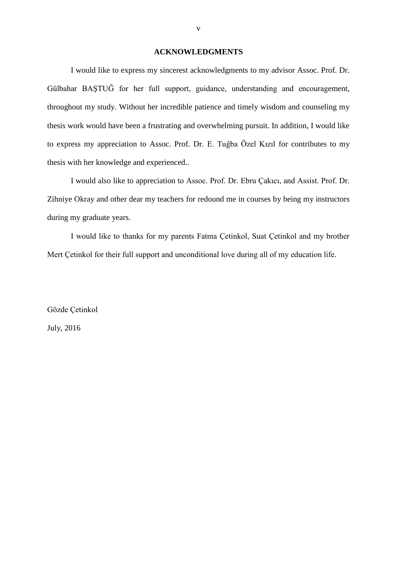### **ACKNOWLEDGMENTS**

I would like to express my sincerest acknowledgments to my advisor Assoc. Prof. Dr. Gülbahar BAŞTUĞ for her full support, guidance, understanding and encouragement, throughout my study. Without her incredible patience and timely wisdom and counseling my thesis work would have been a frustrating and overwhelming pursuit. In addition, I would like to express my appreciation to Assoc. Prof. Dr. E. Tuğba Özel Kızıl for contributes to my thesis with her knowledge and experienced..

I would also like to appreciation to Assoc. Prof. Dr. Ebru Çakıcı, and Assist. Prof. Dr. Zihniye Okray and other dear my teachers for redound me in courses by being my instructors during my graduate years.

I would like to thanks for my parents Fatma Çetinkol, Suat Çetinkol and my brother Mert Çetinkol for their full support and unconditional love during all of my education life.

Gözde Çetinkol July, 2016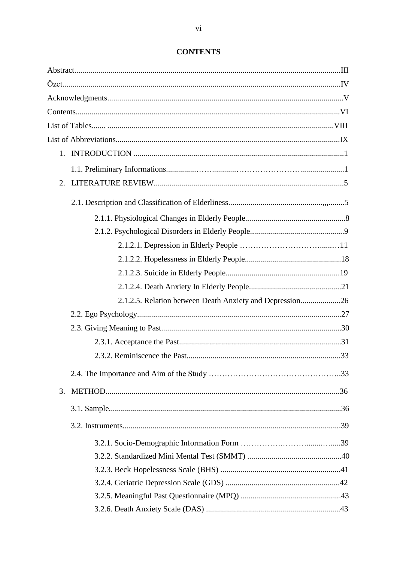| 2.1.2.5. Relation between Death Anxiety and Depression26 |  |  |  |
|----------------------------------------------------------|--|--|--|
|                                                          |  |  |  |
|                                                          |  |  |  |
|                                                          |  |  |  |
|                                                          |  |  |  |
|                                                          |  |  |  |
| 3.                                                       |  |  |  |
|                                                          |  |  |  |
|                                                          |  |  |  |
|                                                          |  |  |  |
|                                                          |  |  |  |
|                                                          |  |  |  |
|                                                          |  |  |  |
|                                                          |  |  |  |
|                                                          |  |  |  |

### **CONTENTS**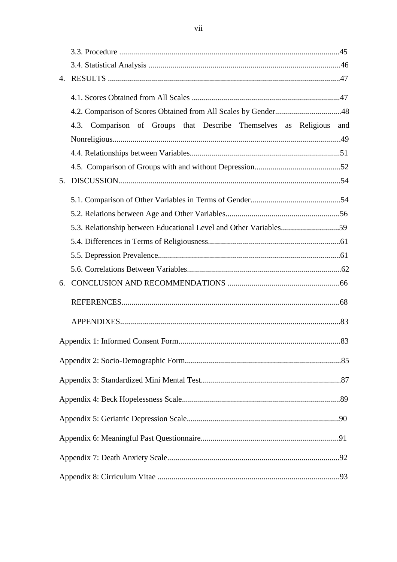|    | 4.3. Comparison of Groups that Describe Themselves as Religious   | and |
|----|-------------------------------------------------------------------|-----|
|    |                                                                   |     |
|    |                                                                   |     |
| 5. |                                                                   |     |
|    |                                                                   |     |
|    |                                                                   |     |
|    |                                                                   |     |
|    | 5.3. Relationship between Educational Level and Other Variables59 |     |
|    |                                                                   |     |
|    |                                                                   |     |
|    |                                                                   |     |
| 6. |                                                                   |     |
|    |                                                                   |     |
|    |                                                                   |     |
|    |                                                                   | 83  |
|    |                                                                   |     |
|    |                                                                   |     |
|    |                                                                   |     |
|    |                                                                   |     |
|    |                                                                   |     |
|    |                                                                   |     |
|    |                                                                   |     |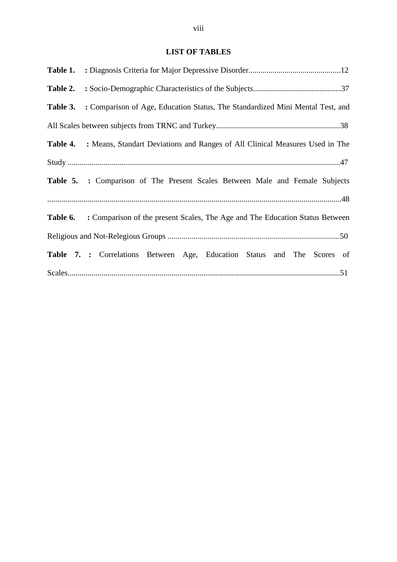### **LIST OF TABLES**

|          | Table 3. : Comparison of Age, Education Status, The Standardized Mini Mental Test, and       |  |  |
|----------|----------------------------------------------------------------------------------------------|--|--|
|          |                                                                                              |  |  |
| Table 4. | : Means, Standart Deviations and Ranges of All Clinical Measures Used in The                 |  |  |
|          |                                                                                              |  |  |
|          | Table 5. : Comparison of The Present Scales Between Male and Female Subjects                 |  |  |
|          |                                                                                              |  |  |
|          | <b>Table 6.</b> : Comparison of the present Scales, The Age and The Education Status Between |  |  |
|          |                                                                                              |  |  |
|          | Table 7. : Correlations Between Age, Education Status and The Scores of                      |  |  |
|          |                                                                                              |  |  |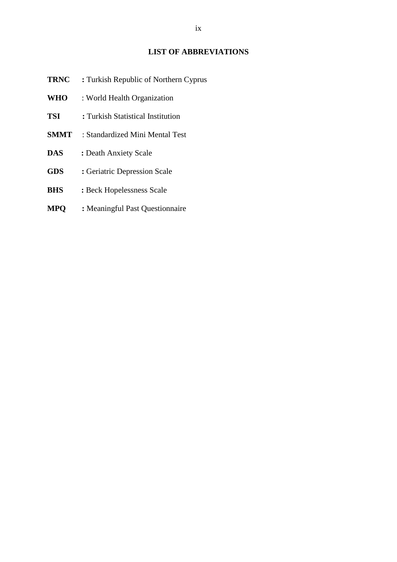### **LIST OF ABBREVIATIONS**

| TRNC        | : Turkish Republic of Northern Cyprus |
|-------------|---------------------------------------|
| <b>WHO</b>  | : World Health Organization           |
| <b>TSI</b>  | : Turkish Statistical Institution     |
| <b>SMMT</b> | : Standardized Mini Mental Test       |
| DAS         | : Death Anxiety Scale                 |
| <b>GDS</b>  | : Geriatric Depression Scale          |
| <b>BHS</b>  | : Beck Hopelessness Scale             |
|             |                                       |

**MPQ :** Meaningful Past Questionnaire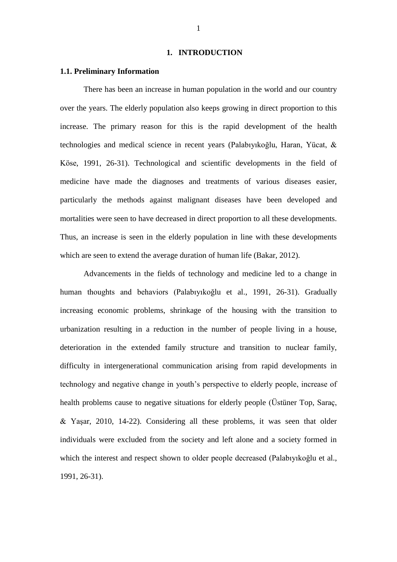#### **1. INTRODUCTION**

### **1.1. Preliminary Information**

There has been an increase in human population in the world and our country over the years. The elderly population also keeps growing in direct proportion to this increase. The primary reason for this is the rapid development of the health technologies and medical science in recent years (Palabıyıkoğlu, Haran, Yücat, & Köse, 1991, 26-31). Technological and scientific developments in the field of medicine have made the diagnoses and treatments of various diseases easier, particularly the methods against malignant diseases have been developed and mortalities were seen to have decreased in direct proportion to all these developments. Thus, an increase is seen in the elderly population in line with these developments which are seen to extend the average duration of human life (Bakar, 2012).

Advancements in the fields of technology and medicine led to a change in human thoughts and behaviors (Palabıyıkoğlu et al., 1991, 26-31). Gradually increasing economic problems, shrinkage of the housing with the transition to urbanization resulting in a reduction in the number of people living in a house, deterioration in the extended family structure and transition to nuclear family, difficulty in intergenerational communication arising from rapid developments in technology and negative change in youth's perspective to elderly people, increase of health problems cause to negative situations for elderly people (Üstüner Top, Saraç, & Yaşar, 2010, 14-22). Considering all these problems, it was seen that older individuals were excluded from the society and left alone and a society formed in which the interest and respect shown to older people decreased (Palabıyıkoğlu et al., 1991, 26-31).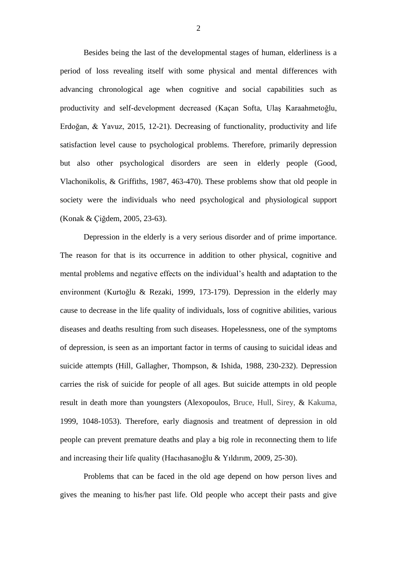Besides being the last of the developmental stages of human, elderliness is a period of loss revealing itself with some physical and mental differences with advancing chronological age when cognitive and social capabilities such as productivity and self-development decreased (Kaçan Softa, Ulaş Karaahmetoğlu, Erdoğan, & Yavuz, 2015, 12-21). Decreasing of functionality, productivity and life satisfaction level cause to psychological problems. Therefore, primarily depression but also other psychological disorders are seen in elderly people (Good, Vlachonikolis, & Griffiths, 1987, 463-470). These problems show that old people in society were the individuals who need psychological and physiological support (Konak & Çiğdem, 2005, 23-63).

Depression in the elderly is a very serious disorder and of prime importance. The reason for that is its occurrence in addition to other physical, cognitive and mental problems and negative effects on the individual's health and adaptation to the environment (Kurtoğlu & Rezaki, 1999, 173-179). Depression in the elderly may cause to decrease in the life quality of individuals, loss of cognitive abilities, various diseases and deaths resulting from such diseases. Hopelessness, one of the symptoms of depression, is seen as an important factor in terms of causing to suicidal ideas and suicide attempts (Hill, Gallagher, Thompson, & Ishida, 1988, 230-232). Depression carries the risk of suicide for people of all ages. But suicide attempts in old people result in death more than youngsters (Alexopoulos, Bruce, Hull, Sirey, & Kakuma, 1999, 1048-1053). Therefore, early diagnosis and treatment of depression in old people can prevent premature deaths and play a big role in reconnecting them to life and increasing their life quality (Hacıhasanoğlu & Yıldırım, 2009, 25-30).

Problems that can be faced in the old age depend on how person lives and gives the meaning to his/her past life. Old people who accept their pasts and give

2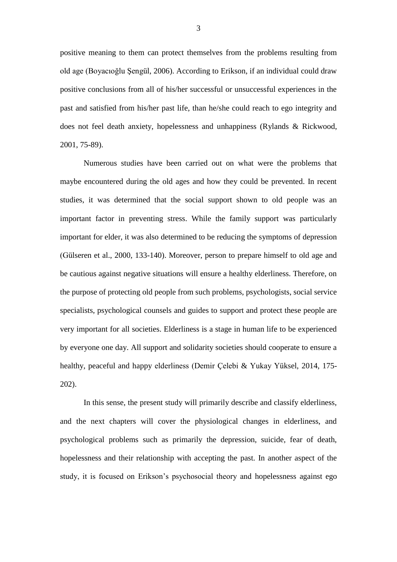positive meaning to them can protect themselves from the problems resulting from old age (Boyacıoğlu Şengül, 2006). According to Erikson, if an individual could draw positive conclusions from all of his/her successful or unsuccessful experiences in the past and satisfied from his/her past life, than he/she could reach to ego integrity and does not feel death anxiety, hopelessness and unhappiness (Rylands & Rickwood, 2001, 75-89).

Numerous studies have been carried out on what were the problems that maybe encountered during the old ages and how they could be prevented. In recent studies, it was determined that the social support shown to old people was an important factor in preventing stress. While the family support was particularly important for elder, it was also determined to be reducing the symptoms of depression (Gülseren et al., 2000, 133-140). Moreover, person to prepare himself to old age and be cautious against negative situations will ensure a healthy elderliness. Therefore, on the purpose of protecting old people from such problems, psychologists, social service specialists, psychological counsels and guides to support and protect these people are very important for all societies. Elderliness is a stage in human life to be experienced by everyone one day. All support and solidarity societies should cooperate to ensure a healthy, peaceful and happy elderliness (Demir Çelebi & Yukay Yüksel, 2014, 175- 202).

In this sense, the present study will primarily describe and classify elderliness, and the next chapters will cover the physiological changes in elderliness, and psychological problems such as primarily the depression, suicide, fear of death, hopelessness and their relationship with accepting the past. In another aspect of the study, it is focused on Erikson's psychosocial theory and hopelessness against ego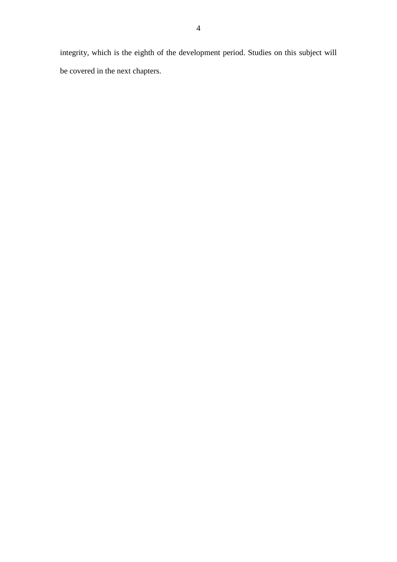integrity, which is the eighth of the development period. Studies on this subject will be covered in the next chapters.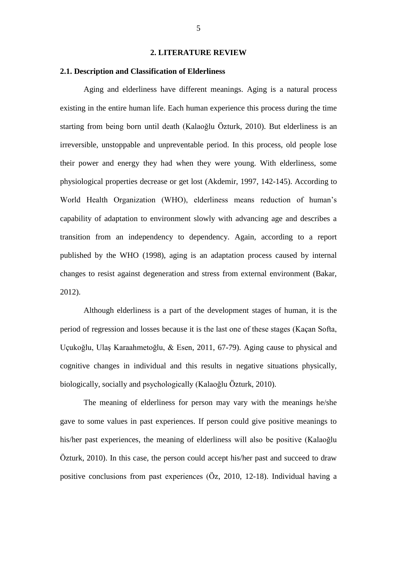#### **2. LITERATURE REVIEW**

### **2.1. Description and Classification of Elderliness**

Aging and elderliness have different meanings. Aging is a natural process existing in the entire human life. Each human experience this process during the time starting from being born until death (Kalaoğlu Özturk, 2010). But elderliness is an irreversible, unstoppable and unpreventable period. In this process, old people lose their power and energy they had when they were young. With elderliness, some physiological properties decrease or get lost (Akdemir, 1997, 142-145). According to World Health Organization (WHO), elderliness means reduction of human's capability of adaptation to environment slowly with advancing age and describes a transition from an independency to dependency. Again, according to a report published by the WHO (1998), aging is an adaptation process caused by internal changes to resist against degeneration and stress from external environment (Bakar, 2012).

Although elderliness is a part of the development stages of human, it is the period of regression and losses because it is the last one of these stages (Kaçan Softa, Uçukoğlu, Ulaş Karaahmetoğlu, & Esen, 2011, 67-79). Aging cause to physical and cognitive changes in individual and this results in negative situations physically, biologically, socially and psychologically (Kalaoğlu Özturk, 2010).

The meaning of elderliness for person may vary with the meanings he/she gave to some values in past experiences. If person could give positive meanings to his/her past experiences, the meaning of elderliness will also be positive (Kalaoğlu Özturk, 2010). In this case, the person could accept his/her past and succeed to draw positive conclusions from past experiences (Öz, 2010, 12-18). Individual having a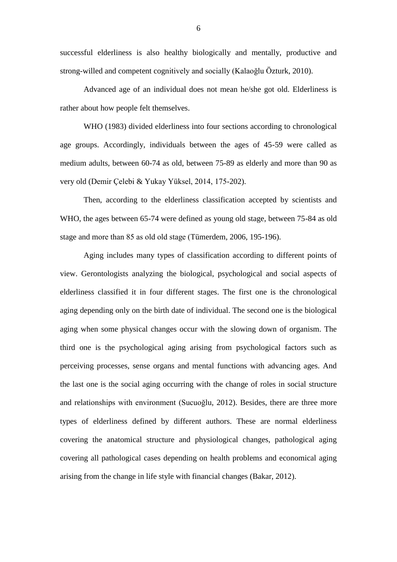successful elderliness is also healthy biologically and mentally, productive and strong-willed and competent cognitively and socially (Kalaoğlu Özturk, 2010).

Advanced age of an individual does not mean he/she got old. Elderliness is rather about how people felt themselves.

WHO (1983) divided elderliness into four sections according to chronological age groups. Accordingly, individuals between the ages of 45-59 were called as medium adults, between 60-74 as old, between 75-89 as elderly and more than 90 as very old (Demir Çelebi & Yukay Yüksel, 2014, 175-202).

Then, according to the elderliness classification accepted by scientists and WHO, the ages between 65-74 were defined as young old stage, between 75-84 as old stage and more than 85 as old old stage (Tümerdem, 2006, 195-196).

Aging includes many types of classification according to different points of view. Gerontologists analyzing the biological, psychological and social aspects of elderliness classified it in four different stages. The first one is the chronological aging depending only on the birth date of individual. The second one is the biological aging when some physical changes occur with the slowing down of organism. The third one is the psychological aging arising from psychological factors such as perceiving processes, sense organs and mental functions with advancing ages. And the last one is the social aging occurring with the change of roles in social structure and relationships with environment (Sucuoğlu, 2012). Besides, there are three more types of elderliness defined by different authors. These are normal elderliness covering the anatomical structure and physiological changes, pathological aging covering all pathological cases depending on health problems and economical aging arising from the change in life style with financial changes (Bakar, 2012).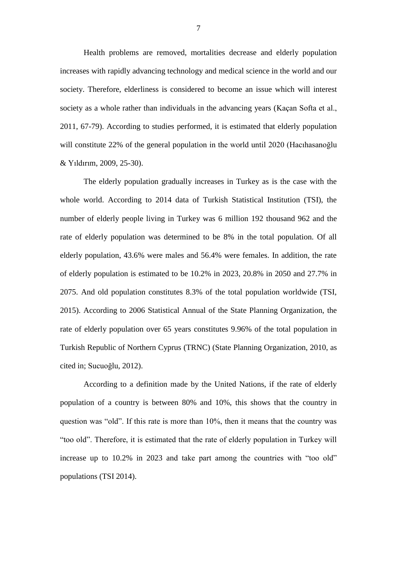Health problems are removed, mortalities decrease and elderly population increases with rapidly advancing technology and medical science in the world and our society. Therefore, elderliness is considered to become an issue which will interest society as a whole rather than individuals in the advancing years (Kaçan Softa et al., 2011, 67-79). According to studies performed, it is estimated that elderly population will constitute 22% of the general population in the world until 2020 (Hacıhasanoğlu & Yıldırım, 2009, 25-30).

The elderly population gradually increases in Turkey as is the case with the whole world. According to 2014 data of Turkish Statistical Institution (TSI), the number of elderly people living in Turkey was 6 million 192 thousand 962 and the rate of elderly population was determined to be 8% in the total population. Of all elderly population, 43.6% were males and 56.4% were females. In addition, the rate of elderly population is estimated to be 10.2% in 2023, 20.8% in 2050 and 27.7% in 2075. And old population constitutes 8.3% of the total population worldwide (TSI, 2015). According to 2006 Statistical Annual of the State Planning Organization, the rate of elderly population over 65 years constitutes 9.96% of the total population in Turkish Republic of Northern Cyprus (TRNC) (State Planning Organization, 2010, as cited in; Sucuoğlu, 2012).

According to a definition made by the United Nations, if the rate of elderly population of a country is between 80% and 10%, this shows that the country in question was "old". If this rate is more than 10%, then it means that the country was "too old". Therefore, it is estimated that the rate of elderly population in Turkey will increase up to 10.2% in 2023 and take part among the countries with "too old" populations (TSI 2014).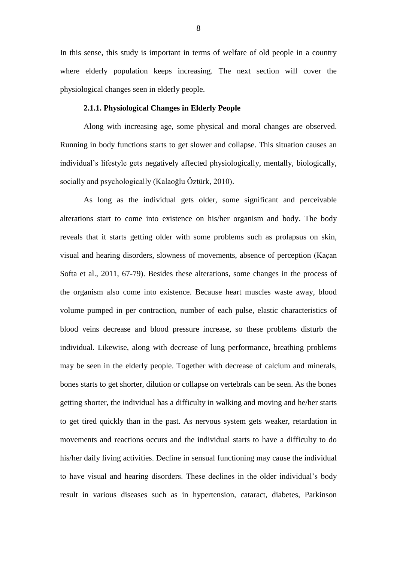In this sense, this study is important in terms of welfare of old people in a country where elderly population keeps increasing. The next section will cover the physiological changes seen in elderly people.

### **2.1.1. Physiological Changes in Elderly People**

Along with increasing age, some physical and moral changes are observed. Running in body functions starts to get slower and collapse. This situation causes an individual's lifestyle gets negatively affected physiologically, mentally, biologically, socially and psychologically (Kalaoğlu Öztürk, 2010).

As long as the individual gets older, some significant and perceivable alterations start to come into existence on his/her organism and body. The body reveals that it starts getting older with some problems such as prolapsus on skin, visual and hearing disorders, slowness of movements, absence of perception (Kaçan Softa et al., 2011, 67-79). Besides these alterations, some changes in the process of the organism also come into existence. Because heart muscles waste away, blood volume pumped in per contraction, number of each pulse, elastic characteristics of blood veins decrease and blood pressure increase, so these problems disturb the individual. Likewise, along with decrease of lung performance, breathing problems may be seen in the elderly people. Together with decrease of calcium and minerals, bones starts to get shorter, dilution or collapse on vertebrals can be seen. As the bones getting shorter, the individual has a difficulty in walking and moving and he/her starts to get tired quickly than in the past. As nervous system gets weaker, retardation in movements and reactions occurs and the individual starts to have a difficulty to do his/her daily living activities. Decline in sensual functioning may cause the individual to have visual and hearing disorders. These declines in the older individual's body result in various diseases such as in hypertension, cataract, diabetes, Parkinson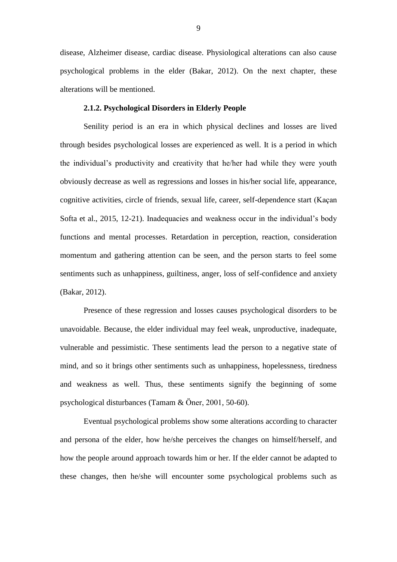disease, Alzheimer disease, cardiac disease. Physiological alterations can also cause psychological problems in the elder (Bakar, 2012). On the next chapter, these alterations will be mentioned.

### **2.1.2. Psychological Disorders in Elderly People**

Senility period is an era in which physical declines and losses are lived through besides psychological losses are experienced as well. It is a period in which the individual's productivity and creativity that he/her had while they were youth obviously decrease as well as regressions and losses in his/her social life, appearance, cognitive activities, circle of friends, sexual life, career, self-dependence start (Kaçan Softa et al., 2015, 12-21). Inadequacies and weakness occur in the individual's body functions and mental processes. Retardation in perception, reaction, consideration momentum and gathering attention can be seen, and the person starts to feel some sentiments such as unhappiness, guiltiness, anger, loss of self-confidence and anxiety (Bakar, 2012).

Presence of these regression and losses causes psychological disorders to be unavoidable. Because, the elder individual may feel weak, unproductive, inadequate, vulnerable and pessimistic. These sentiments lead the person to a negative state of mind, and so it brings other sentiments such as unhappiness, hopelessness, tiredness and weakness as well. Thus, these sentiments signify the beginning of some psychological disturbances (Tamam & Öner, 2001, 50-60).

Eventual psychological problems show some alterations according to character and persona of the elder, how he/she perceives the changes on himself/herself, and how the people around approach towards him or her. If the elder cannot be adapted to these changes, then he/she will encounter some psychological problems such as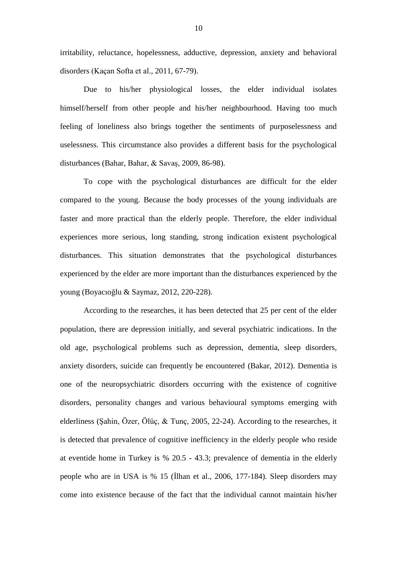irritability, reluctance, hopelessness, adductive, depression, anxiety and behavioral disorders (Kaçan Softa et al., 2011, 67-79).

Due to his/her physiological losses, the elder individual isolates himself/herself from other people and his/her neighbourhood. Having too much feeling of loneliness also brings together the sentiments of purposelessness and uselessness. This circumstance also provides a different basis for the psychological disturbances (Bahar, Bahar, & Savaş, 2009, 86-98).

To cope with the psychological disturbances are difficult for the elder compared to the young. Because the body processes of the young individuals are faster and more practical than the elderly people. Therefore, the elder individual experiences more serious, long standing, strong indication existent psychological disturbances. This situation demonstrates that the psychological disturbances experienced by the elder are more important than the disturbances experienced by the young (Boyacıoğlu & Saymaz, 2012, 220-228).

According to the researches, it has been detected that 25 per cent of the elder population, there are depression initially, and several psychiatric indications. In the old age, psychological problems such as depression, dementia, sleep disorders, anxiety disorders, suicide can frequently be encountered (Bakar, 2012). Dementia is one of the neuropsychiatric disorders occurring with the existence of cognitive disorders, personality changes and various behavioural symptoms emerging with elderliness (Şahin, Özer, Ölüç, & Tunç, 2005, 22-24). According to the researches, it is detected that prevalence of cognitive inefficiency in the elderly people who reside at eventide home in Turkey is % 20.5 - 43.3; prevalence of dementia in the elderly people who are in USA is % 15 (İlhan et al., 2006, 177-184). Sleep disorders may come into existence because of the fact that the individual cannot maintain his/her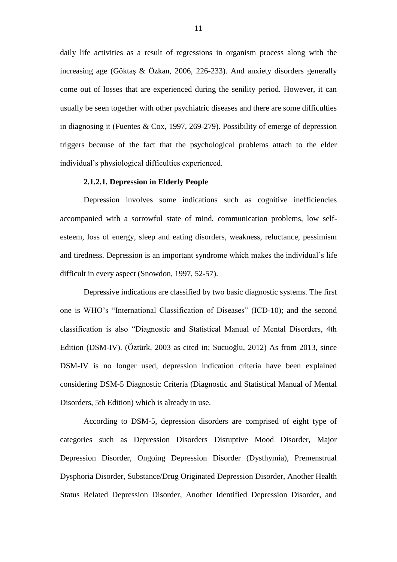daily life activities as a result of regressions in organism process along with the increasing age (Göktaş & Özkan, 2006, 226-233). And anxiety disorders generally come out of losses that are experienced during the senility period. However, it can usually be seen together with other psychiatric diseases and there are some difficulties in diagnosing it (Fuentes & Cox, 1997, 269-279). Possibility of emerge of depression triggers because of the fact that the psychological problems attach to the elder individual's physiological difficulties experienced.

#### **2.1.2.1. Depression in Elderly People**

Depression involves some indications such as cognitive inefficiencies accompanied with a sorrowful state of mind, communication problems, low selfesteem, loss of energy, sleep and eating disorders, weakness, reluctance, pessimism and tiredness. Depression is an important syndrome which makes the individual's life difficult in every aspect (Snowdon, 1997, 52-57).

Depressive indications are classified by two basic diagnostic systems. The first one is WHO's "International Classification of Diseases" (ICD-10); and the second classification is also "Diagnostic and Statistical Manual of Mental Disorders, 4th Edition (DSM-IV). (Öztürk, 2003 as cited in; Sucuoğlu, 2012) As from 2013, since DSM-IV is no longer used, depression indication criteria have been explained considering DSM-5 Diagnostic Criteria (Diagnostic and Statistical Manual of Mental Disorders, 5th Edition) which is already in use.

According to DSM-5, depression disorders are comprised of eight type of categories such as Depression Disorders Disruptive Mood Disorder, Major Depression Disorder, Ongoing Depression Disorder (Dysthymia), Premenstrual Dysphoria Disorder, Substance/Drug Originated Depression Disorder, Another Health Status Related Depression Disorder, Another Identified Depression Disorder, and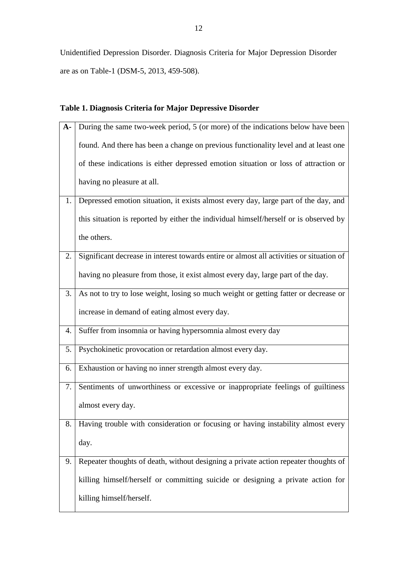Unidentified Depression Disorder. Diagnosis Criteria for Major Depression Disorder are as on Table-1 (DSM-5, 2013, 459-508).

### **Table 1. Diagnosis Criteria for Major Depressive Disorder**

| $A -$ | During the same two-week period, 5 (or more) of the indications below have been          |
|-------|------------------------------------------------------------------------------------------|
|       | found. And there has been a change on previous functionality level and at least one      |
|       | of these indications is either depressed emotion situation or loss of attraction or      |
|       | having no pleasure at all.                                                               |
| 1.    | Depressed emotion situation, it exists almost every day, large part of the day, and      |
|       | this situation is reported by either the individual himself/herself or is observed by    |
|       | the others.                                                                              |
| 2.    | Significant decrease in interest towards entire or almost all activities or situation of |
|       | having no pleasure from those, it exist almost every day, large part of the day.         |
| 3.    | As not to try to lose weight, losing so much weight or getting fatter or decrease or     |
|       | increase in demand of eating almost every day.                                           |
| 4.    | Suffer from insomnia or having hypersomnia almost every day                              |
| 5.    | Psychokinetic provocation or retardation almost every day.                               |
| 6.    | Exhaustion or having no inner strength almost every day.                                 |
| 7.    | Sentiments of unworthiness or excessive or inappropriate feelings of guiltiness          |
|       | almost every day.                                                                        |
| 8.    | Having trouble with consideration or focusing or having instability almost every         |
|       | day.                                                                                     |
| 9.    | Repeater thoughts of death, without designing a private action repeater thoughts of      |
|       | killing himself/herself or committing suicide or designing a private action for          |
|       | killing himself/herself.                                                                 |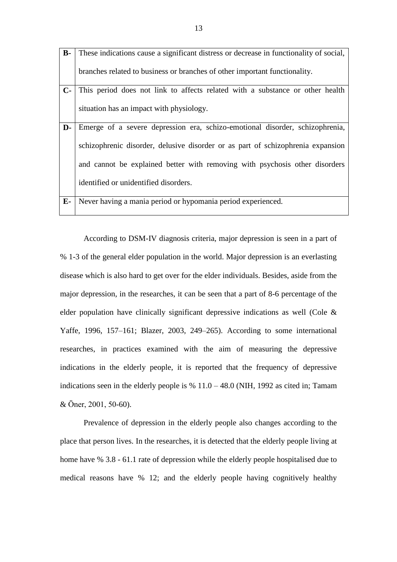| $B -$ | These indications cause a significant distress or decrease in functionality of social, |
|-------|----------------------------------------------------------------------------------------|
|       | branches related to business or branches of other important functionality.             |
| $C-$  | This period does not link to affects related with a substance or other health          |
|       | situation has an impact with physiology.                                               |
| D-    | Emerge of a severe depression era, schizo-emotional disorder, schizophrenia,           |
|       | schizophrenic disorder, delusive disorder or as part of schizophrenia expansion        |
|       | and cannot be explained better with removing with psychosis other disorders            |
|       | identified or unidentified disorders.                                                  |
| $E-$  | Never having a mania period or hypomania period experienced.                           |

According to DSM-IV diagnosis criteria, major depression is seen in a part of % 1-3 of the general elder population in the world. Major depression is an everlasting disease which is also hard to get over for the elder individuals. Besides, aside from the major depression, in the researches, it can be seen that a part of 8-6 percentage of the elder population have clinically significant depressive indications as well (Cole & Yaffe, 1996, 157–161; Blazer, 2003, 249–265). According to some international researches, in practices examined with the aim of measuring the depressive indications in the elderly people, it is reported that the frequency of depressive indications seen in the elderly people is  $% 11.0 - 48.0$  (NIH, 1992 as cited in; Tamam & Öner, 2001, 50-60).

Prevalence of depression in the elderly people also changes according to the place that person lives. In the researches, it is detected that the elderly people living at home have % 3.8 - 61.1 rate of depression while the elderly people hospitalised due to medical reasons have % 12; and the elderly people having cognitively healthy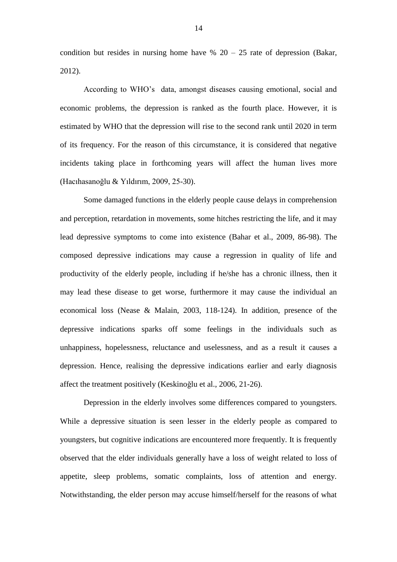condition but resides in nursing home have  $\%$  20 – 25 rate of depression (Bakar, 2012).

According to WHO's data, amongst diseases causing emotional, social and economic problems, the depression is ranked as the fourth place. However, it is estimated by WHO that the depression will rise to the second rank until 2020 in term of its frequency. For the reason of this circumstance, it is considered that negative incidents taking place in forthcoming years will affect the human lives more (Hacıhasanoğlu & Yıldırım, 2009, 25-30).

Some damaged functions in the elderly people cause delays in comprehension and perception, retardation in movements, some hitches restricting the life, and it may lead depressive symptoms to come into existence (Bahar et al., 2009, 86-98). The composed depressive indications may cause a regression in quality of life and productivity of the elderly people, including if he/she has a chronic illness, then it may lead these disease to get worse, furthermore it may cause the individual an economical loss (Nease & Malain, 2003, 118-124). In addition, presence of the depressive indications sparks off some feelings in the individuals such as unhappiness, hopelessness, reluctance and uselessness, and as a result it causes a depression. Hence, realising the depressive indications earlier and early diagnosis affect the treatment positively (Keskinoğlu et al., 2006, 21-26).

Depression in the elderly involves some differences compared to youngsters. While a depressive situation is seen lesser in the elderly people as compared to youngsters, but cognitive indications are encountered more frequently. It is frequently observed that the elder individuals generally have a loss of weight related to loss of appetite, sleep problems, somatic complaints, loss of attention and energy. Notwithstanding, the elder person may accuse himself/herself for the reasons of what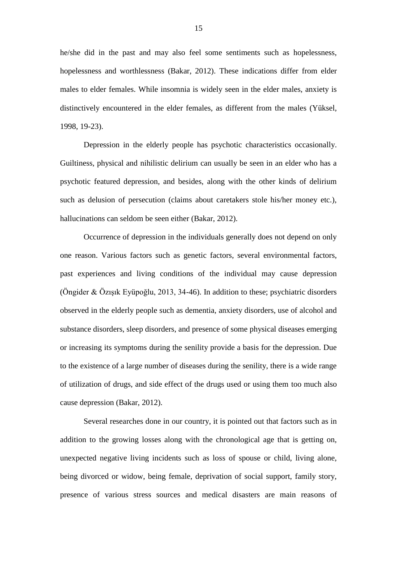he/she did in the past and may also feel some sentiments such as hopelessness, hopelessness and worthlessness (Bakar, 2012). These indications differ from elder males to elder females. While insomnia is widely seen in the elder males, anxiety is distinctively encountered in the elder females, as different from the males (Yüksel, 1998, 19-23).

Depression in the elderly people has psychotic characteristics occasionally. Guiltiness, physical and nihilistic delirium can usually be seen in an elder who has a psychotic featured depression, and besides, along with the other kinds of delirium such as delusion of persecution (claims about caretakers stole his/her money etc.), hallucinations can seldom be seen either (Bakar, 2012).

Occurrence of depression in the individuals generally does not depend on only one reason. Various factors such as genetic factors, several environmental factors, past experiences and living conditions of the individual may cause depression (Öngider & Özışık Eyüpoğlu, 2013, 34-46). In addition to these; psychiatric disorders observed in the elderly people such as dementia, anxiety disorders, use of alcohol and substance disorders, sleep disorders, and presence of some physical diseases emerging or increasing its symptoms during the senility provide a basis for the depression. Due to the existence of a large number of diseases during the senility, there is a wide range of utilization of drugs, and side effect of the drugs used or using them too much also cause depression (Bakar, 2012).

Several researches done in our country, it is pointed out that factors such as in addition to the growing losses along with the chronological age that is getting on, unexpected negative living incidents such as loss of spouse or child, living alone, being divorced or widow, being female, deprivation of social support, family story, presence of various stress sources and medical disasters are main reasons of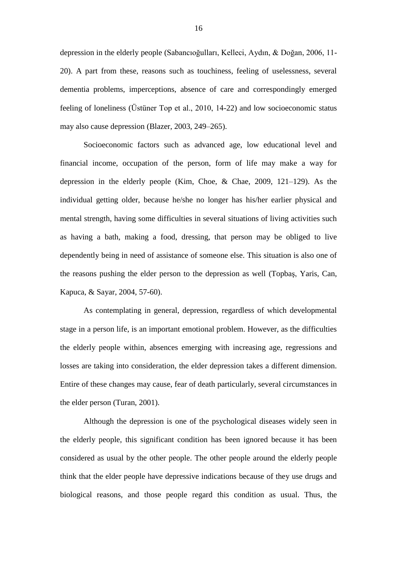depression in the elderly people (Sabancıoğulları, Kelleci, Aydın, & Doğan, 2006, 11- 20). A part from these, reasons such as touchiness, feeling of uselessness, several dementia problems, imperceptions, absence of care and correspondingly emerged feeling of loneliness (Üstüner Top et al., 2010, 14-22) and low socioeconomic status may also cause depression (Blazer, 2003, 249–265).

Socioeconomic factors such as advanced age, low educational level and financial income, occupation of the person, form of life may make a way for depression in the elderly people (Kim, Choe, & Chae, 2009, 121–129). As the individual getting older, because he/she no longer has his/her earlier physical and mental strength, having some difficulties in several situations of living activities such as having a bath, making a food, dressing, that person may be obliged to live dependently being in need of assistance of someone else. This situation is also one of the reasons pushing the elder person to the depression as well (Topbaş, Yaris, Can, Kapuca, & Sayar, 2004, 57-60).

As contemplating in general, depression, regardless of which developmental stage in a person life, is an important emotional problem. However, as the difficulties the elderly people within, absences emerging with increasing age, regressions and losses are taking into consideration, the elder depression takes a different dimension. Entire of these changes may cause, fear of death particularly, several circumstances in the elder person (Turan, 2001).

Although the depression is one of the psychological diseases widely seen in the elderly people, this significant condition has been ignored because it has been considered as usual by the other people. The other people around the elderly people think that the elder people have depressive indications because of they use drugs and biological reasons, and those people regard this condition as usual. Thus, the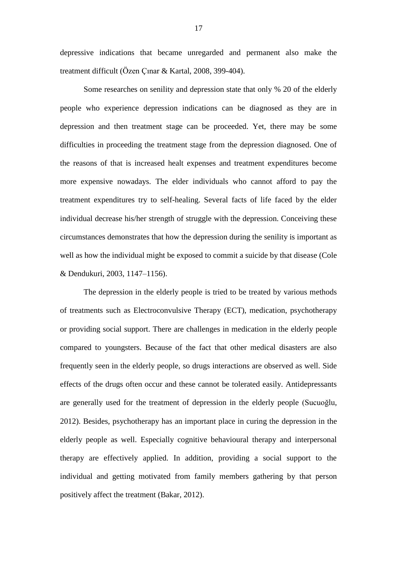depressive indications that became unregarded and permanent also make the treatment difficult (Özen Çınar & Kartal, 2008, 399-404).

Some researches on senility and depression state that only % 20 of the elderly people who experience depression indications can be diagnosed as they are in depression and then treatment stage can be proceeded. Yet, there may be some difficulties in proceeding the treatment stage from the depression diagnosed. One of the reasons of that is increased healt expenses and treatment expenditures become more expensive nowadays. The elder individuals who cannot afford to pay the treatment expenditures try to self-healing. Several facts of life faced by the elder individual decrease his/her strength of struggle with the depression. Conceiving these circumstances demonstrates that how the depression during the senility is important as well as how the individual might be exposed to commit a suicide by that disease (Cole & Dendukuri, 2003, 1147–1156).

The depression in the elderly people is tried to be treated by various methods of treatments such as Electroconvulsive Therapy (ECT), medication, psychotherapy or providing social support. There are challenges in medication in the elderly people compared to youngsters. Because of the fact that other medical disasters are also frequently seen in the elderly people, so drugs interactions are observed as well. Side effects of the drugs often occur and these cannot be tolerated easily. Antidepressants are generally used for the treatment of depression in the elderly people (Sucuoğlu, 2012). Besides, psychotherapy has an important place in curing the depression in the elderly people as well. Especially cognitive behavioural therapy and interpersonal therapy are effectively applied. In addition, providing a social support to the individual and getting motivated from family members gathering by that person positively affect the treatment (Bakar, 2012).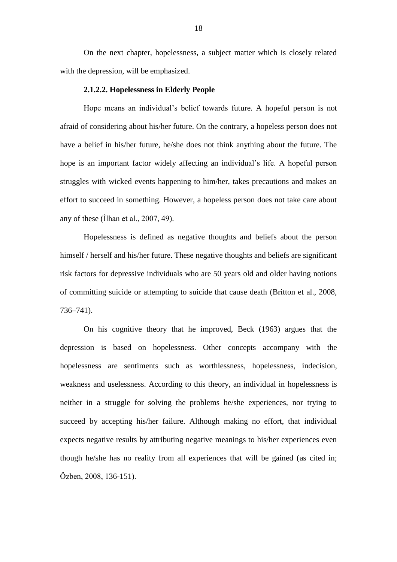On the next chapter, hopelessness, a subject matter which is closely related with the depression, will be emphasized.

#### **2.1.2.2. Hopelessness in Elderly People**

Hope means an individual's belief towards future. A hopeful person is not afraid of considering about his/her future. On the contrary, a hopeless person does not have a belief in his/her future, he/she does not think anything about the future. The hope is an important factor widely affecting an individual's life. A hopeful person struggles with wicked events happening to him/her, takes precautions and makes an effort to succeed in something. However, a hopeless person does not take care about any of these (İlhan et al., 2007, 49).

Hopelessness is defined as negative thoughts and beliefs about the person himself / herself and his/her future. These negative thoughts and beliefs are significant risk factors for depressive individuals who are 50 years old and older having notions of committing suicide or attempting to suicide that cause death (Britton et al., 2008, 736–741).

On his cognitive theory that he improved, Beck (1963) argues that the depression is based on hopelessness. Other concepts accompany with the hopelessness are sentiments such as worthlessness, hopelessness, indecision, weakness and uselessness. According to this theory, an individual in hopelessness is neither in a struggle for solving the problems he/she experiences, nor trying to succeed by accepting his/her failure. Although making no effort, that individual expects negative results by attributing negative meanings to his/her experiences even though he/she has no reality from all experiences that will be gained (as cited in; Özben, 2008, 136-151).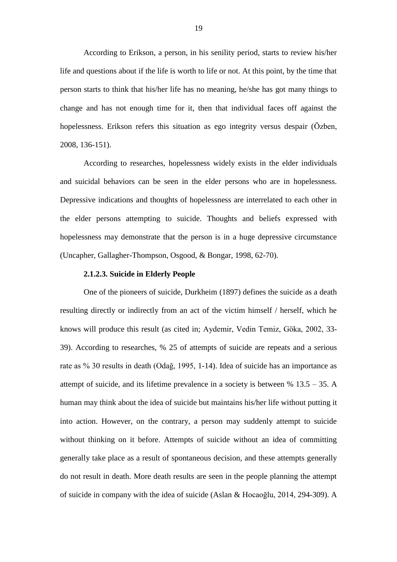According to Erikson, a person, in his senility period, starts to review his/her life and questions about if the life is worth to life or not. At this point, by the time that person starts to think that his/her life has no meaning, he/she has got many things to change and has not enough time for it, then that individual faces off against the hopelessness. Erikson refers this situation as ego integrity versus despair (Özben, 2008, 136-151).

According to researches, hopelessness widely exists in the elder individuals and suicidal behaviors can be seen in the elder persons who are in hopelessness. Depressive indications and thoughts of hopelessness are interrelated to each other in the elder persons attempting to suicide. Thoughts and beliefs expressed with hopelessness may demonstrate that the person is in a huge depressive circumstance (Uncapher, Gallagher-Thompson, Osgood, & Bongar, 1998, 62-70).

### **2.1.2.3. Suicide in Elderly People**

One of the pioneers of suicide, Durkheim (1897) defines the suicide as a death resulting directly or indirectly from an act of the victim himself / herself, which he knows will produce this result (as cited in; Aydemir, Vedin Temiz, Göka, 2002, 33- 39). According to researches, % 25 of attempts of suicide are repeats and a serious rate as % 30 results in death (Odağ, 1995, 1-14). Idea of suicide has an importance as attempt of suicide, and its lifetime prevalence in a society is between % 13.5 – 35. A human may think about the idea of suicide but maintains his/her life without putting it into action. However, on the contrary, a person may suddenly attempt to suicide without thinking on it before. Attempts of suicide without an idea of committing generally take place as a result of spontaneous decision, and these attempts generally do not result in death. More death results are seen in the people planning the attempt of suicide in company with the idea of suicide (Aslan & Hocaoğlu, 2014, 294-309). A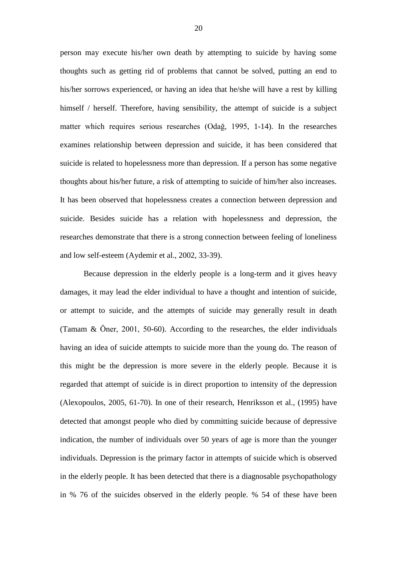person may execute his/her own death by attempting to suicide by having some thoughts such as getting rid of problems that cannot be solved, putting an end to his/her sorrows experienced, or having an idea that he/she will have a rest by killing himself / herself. Therefore, having sensibility, the attempt of suicide is a subject matter which requires serious researches (Odağ, 1995, 1-14). In the researches examines relationship between depression and suicide, it has been considered that suicide is related to hopelessness more than depression. If a person has some negative thoughts about his/her future, a risk of attempting to suicide of him/her also increases. It has been observed that hopelessness creates a connection between depression and suicide. Besides suicide has a relation with hopelessness and depression, the researches demonstrate that there is a strong connection between feeling of loneliness and low self-esteem (Aydemir et al., 2002, 33-39).

Because depression in the elderly people is a long-term and it gives heavy damages, it may lead the elder individual to have a thought and intention of suicide, or attempt to suicide, and the attempts of suicide may generally result in death (Tamam & Öner, 2001, 50-60). According to the researches, the elder individuals having an idea of suicide attempts to suicide more than the young do. The reason of this might be the depression is more severe in the elderly people. Because it is regarded that attempt of suicide is in direct proportion to intensity of the depression (Alexopoulos, 2005, 61-70). In one of their research, Henriksson et al., (1995) have detected that amongst people who died by committing suicide because of depressive indication, the number of individuals over 50 years of age is more than the younger individuals. Depression is the primary factor in attempts of suicide which is observed in the elderly people. It has been detected that there is a diagnosable psychopathology in % 76 of the suicides observed in the elderly people. % 54 of these have been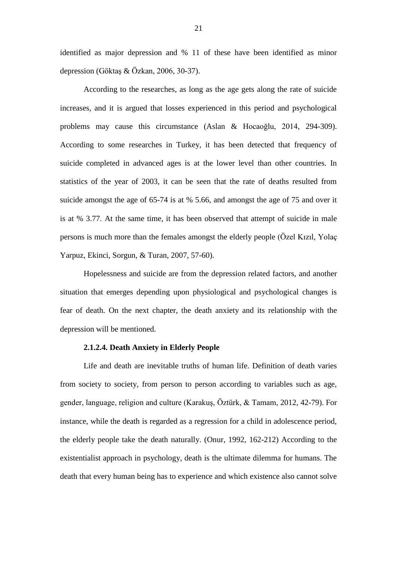identified as major depression and % 11 of these have been identified as minor depression (Göktaş & Özkan, 2006, 30-37).

According to the researches, as long as the age gets along the rate of suicide increases, and it is argued that losses experienced in this period and psychological problems may cause this circumstance (Aslan & Hocaoğlu, 2014, 294-309). According to some researches in Turkey, it has been detected that frequency of suicide completed in advanced ages is at the lower level than other countries. In statistics of the year of 2003, it can be seen that the rate of deaths resulted from suicide amongst the age of 65-74 is at % 5.66, and amongst the age of 75 and over it is at % 3.77. At the same time, it has been observed that attempt of suicide in male persons is much more than the females amongst the elderly people (Özel Kızıl, Yolaç Yarpuz, Ekinci, Sorgun, & Turan, 2007, 57-60).

Hopelessness and suicide are from the depression related factors, and another situation that emerges depending upon physiological and psychological changes is fear of death. On the next chapter, the death anxiety and its relationship with the depression will be mentioned.

### **2.1.2.4. Death Anxiety in Elderly People**

Life and death are inevitable truths of human life. Definition of death varies from society to society, from person to person according to variables such as age, gender, language, religion and culture (Karakuş, Öztürk, & Tamam, 2012, 42-79). For instance, while the death is regarded as a regression for a child in adolescence period, the elderly people take the death naturally. (Onur, 1992, 162-212) According to the existentialist approach in psychology, death is the ultimate dilemma for humans. The death that every human being has to experience and which existence also cannot solve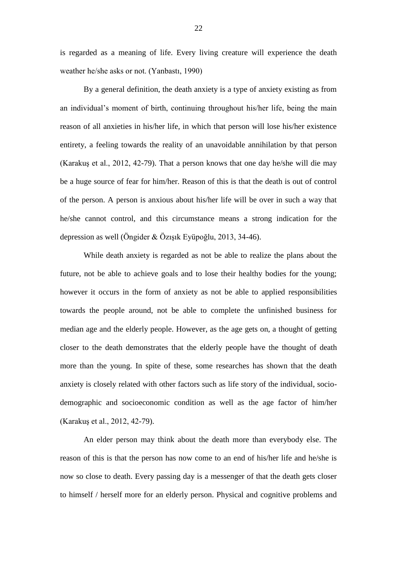is regarded as a meaning of life. Every living creature will experience the death weather he/she asks or not. (Yanbastı, 1990)

By a general definition, the death anxiety is a type of anxiety existing as from an individual's moment of birth, continuing throughout his/her life, being the main reason of all anxieties in his/her life, in which that person will lose his/her existence entirety, a feeling towards the reality of an unavoidable annihilation by that person (Karakuş et al., 2012, 42-79). That a person knows that one day he/she will die may be a huge source of fear for him/her. Reason of this is that the death is out of control of the person. A person is anxious about his/her life will be over in such a way that he/she cannot control, and this circumstance means a strong indication for the depression as well (Öngider & Özışık Eyüpoğlu, 2013, 34-46).

While death anxiety is regarded as not be able to realize the plans about the future, not be able to achieve goals and to lose their healthy bodies for the young; however it occurs in the form of anxiety as not be able to applied responsibilities towards the people around, not be able to complete the unfinished business for median age and the elderly people. However, as the age gets on, a thought of getting closer to the death demonstrates that the elderly people have the thought of death more than the young. In spite of these, some researches has shown that the death anxiety is closely related with other factors such as life story of the individual, sociodemographic and socioeconomic condition as well as the age factor of him/her (Karakuş et al., 2012, 42-79).

An elder person may think about the death more than everybody else. The reason of this is that the person has now come to an end of his/her life and he/she is now so close to death. Every passing day is a messenger of that the death gets closer to himself / herself more for an elderly person. Physical and cognitive problems and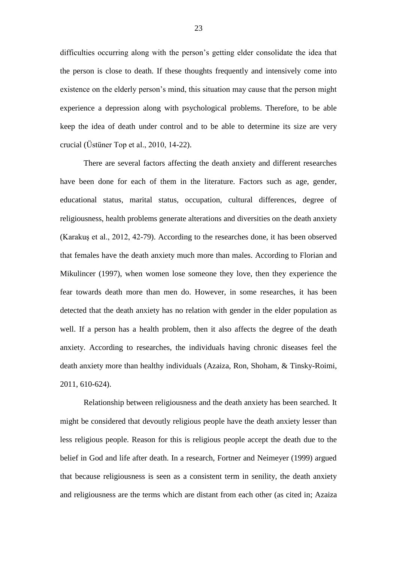difficulties occurring along with the person's getting elder consolidate the idea that the person is close to death. If these thoughts frequently and intensively come into existence on the elderly person's mind, this situation may cause that the person might experience a depression along with psychological problems. Therefore, to be able keep the idea of death under control and to be able to determine its size are very crucial (Üstüner Top et al., 2010, 14-22).

There are several factors affecting the death anxiety and different researches have been done for each of them in the literature. Factors such as age, gender, educational status, marital status, occupation, cultural differences, degree of religiousness, health problems generate alterations and diversities on the death anxiety (Karakuş et al., 2012, 42-79). According to the researches done, it has been observed that females have the death anxiety much more than males. According to Florian and Mikulincer (1997), when women lose someone they love, then they experience the fear towards death more than men do. However, in some researches, it has been detected that the death anxiety has no relation with gender in the elder population as well. If a person has a health problem, then it also affects the degree of the death anxiety. According to researches, the individuals having chronic diseases feel the death anxiety more than healthy individuals (Azaiza, Ron, Shoham, & Tinsky-Roimi, 2011, 610-624).

Relationship between religiousness and the death anxiety has been searched. It might be considered that devoutly religious people have the death anxiety lesser than less religious people. Reason for this is religious people accept the death due to the belief in God and life after death. In a research, Fortner and Neimeyer (1999) argued that because religiousness is seen as a consistent term in senility, the death anxiety and religiousness are the terms which are distant from each other (as cited in; Azaiza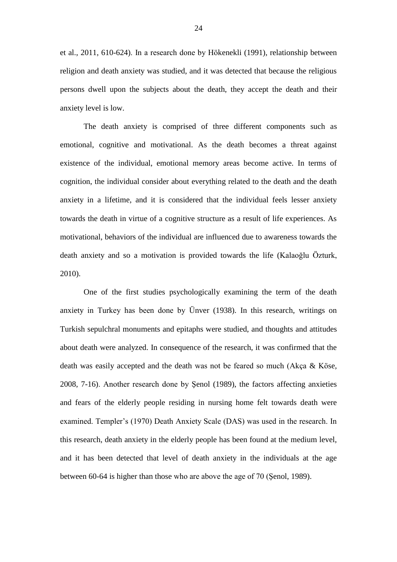et al., 2011, 610-624). In a research done by Hökenekli (1991), relationship between religion and death anxiety was studied, and it was detected that because the religious persons dwell upon the subjects about the death, they accept the death and their anxiety level is low.

The death anxiety is comprised of three different components such as emotional, cognitive and motivational. As the death becomes a threat against existence of the individual, emotional memory areas become active. In terms of cognition, the individual consider about everything related to the death and the death anxiety in a lifetime, and it is considered that the individual feels lesser anxiety towards the death in virtue of a cognitive structure as a result of life experiences. As motivational, behaviors of the individual are influenced due to awareness towards the death anxiety and so a motivation is provided towards the life (Kalaoğlu Özturk, 2010).

One of the first studies psychologically examining the term of the death anxiety in Turkey has been done by Ünver (1938). In this research, writings on Turkish sepulchral monuments and epitaphs were studied, and thoughts and attitudes about death were analyzed. In consequence of the research, it was confirmed that the death was easily accepted and the death was not be feared so much (Akça & Köse, 2008, 7-16). Another research done by Şenol (1989), the factors affecting anxieties and fears of the elderly people residing in nursing home felt towards death were examined. Templer's (1970) Death Anxiety Scale (DAS) was used in the research. In this research, death anxiety in the elderly people has been found at the medium level, and it has been detected that level of death anxiety in the individuals at the age between 60-64 is higher than those who are above the age of 70 (Şenol, 1989).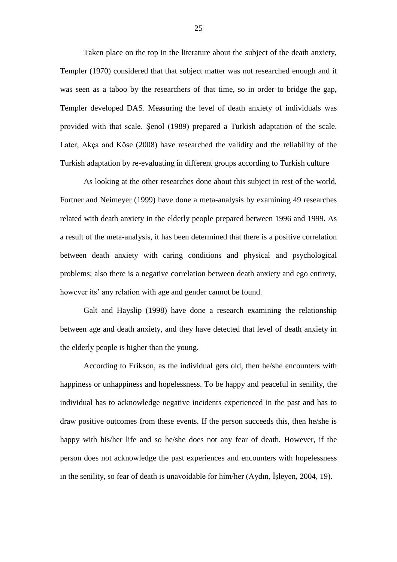Taken place on the top in the literature about the subject of the death anxiety, Templer (1970) considered that that subject matter was not researched enough and it was seen as a taboo by the researchers of that time, so in order to bridge the gap, Templer developed DAS. Measuring the level of death anxiety of individuals was provided with that scale. Şenol (1989) prepared a Turkish adaptation of the scale. Later, Akça and Köse (2008) have researched the validity and the reliability of the Turkish adaptation by re-evaluating in different groups according to Turkish culture

As looking at the other researches done about this subject in rest of the world, Fortner and Neimeyer (1999) have done a meta-analysis by examining 49 researches related with death anxiety in the elderly people prepared between 1996 and 1999. As a result of the meta-analysis, it has been determined that there is a positive correlation between death anxiety with caring conditions and physical and psychological problems; also there is a negative correlation between death anxiety and ego entirety, however its' any relation with age and gender cannot be found.

Galt and Hayslip (1998) have done a research examining the relationship between age and death anxiety, and they have detected that level of death anxiety in the elderly people is higher than the young.

According to Erikson, as the individual gets old, then he/she encounters with happiness or unhappiness and hopelessness. To be happy and peaceful in senility, the individual has to acknowledge negative incidents experienced in the past and has to draw positive outcomes from these events. If the person succeeds this, then he/she is happy with his/her life and so he/she does not any fear of death. However, if the person does not acknowledge the past experiences and encounters with hopelessness in the senility, so fear of death is unavoidable for him/her (Aydın, İşleyen, 2004, 19).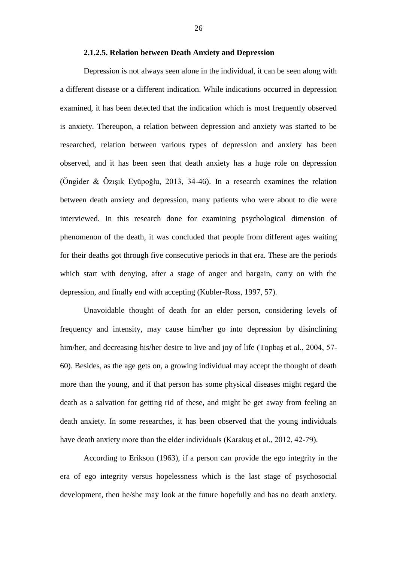#### **2.1.2.5. Relation between Death Anxiety and Depression**

Depression is not always seen alone in the individual, it can be seen along with a different disease or a different indication. While indications occurred in depression examined, it has been detected that the indication which is most frequently observed is anxiety. Thereupon, a relation between depression and anxiety was started to be researched, relation between various types of depression and anxiety has been observed, and it has been seen that death anxiety has a huge role on depression (Öngider & Özışık Eyüpoğlu, 2013, 34-46). In a research examines the relation between death anxiety and depression, many patients who were about to die were interviewed. In this research done for examining psychological dimension of phenomenon of the death, it was concluded that people from different ages waiting for their deaths got through five consecutive periods in that era. These are the periods which start with denying, after a stage of anger and bargain, carry on with the depression, and finally end with accepting (Kubler-Ross, 1997, 57).

Unavoidable thought of death for an elder person, considering levels of frequency and intensity, may cause him/her go into depression by disinclining him/her, and decreasing his/her desire to live and joy of life (Topbaş et al., 2004, 57-60). Besides, as the age gets on, a growing individual may accept the thought of death more than the young, and if that person has some physical diseases might regard the death as a salvation for getting rid of these, and might be get away from feeling an death anxiety. In some researches, it has been observed that the young individuals have death anxiety more than the elder individuals (Karakuş et al., 2012, 42-79).

According to Erikson (1963), if a person can provide the ego integrity in the era of ego integrity versus hopelessness which is the last stage of psychosocial development, then he/she may look at the future hopefully and has no death anxiety.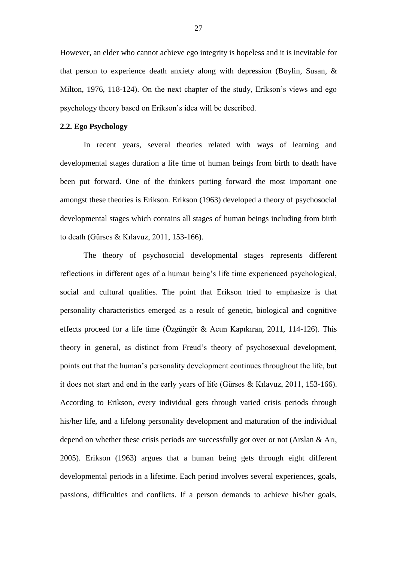However, an elder who cannot achieve ego integrity is hopeless and it is inevitable for that person to experience death anxiety along with depression (Boylin, Susan, & Milton, 1976, 118-124). On the next chapter of the study, Erikson's views and ego psychology theory based on Erikson's idea will be described.

### **2.2. Ego Psychology**

In recent years, several theories related with ways of learning and developmental stages duration a life time of human beings from birth to death have been put forward. One of the thinkers putting forward the most important one amongst these theories is Erikson. Erikson (1963) developed a theory of psychosocial developmental stages which contains all stages of human beings including from birth to death (Gürses & Kılavuz, 2011, 153-166).

The theory of psychosocial developmental stages represents different reflections in different ages of a human being's life time experienced psychological, social and cultural qualities. The point that Erikson tried to emphasize is that personality characteristics emerged as a result of genetic, biological and cognitive effects proceed for a life time (Özgüngör & Acun Kapıkıran, 2011, 114-126). This theory in general, as distinct from Freud's theory of psychosexual development, points out that the human's personality development continues throughout the life, but it does not start and end in the early years of life (Gürses & Kılavuz, 2011, 153-166). According to Erikson, every individual gets through varied crisis periods through his/her life, and a lifelong personality development and maturation of the individual depend on whether these crisis periods are successfully got over or not (Arslan & Arı, 2005). Erikson (1963) argues that a human being gets through eight different developmental periods in a lifetime. Each period involves several experiences, goals, passions, difficulties and conflicts. If a person demands to achieve his/her goals,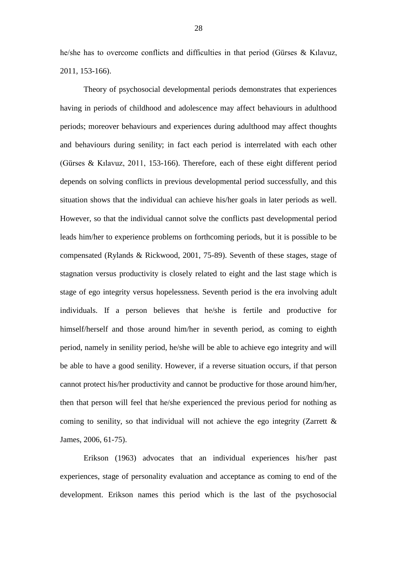he/she has to overcome conflicts and difficulties in that period (Gürses & Kılavuz, 2011, 153-166).

Theory of psychosocial developmental periods demonstrates that experiences having in periods of childhood and adolescence may affect behaviours in adulthood periods; moreover behaviours and experiences during adulthood may affect thoughts and behaviours during senility; in fact each period is interrelated with each other (Gürses & Kılavuz, 2011, 153-166). Therefore, each of these eight different period depends on solving conflicts in previous developmental period successfully, and this situation shows that the individual can achieve his/her goals in later periods as well. However, so that the individual cannot solve the conflicts past developmental period leads him/her to experience problems on forthcoming periods, but it is possible to be compensated (Rylands & Rickwood, 2001, 75-89). Seventh of these stages, stage of stagnation versus productivity is closely related to eight and the last stage which is stage of ego integrity versus hopelessness. Seventh period is the era involving adult individuals. If a person believes that he/she is fertile and productive for himself/herself and those around him/her in seventh period, as coming to eighth period, namely in senility period, he/she will be able to achieve ego integrity and will be able to have a good senility. However, if a reverse situation occurs, if that person cannot protect his/her productivity and cannot be productive for those around him/her, then that person will feel that he/she experienced the previous period for nothing as coming to senility, so that individual will not achieve the ego integrity (Zarrett & James, 2006, 61-75).

Erikson (1963) advocates that an individual experiences his/her past experiences, stage of personality evaluation and acceptance as coming to end of the development. Erikson names this period which is the last of the psychosocial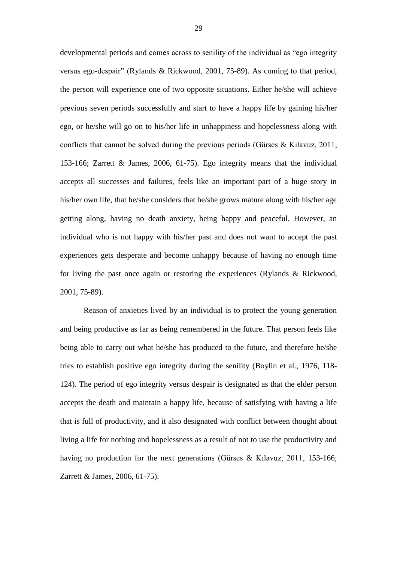developmental periods and comes across to senility of the individual as "ego integrity versus ego-despair" (Rylands & Rickwood, 2001, 75-89). As coming to that period, the person will experience one of two opposite situations. Either he/she will achieve previous seven periods successfully and start to have a happy life by gaining his/her ego, or he/she will go on to his/her life in unhappiness and hopelessness along with conflicts that cannot be solved during the previous periods (Gürses & Kılavuz, 2011, 153-166; Zarrett & James, 2006, 61-75). Ego integrity means that the individual accepts all successes and failures, feels like an important part of a huge story in his/her own life, that he/she considers that he/she grows mature along with his/her age getting along, having no death anxiety, being happy and peaceful. However, an individual who is not happy with his/her past and does not want to accept the past experiences gets desperate and become unhappy because of having no enough time for living the past once again or restoring the experiences (Rylands & Rickwood, 2001, 75-89).

Reason of anxieties lived by an individual is to protect the young generation and being productive as far as being remembered in the future. That person feels like being able to carry out what he/she has produced to the future, and therefore he/she tries to establish positive ego integrity during the senility (Boylin et al., 1976, 118- 124). The period of ego integrity versus despair is designated as that the elder person accepts the death and maintain a happy life, because of satisfying with having a life that is full of productivity, and it also designated with conflict between thought about living a life for nothing and hopelessness as a result of not to use the productivity and having no production for the next generations (Gürses & Kılavuz, 2011, 153-166; Zarrett & James, 2006, 61-75).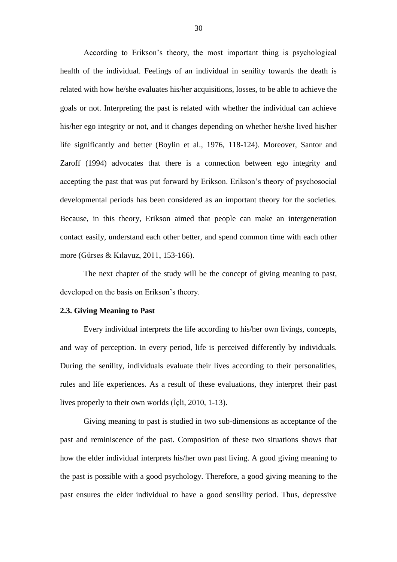According to Erikson's theory, the most important thing is psychological health of the individual. Feelings of an individual in senility towards the death is related with how he/she evaluates his/her acquisitions, losses, to be able to achieve the goals or not. Interpreting the past is related with whether the individual can achieve his/her ego integrity or not, and it changes depending on whether he/she lived his/her life significantly and better (Boylin et al., 1976, 118-124). Moreover, Santor and Zaroff (1994) advocates that there is a connection between ego integrity and accepting the past that was put forward by Erikson. Erikson's theory of psychosocial developmental periods has been considered as an important theory for the societies. Because, in this theory, Erikson aimed that people can make an intergeneration contact easily, understand each other better, and spend common time with each other more (Gürses & Kılavuz, 2011, 153-166).

The next chapter of the study will be the concept of giving meaning to past, developed on the basis on Erikson's theory.

## **2.3. Giving Meaning to Past**

Every individual interprets the life according to his/her own livings, concepts, and way of perception. In every period, life is perceived differently by individuals. During the senility, individuals evaluate their lives according to their personalities, rules and life experiences. As a result of these evaluations, they interpret their past lives properly to their own worlds (İçli, 2010, 1-13).

Giving meaning to past is studied in two sub-dimensions as acceptance of the past and reminiscence of the past. Composition of these two situations shows that how the elder individual interprets his/her own past living. A good giving meaning to the past is possible with a good psychology. Therefore, a good giving meaning to the past ensures the elder individual to have a good sensility period. Thus, depressive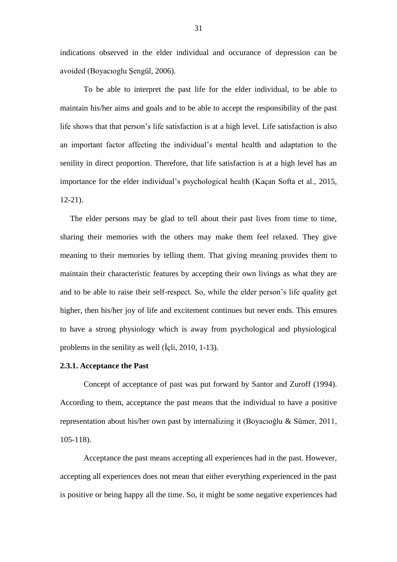indications observed in the elder individual and occurance of depression can be avoided (Boyacıoglu Şengül, 2006).

To be able to interpret the past life for the elder individual, to be able to maintain his/her aims and goals and to be able to accept the responsibility of the past life shows that that person's life satisfaction is at a high level. Life satisfaction is also an important factor affecting the individual's mental health and adaptation to the senility in direct proportion. Therefore, that life satisfaction is at a high level has an importance for the elder individual's psychological health (Kaçan Softa et al., 2015, 12-21).

 The elder persons may be glad to tell about their past lives from time to time, sharing their memories with the others may make them feel relaxed. They give meaning to their memories by telling them. That giving meaning provides them to maintain their characteristic features by accepting their own livings as what they are and to be able to raise their self-respect. So, while the elder person's life quality get higher, then his/her joy of life and excitement continues but never ends. This ensures to have a strong physiology which is away from psychological and physiological problems in the senility as well (İçli, 2010, 1-13).

## **2.3.1. Acceptance the Past**

Concept of acceptance of past was put forward by Santor and Zuroff (1994). According to them, acceptance the past means that the individual to have a positive representation about his/her own past by internalizing it (Boyacıoğlu & Sümer, 2011, 105-118).

Acceptance the past means accepting all experiences had in the past. However, accepting all experiences does not mean that either everything experienced in the past is positive or being happy all the time. So, it might be some negative experiences had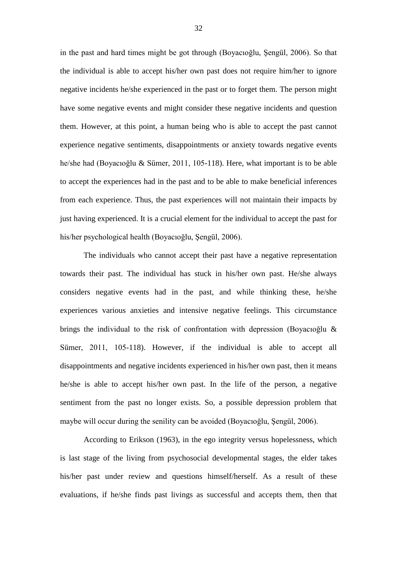in the past and hard times might be got through (Boyacıoğlu, Şengül, 2006). So that the individual is able to accept his/her own past does not require him/her to ignore negative incidents he/she experienced in the past or to forget them. The person might have some negative events and might consider these negative incidents and question them. However, at this point, a human being who is able to accept the past cannot experience negative sentiments, disappointments or anxiety towards negative events he/she had (Boyacıoğlu & Sümer, 2011, 105-118). Here, what important is to be able to accept the experiences had in the past and to be able to make beneficial inferences from each experience. Thus, the past experiences will not maintain their impacts by just having experienced. It is a crucial element for the individual to accept the past for his/her psychological health (Boyacıoğlu, Şengül, 2006).

The individuals who cannot accept their past have a negative representation towards their past. The individual has stuck in his/her own past. He/she always considers negative events had in the past, and while thinking these, he/she experiences various anxieties and intensive negative feelings. This circumstance brings the individual to the risk of confrontation with depression (Boyacıoğlu & Sümer, 2011, 105-118). However, if the individual is able to accept all disappointments and negative incidents experienced in his/her own past, then it means he/she is able to accept his/her own past. In the life of the person, a negative sentiment from the past no longer exists. So, a possible depression problem that maybe will occur during the senility can be avoided (Boyacıoğlu, Şengül, 2006).

According to Erikson (1963), in the ego integrity versus hopelessness, which is last stage of the living from psychosocial developmental stages, the elder takes his/her past under review and questions himself/herself. As a result of these evaluations, if he/she finds past livings as successful and accepts them, then that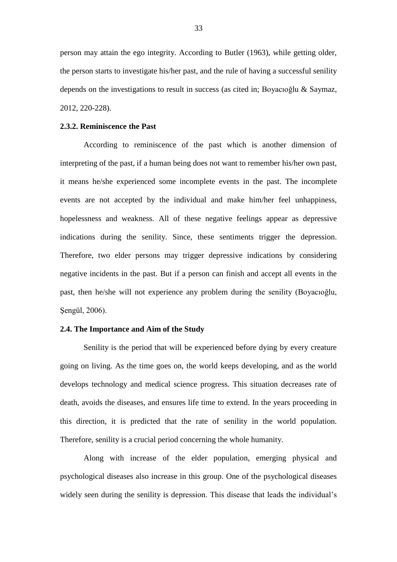person may attain the ego integrity. According to Butler (1963), while getting older, the person starts to investigate his/her past, and the rule of having a successful senility depends on the investigations to result in success (as cited in; Boyacıoğlu & Saymaz, 2012, 220-228).

## **2.3.2. Reminiscence the Past**

According to reminiscence of the past which is another dimension of interpreting of the past, if a human being does not want to remember his/her own past, it means he/she experienced some incomplete events in the past. The incomplete events are not accepted by the individual and make him/her feel unhappiness, hopelessness and weakness. All of these negative feelings appear as depressive indications during the senility. Since, these sentiments trigger the depression. Therefore, two elder persons may trigger depressive indications by considering negative incidents in the past. But if a person can finish and accept all events in the past, then he/she will not experience any problem during the senility (Boyacıoğlu, Şengül, 2006).

## **2.4. The Importance and Aim of the Study**

Senility is the period that will be experienced before dying by every creature going on living. As the time goes on, the world keeps developing, and as the world develops technology and medical science progress. This situation decreases rate of death, avoids the diseases, and ensures life time to extend. In the years proceeding in this direction, it is predicted that the rate of senility in the world population. Therefore, senility is a crucial period concerning the whole humanity.

Along with increase of the elder population, emerging physical and psychological diseases also increase in this group. One of the psychological diseases widely seen during the senility is depression. This disease that leads the individual's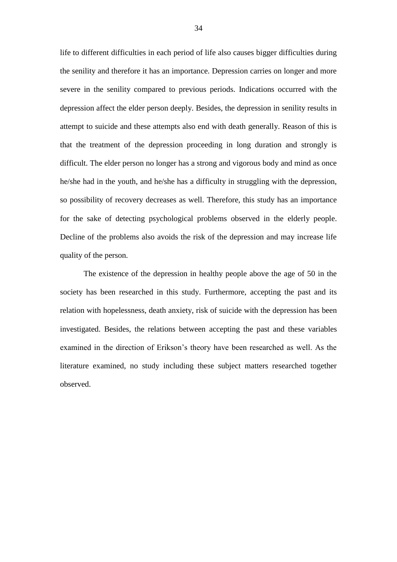life to different difficulties in each period of life also causes bigger difficulties during the senility and therefore it has an importance. Depression carries on longer and more severe in the senility compared to previous periods. Indications occurred with the depression affect the elder person deeply. Besides, the depression in senility results in attempt to suicide and these attempts also end with death generally. Reason of this is that the treatment of the depression proceeding in long duration and strongly is difficult. The elder person no longer has a strong and vigorous body and mind as once he/she had in the youth, and he/she has a difficulty in struggling with the depression, so possibility of recovery decreases as well. Therefore, this study has an importance for the sake of detecting psychological problems observed in the elderly people. Decline of the problems also avoids the risk of the depression and may increase life quality of the person.

The existence of the depression in healthy people above the age of 50 in the society has been researched in this study. Furthermore, accepting the past and its relation with hopelessness, death anxiety, risk of suicide with the depression has been investigated. Besides, the relations between accepting the past and these variables examined in the direction of Erikson's theory have been researched as well. As the literature examined, no study including these subject matters researched together observed.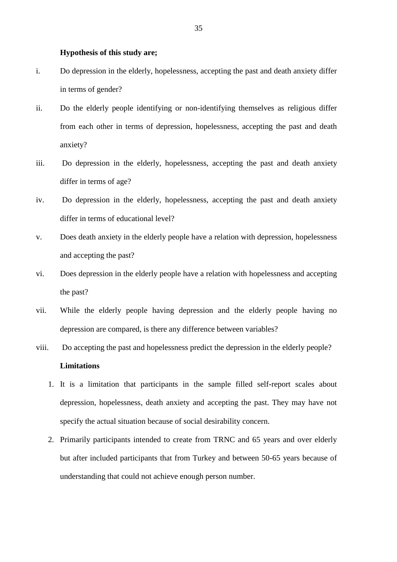#### **Hypothesis of this study are;**

- i. Do depression in the elderly, hopelessness, accepting the past and death anxiety differ in terms of gender?
- ii. Do the elderly people identifying or non-identifying themselves as religious differ from each other in terms of depression, hopelessness, accepting the past and death anxiety?
- iii. Do depression in the elderly, hopelessness, accepting the past and death anxiety differ in terms of age?
- iv. Do depression in the elderly, hopelessness, accepting the past and death anxiety differ in terms of educational level?
- v. Does death anxiety in the elderly people have a relation with depression, hopelessness and accepting the past?
- vi. Does depression in the elderly people have a relation with hopelessness and accepting the past?
- vii. While the elderly people having depression and the elderly people having no depression are compared, is there any difference between variables?
- viii. Do accepting the past and hopelessness predict the depression in the elderly people? **Limitations**
	- 1. It is a limitation that participants in the sample filled self-report scales about depression, hopelessness, death anxiety and accepting the past. They may have not specify the actual situation because of social desirability concern.
	- 2. Primarily participants intended to create from TRNC and 65 years and over elderly but after included participants that from Turkey and between 50-65 years because of understanding that could not achieve enough person number.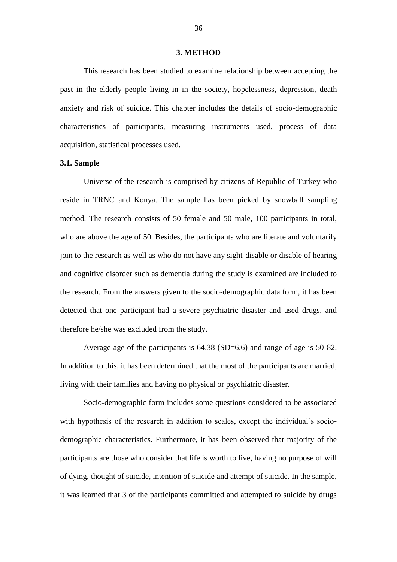#### **3. METHOD**

This research has been studied to examine relationship between accepting the past in the elderly people living in in the society, hopelessness, depression, death anxiety and risk of suicide. This chapter includes the details of socio-demographic characteristics of participants, measuring instruments used, process of data acquisition, statistical processes used.

## **3.1. Sample**

Universe of the research is comprised by citizens of Republic of Turkey who reside in TRNC and Konya. The sample has been picked by snowball sampling method. The research consists of 50 female and 50 male, 100 participants in total, who are above the age of 50. Besides, the participants who are literate and voluntarily join to the research as well as who do not have any sight-disable or disable of hearing and cognitive disorder such as dementia during the study is examined are included to the research. From the answers given to the socio-demographic data form, it has been detected that one participant had a severe psychiatric disaster and used drugs, and therefore he/she was excluded from the study.

Average age of the participants is 64.38 (SD=6.6) and range of age is 50-82. In addition to this, it has been determined that the most of the participants are married, living with their families and having no physical or psychiatric disaster.

Socio-demographic form includes some questions considered to be associated with hypothesis of the research in addition to scales, except the individual's sociodemographic characteristics. Furthermore, it has been observed that majority of the participants are those who consider that life is worth to live, having no purpose of will of dying, thought of suicide, intention of suicide and attempt of suicide. In the sample, it was learned that 3 of the participants committed and attempted to suicide by drugs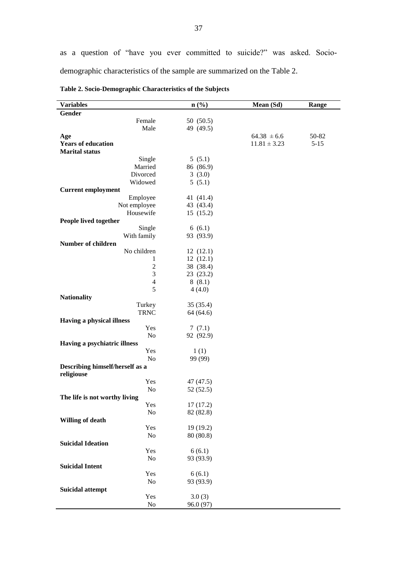| <b>Variables</b>                | $\mathbf{n}(\%)$ | Mean (Sd)        | Range    |
|---------------------------------|------------------|------------------|----------|
| Gender                          |                  |                  |          |
| Female                          | 50 (50.5)        |                  |          |
| Male                            | 49 (49.5)        |                  |          |
| Age                             |                  | $64.38 \pm 6.6$  | 50-82    |
| <b>Years of education</b>       |                  | $11.81 \pm 3.23$ | $5 - 15$ |
| <b>Marital</b> status           |                  |                  |          |
| Single                          | 5(5.1)           |                  |          |
| Married                         | 86 (86.9)        |                  |          |
| Divorced                        | 3(3.0)           |                  |          |
| Widowed                         | 5(5.1)           |                  |          |
| <b>Current employment</b>       |                  |                  |          |
| Employee                        | 41 (41.4)        |                  |          |
| Not employee                    | 43 (43.4)        |                  |          |
| Housewife                       | 15(15.2)         |                  |          |
| People lived together           |                  |                  |          |
| Single                          | 6(6.1)           |                  |          |
| With family                     | 93 (93.9)        |                  |          |
| <b>Number of children</b>       |                  |                  |          |
| No children                     | 12(12.1)         |                  |          |
| 1                               | 12(12.1)         |                  |          |
| $\overline{c}$                  | 38 (38.4)        |                  |          |
| 3                               | 23 (23.2)        |                  |          |
| 4                               | 8(8.1)           |                  |          |
| 5                               | 4(4.0)           |                  |          |
| <b>Nationality</b>              |                  |                  |          |
| Turkey                          | 35(35.4)         |                  |          |
| <b>TRNC</b>                     | 64 (64.6)        |                  |          |
| Having a physical illness       |                  |                  |          |
| Yes                             | 7(7.1)           |                  |          |
| No                              | 92 (92.9)        |                  |          |
| Having a psychiatric illness    |                  |                  |          |
| Yes                             | 1(1)             |                  |          |
| No                              | 99 (99)          |                  |          |
| Describing himself/herself as a |                  |                  |          |
| religiouse                      |                  |                  |          |
| Yes                             | 47 (47.5)        |                  |          |
| No                              | 52 (52.5)        |                  |          |
| The life is not worthy living   |                  |                  |          |
| Yes                             | 17(17.2)         |                  |          |
| No                              | 82 (82.8)        |                  |          |
| <b>Willing of death</b>         |                  |                  |          |
| Yes                             | 19 (19.2)        |                  |          |
| No                              | 80 (80.8)        |                  |          |
| <b>Suicidal Ideation</b>        |                  |                  |          |
| Yes                             | 6(6.1)           |                  |          |
| No                              | 93 (93.9)        |                  |          |
| <b>Suicidal Intent</b>          |                  |                  |          |
| Yes                             | 6(6.1)           |                  |          |
| No                              | 93 (93.9)        |                  |          |
|                                 |                  |                  |          |
| <b>Suicidal attempt</b><br>Yes  | 3.0(3)           |                  |          |
| $\rm No$                        | 96.0 (97)        |                  |          |
|                                 |                  |                  |          |

**Table 2. Socio-Demographic Characteristics of the Subjects**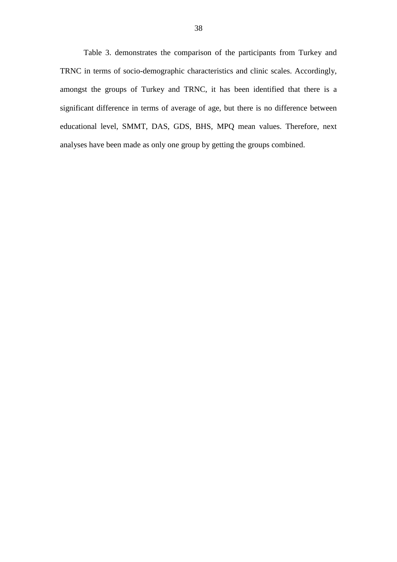Table 3. demonstrates the comparison of the participants from Turkey and TRNC in terms of socio-demographic characteristics and clinic scales. Accordingly, amongst the groups of Turkey and TRNC, it has been identified that there is a significant difference in terms of average of age, but there is no difference between educational level, SMMT, DAS, GDS, BHS, MPQ mean values. Therefore, next analyses have been made as only one group by getting the groups combined.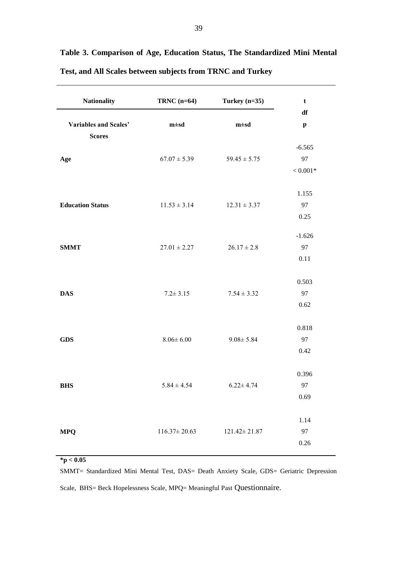| <b>Nationality</b>                     | TRNC $(n=64)$      | Turkey $(n=35)$    | $\mathbf t$                           |
|----------------------------------------|--------------------|--------------------|---------------------------------------|
| Variables and Scales'<br><b>Scores</b> | $m \pm sd$         | $m \pm sd$         | df<br>$\boldsymbol{\mathrm{p}}$       |
| Age                                    | $67.07 \pm 5.39$   | $59.45 \pm 5.75$   | $-6.565$<br>97<br>$< 0.001\mathrm{*}$ |
| <b>Education Status</b>                | $11.53 \pm 3.14$   | $12.31 \pm 3.37$   | 1.155<br>97<br>0.25                   |
| <b>SMMT</b>                            | $27.01 \pm 2.27$   | $26.17 \pm 2.8$    | $-1.626$<br>97<br>0.11                |
| <b>DAS</b>                             | $7.2 \pm 3.15$     | $7.54 \pm 3.32$    | 0.503<br>97<br>0.62                   |
| <b>GDS</b>                             | $8.06 \pm 6.00$    | $9.08 \pm 5.84$    | 0.818<br>97<br>0.42                   |
| <b>BHS</b>                             | $5.84 \pm 4.54$    | $6.22 \pm 4.74$    | 0.396<br>97<br>0.69                   |
| <b>MPQ</b>                             | $116.37 \pm 20.63$ | $121.42 \pm 21.87$ | 1.14<br>97<br>0.26                    |

**Table 3. Comparison of Age, Education Status, The Standardized Mini Mental Test, and All Scales between subjects from TRNC and Turkey**

**\*p < 0.05**

SMMT= Standardized Mini Mental Test, DAS= Death Anxiety Scale, GDS= Geriatric Depression Scale, BHS= Beck Hopelessness Scale, MPQ= Meaningful Past Questionnaire.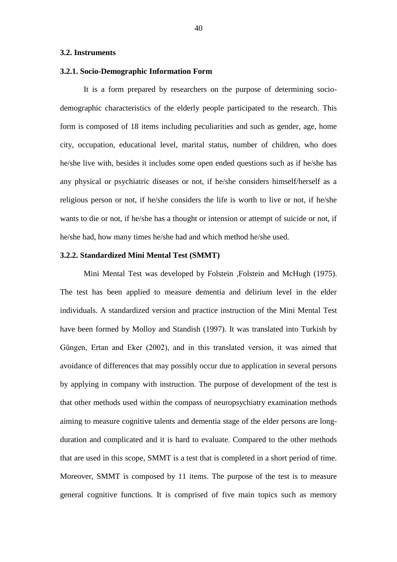## **3.2. Instruments**

## **3.2.1. Socio-Demographic Information Form**

It is a form prepared by researchers on the purpose of determining sociodemographic characteristics of the elderly people participated to the research. This form is composed of 18 items including peculiarities and such as gender, age, home city, occupation, educational level, marital status, number of children, who does he/she live with, besides it includes some open ended questions such as if he/she has any physical or psychiatric diseases or not, if he/she considers himself/herself as a religious person or not, if he/she considers the life is worth to live or not, if he/she wants to die or not, if he/she has a thought or intension or attempt of suicide or not, if he/she had, how many times he/she had and which method he/she used.

## **3.2.2. Standardized Mini Mental Test (SMMT)**

Mini Mental Test was developed by Folstein ,Folstein and McHugh (1975). The test has been applied to measure dementia and delirium level in the elder individuals. A standardized version and practice instruction of the Mini Mental Test have been formed by Molloy and Standish (1997). It was translated into Turkish by Güngen, Ertan and Eker (2002), and in this translated version, it was aimed that avoidance of differences that may possibly occur due to application in several persons by applying in company with instruction. The purpose of development of the test is that other methods used within the compass of neuropsychiatry examination methods aiming to measure cognitive talents and dementia stage of the elder persons are longduration and complicated and it is hard to evaluate. Compared to the other methods that are used in this scope, SMMT is a test that is completed in a short period of time. Moreover, SMMT is composed by 11 items. The purpose of the test is to measure general cognitive functions. It is comprised of five main topics such as memory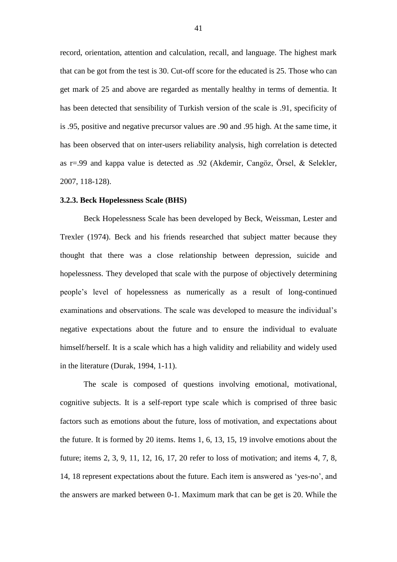record, orientation, attention and calculation, recall, and language. The highest mark that can be got from the test is 30. Cut-off score for the educated is 25. Those who can get mark of 25 and above are regarded as mentally healthy in terms of dementia. It has been detected that sensibility of Turkish version of the scale is .91, specificity of is .95, positive and negative precursor values are .90 and .95 high. At the same time, it has been observed that on inter-users reliability analysis, high correlation is detected as r=.99 and kappa value is detected as .92 (Akdemir, Cangöz, Örsel, & Selekler, 2007, 118-128).

#### **3.2.3. Beck Hopelessness Scale (BHS)**

Beck Hopelessness Scale has been developed by Beck, Weissman, Lester and Trexler (1974). Beck and his friends researched that subject matter because they thought that there was a close relationship between depression, suicide and hopelessness. They developed that scale with the purpose of objectively determining people's level of hopelessness as numerically as a result of long-continued examinations and observations. The scale was developed to measure the individual's negative expectations about the future and to ensure the individual to evaluate himself/herself. It is a scale which has a high validity and reliability and widely used in the literature (Durak, 1994, 1-11).

The scale is composed of questions involving emotional, motivational, cognitive subjects. It is a self-report type scale which is comprised of three basic factors such as emotions about the future, loss of motivation, and expectations about the future. It is formed by 20 items. Items 1, 6, 13, 15, 19 involve emotions about the future; items 2, 3, 9, 11, 12, 16, 17, 20 refer to loss of motivation; and items 4, 7, 8, 14, 18 represent expectations about the future. Each item is answered as 'yes-no', and the answers are marked between 0-1. Maximum mark that can be get is 20. While the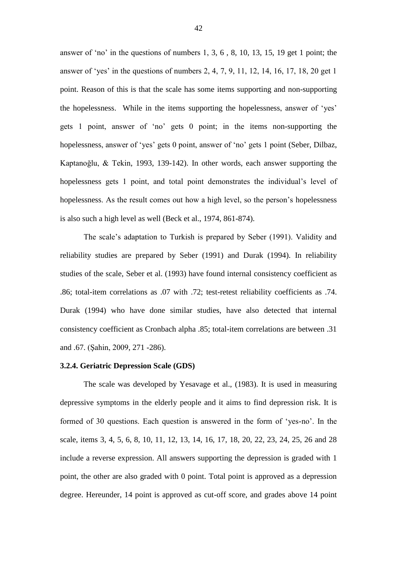answer of 'no' in the questions of numbers 1, 3, 6 , 8, 10, 13, 15, 19 get 1 point; the answer of 'yes' in the questions of numbers 2, 4, 7, 9, 11, 12, 14, 16, 17, 18, 20 get 1 point. Reason of this is that the scale has some items supporting and non-supporting the hopelessness. While in the items supporting the hopelessness, answer of 'yes' gets 1 point, answer of 'no' gets 0 point; in the items non-supporting the hopelessness, answer of 'yes' gets 0 point, answer of 'no' gets 1 point (Seber, Dilbaz, Kaptanoğlu, & Tekin, 1993, 139-142). In other words, each answer supporting the hopelessness gets 1 point, and total point demonstrates the individual's level of hopelessness. As the result comes out how a high level, so the person's hopelessness is also such a high level as well (Beck et al., 1974, 861-874).

The scale's adaptation to Turkish is prepared by Seber (1991). Validity and reliability studies are prepared by Seber (1991) and Durak (1994). In reliability studies of the scale, Seber et al. (1993) have found internal consistency coefficient as .86; total-item correlations as .07 with .72; test-retest reliability coefficients as .74. Durak (1994) who have done similar studies, have also detected that internal consistency coefficient as Cronbach alpha .85; total-item correlations are between .31 and .67. (Şahin, 2009, 271 -286).

## **3.2.4. Geriatric Depression Scale (GDS)**

The scale was developed by Yesavage et al., (1983). It is used in measuring depressive symptoms in the elderly people and it aims to find depression risk. It is formed of 30 questions. Each question is answered in the form of 'yes-no'. In the scale, items 3, 4, 5, 6, 8, 10, 11, 12, 13, 14, 16, 17, 18, 20, 22, 23, 24, 25, 26 and 28 include a reverse expression. All answers supporting the depression is graded with 1 point, the other are also graded with 0 point. Total point is approved as a depression degree. Hereunder, 14 point is approved as cut-off score, and grades above 14 point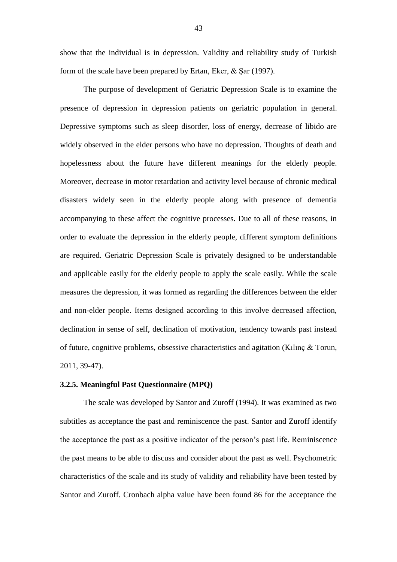show that the individual is in depression. Validity and reliability study of Turkish form of the scale have been prepared by Ertan, Eker, & Şar (1997).

The purpose of development of Geriatric Depression Scale is to examine the presence of depression in depression patients on geriatric population in general. Depressive symptoms such as sleep disorder, loss of energy, decrease of libido are widely observed in the elder persons who have no depression. Thoughts of death and hopelessness about the future have different meanings for the elderly people. Moreover, decrease in motor retardation and activity level because of chronic medical disasters widely seen in the elderly people along with presence of dementia accompanying to these affect the cognitive processes. Due to all of these reasons, in order to evaluate the depression in the elderly people, different symptom definitions are required. Geriatric Depression Scale is privately designed to be understandable and applicable easily for the elderly people to apply the scale easily. While the scale measures the depression, it was formed as regarding the differences between the elder and non-elder people. Items designed according to this involve decreased affection, declination in sense of self, declination of motivation, tendency towards past instead of future, cognitive problems, obsessive characteristics and agitation (Kılınç & Torun, 2011, 39-47).

## **3.2.5. Meaningful Past Questionnaire (MPQ)**

The scale was developed by Santor and Zuroff (1994). It was examined as two subtitles as acceptance the past and reminiscence the past. Santor and Zuroff identify the acceptance the past as a positive indicator of the person's past life. Reminiscence the past means to be able to discuss and consider about the past as well. Psychometric characteristics of the scale and its study of validity and reliability have been tested by Santor and Zuroff. Cronbach alpha value have been found 86 for the acceptance the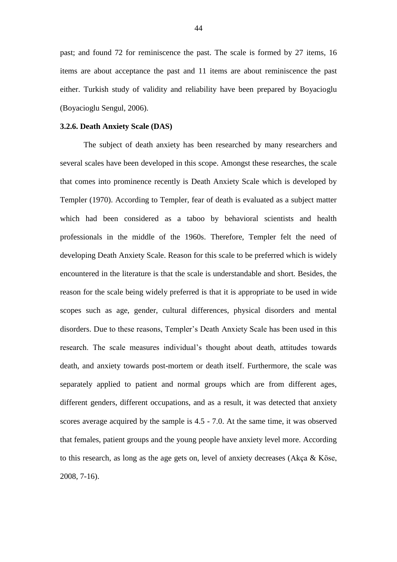past; and found 72 for reminiscence the past. The scale is formed by 27 items, 16 items are about acceptance the past and 11 items are about reminiscence the past either. Turkish study of validity and reliability have been prepared by Boyacioglu (Boyacioglu Sengul, 2006).

## **3.2.6. Death Anxiety Scale (DAS)**

The subject of death anxiety has been researched by many researchers and several scales have been developed in this scope. Amongst these researches, the scale that comes into prominence recently is Death Anxiety Scale which is developed by Templer (1970). According to Templer, fear of death is evaluated as a subject matter which had been considered as a taboo by behavioral scientists and health professionals in the middle of the 1960s. Therefore, Templer felt the need of developing Death Anxiety Scale. Reason for this scale to be preferred which is widely encountered in the literature is that the scale is understandable and short. Besides, the reason for the scale being widely preferred is that it is appropriate to be used in wide scopes such as age, gender, cultural differences, physical disorders and mental disorders. Due to these reasons, Templer's Death Anxiety Scale has been used in this research. The scale measures individual's thought about death, attitudes towards death, and anxiety towards post-mortem or death itself. Furthermore, the scale was separately applied to patient and normal groups which are from different ages, different genders, different occupations, and as a result, it was detected that anxiety scores average acquired by the sample is 4.5 - 7.0. At the same time, it was observed that females, patient groups and the young people have anxiety level more. According to this research, as long as the age gets on, level of anxiety decreases (Akça & Köse, 2008, 7-16).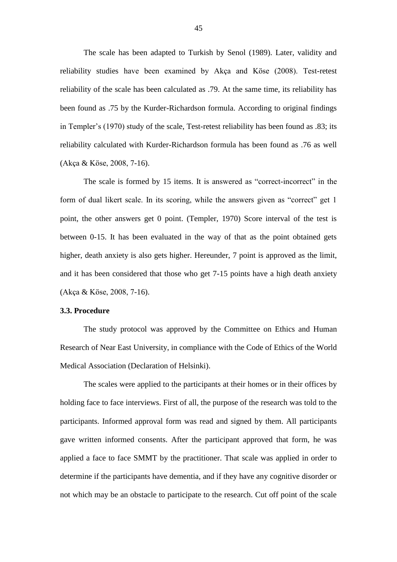The scale has been adapted to Turkish by Senol (1989). Later, validity and reliability studies have been examined by Akça and Köse (2008). Test-retest reliability of the scale has been calculated as .79. At the same time, its reliability has been found as .75 by the Kurder-Richardson formula. According to original findings in Templer's (1970) study of the scale, Test-retest reliability has been found as .83; its reliability calculated with Kurder-Richardson formula has been found as .76 as well (Akça & Köse, 2008, 7-16).

The scale is formed by 15 items. It is answered as "correct-incorrect" in the form of dual likert scale. In its scoring, while the answers given as "correct" get 1 point, the other answers get 0 point. (Templer, 1970) Score interval of the test is between 0-15. It has been evaluated in the way of that as the point obtained gets higher, death anxiety is also gets higher. Hereunder, 7 point is approved as the limit, and it has been considered that those who get 7-15 points have a high death anxiety (Akça & Köse, 2008, 7-16).

## **3.3. Procedure**

The study protocol was approved by the Committee on Ethics and Human Research of Near East University, in compliance with the Code of Ethics of the World Medical Association (Declaration of Helsinki).

The scales were applied to the participants at their homes or in their offices by holding face to face interviews. First of all, the purpose of the research was told to the participants. Informed approval form was read and signed by them. All participants gave written informed consents. After the participant approved that form, he was applied a face to face SMMT by the practitioner. That scale was applied in order to determine if the participants have dementia, and if they have any cognitive disorder or not which may be an obstacle to participate to the research. Cut off point of the scale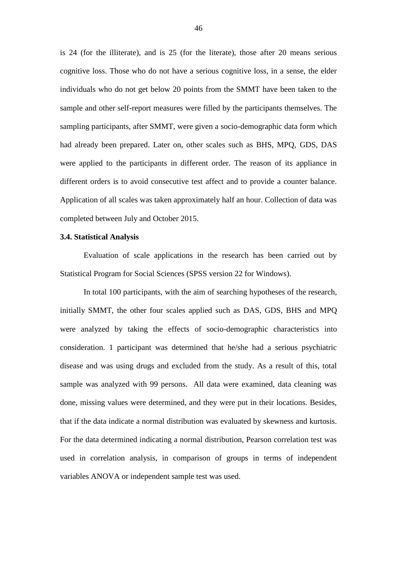is 24 (for the illiterate), and is 25 (for the literate), those after 20 means serious cognitive loss. Those who do not have a serious cognitive loss, in a sense, the elder individuals who do not get below 20 points from the SMMT have been taken to the sample and other self-report measures were filled by the participants themselves. The sampling participants, after SMMT, were given a socio-demographic data form which had already been prepared. Later on, other scales such as BHS, MPQ, GDS, DAS were applied to the participants in different order. The reason of its appliance in different orders is to avoid consecutive test affect and to provide a counter balance. Application of all scales was taken approximately half an hour. Collection of data was completed between July and October 2015.

## **3.4. Statistical Analysis**

Evaluation of scale applications in the research has been carried out by Statistical Program for Social Sciences (SPSS version 22 for Windows).

In total 100 participants, with the aim of searching hypotheses of the research, initially SMMT, the other four scales applied such as DAS, GDS, BHS and MPQ were analyzed by taking the effects of socio-demographic characteristics into consideration. 1 participant was determined that he/she had a serious psychiatric disease and was using drugs and excluded from the study. As a result of this, total sample was analyzed with 99 persons. All data were examined, data cleaning was done, missing values were determined, and they were put in their locations. Besides, that if the data indicate a normal distribution was evaluated by skewness and kurtosis. For the data determined indicating a normal distribution, Pearson correlation test was used in correlation analysis, in comparison of groups in terms of independent variables ANOVA or independent sample test was used.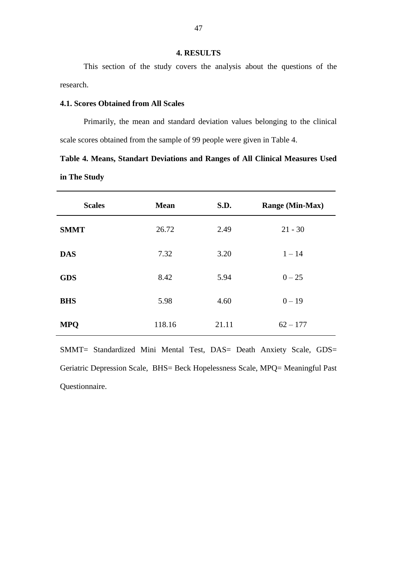## **4. RESULTS**

This section of the study covers the analysis about the questions of the research.

## **4.1. Scores Obtained from All Scales**

Primarily, the mean and standard deviation values belonging to the clinical scale scores obtained from the sample of 99 people were given in Table 4.

**Table 4. Means, Standart Deviations and Ranges of All Clinical Measures Used in The Study** 

| <b>Scales</b> | <b>Mean</b> | S.D.  | <b>Range (Min-Max)</b> |
|---------------|-------------|-------|------------------------|
| <b>SMMT</b>   | 26.72       | 2.49  | $21 - 30$              |
| <b>DAS</b>    | 7.32        | 3.20  | $1 - 14$               |
| <b>GDS</b>    | 8.42        | 5.94  | $0 - 25$               |
| <b>BHS</b>    | 5.98        | 4.60  | $0 - 19$               |
| <b>MPQ</b>    | 118.16      | 21.11 | $62 - 177$             |

SMMT= Standardized Mini Mental Test, DAS= Death Anxiety Scale, GDS= Geriatric Depression Scale, BHS= Beck Hopelessness Scale, MPQ= Meaningful Past Questionnaire.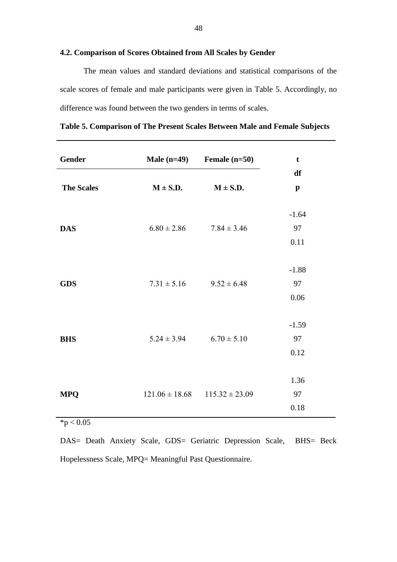## **4.2. Comparison of Scores Obtained from All Scales by Gender**

The mean values and standard deviations and statistical comparisons of the scale scores of female and male participants were given in Table 5. Accordingly, no difference was found between the two genders in terms of scales.

**Table 5. Comparison of The Present Scales Between Male and Female Subjects**

| Gender            |                                       | Male $(n=49)$ Female $(n=50)$ | $\mathbf t$           |
|-------------------|---------------------------------------|-------------------------------|-----------------------|
| <b>The Scales</b> | $M \pm S.D.$                          | $M \pm S.D.$                  | df<br>$\mathbf{p}$    |
| <b>DAS</b>        | $6.80 \pm 2.86$                       | $7.84 \pm 3.46$               | $-1.64$<br>97<br>0.11 |
| <b>GDS</b>        | $7.31 \pm 5.16$                       | $9.52 \pm 6.48$               | $-1.88$<br>97<br>0.06 |
| <b>BHS</b>        | $5.24 \pm 3.94$                       | $6.70 \pm 5.10$               | $-1.59$<br>97<br>0.12 |
| <b>MPQ</b>        | $121.06 \pm 18.68$ $115.32 \pm 23.09$ |                               | 1.36<br>97<br>0.18    |

 $*p < 0.05$ 

DAS= Death Anxiety Scale, GDS= Geriatric Depression Scale, BHS= Beck Hopelessness Scale, MPQ= Meaningful Past Questionnaire.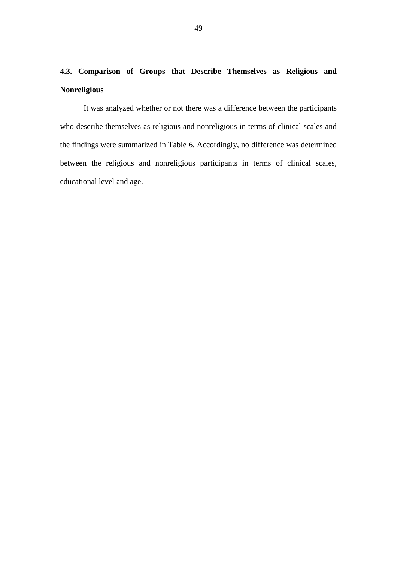# **4.3. Comparison of Groups that Describe Themselves as Religious and Nonreligious**

It was analyzed whether or not there was a difference between the participants who describe themselves as religious and nonreligious in terms of clinical scales and the findings were summarized in Table 6. Accordingly, no difference was determined between the religious and nonreligious participants in terms of clinical scales, educational level and age.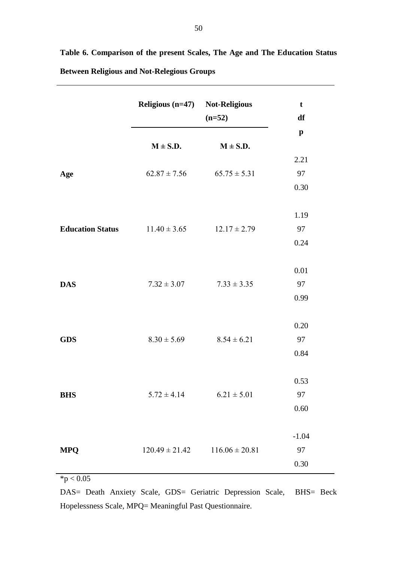|                         | Religious (n=47) Not-Religious | $(n=52)$           | $\mathbf t$<br>df |
|-------------------------|--------------------------------|--------------------|-------------------|
|                         |                                |                    | $\mathbf{p}$      |
|                         | $M \pm S.D.$                   | $M \pm S.D.$       |                   |
|                         |                                |                    | 2.21              |
| Age                     | $62.87 \pm 7.56$               | $65.75 \pm 5.31$   | 97                |
|                         |                                |                    | 0.30              |
|                         |                                |                    | 1.19              |
| <b>Education Status</b> | $11.40 \pm 3.65$               | $12.17 \pm 2.79$   | 97                |
|                         |                                |                    | 0.24              |
|                         |                                |                    |                   |
|                         |                                |                    | 0.01              |
| <b>DAS</b>              | $7.32 \pm 3.07$                | $7.33 \pm 3.35$    | 97                |
|                         |                                |                    | 0.99              |
|                         |                                |                    | 0.20              |
| <b>GDS</b>              | $8.30 \pm 5.69$                | $8.54 \pm 6.21$    | 97                |
|                         |                                |                    | 0.84              |
|                         |                                |                    |                   |
|                         |                                |                    | 0.53              |
| <b>BHS</b>              | $5.72 \pm 4.14$                | $6.21\pm5.01$      | 97                |
|                         |                                |                    | $0.60\,$          |
|                         |                                |                    |                   |
|                         |                                |                    | $-1.04$           |
| <b>MPQ</b>              | $120.49 \pm 21.42$             | $116.06 \pm 20.81$ | 97                |
|                         |                                |                    | 0.30              |
| $*p < 0.05$             |                                |                    |                   |

**Table 6. Comparison of the present Scales, The Age and The Education Status Between Religious and Not-Relegious Groups**

DAS= Death Anxiety Scale, GDS= Geriatric Depression Scale, BHS= Beck Hopelessness Scale, MPQ= Meaningful Past Questionnaire.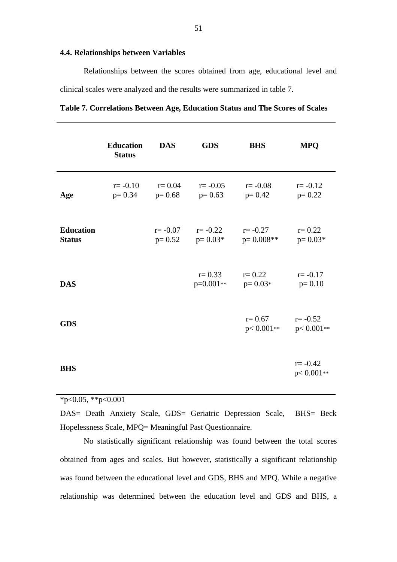## **4.4. Relationships between Variables**

Relationships between the scores obtained from age, educational level and clinical scales were analyzed and the results were summarized in table 7.

|                                   | <b>Education</b><br><b>Status</b> | <b>DAS</b>             | <b>GDS</b><br><b>BHS</b>          |                            | <b>MPQ</b>                   |
|-----------------------------------|-----------------------------------|------------------------|-----------------------------------|----------------------------|------------------------------|
| Age                               | $r = -0.10$<br>$p=0.34$           | $r = 0.04$<br>$p=0.68$ | $r = -0.05$<br>$p=0.63$           | $r = -0.08$<br>$p=0.42$    | $r = -0.12$<br>$p=0.22$      |
| <b>Education</b><br><b>Status</b> |                                   | $r = -0.07$            | $r = -0.22$<br>$p=0.52$ $p=0.03*$ | $r = -0.27$<br>$p=0.008**$ | $r = 0.22$<br>$p = 0.03*$    |
| <b>DAS</b>                        |                                   |                        | $r = 0.33$<br>$p=0.001**$         | $r = 0.22$<br>$p=0.03*$    | $r = -0.17$<br>$p=0.10$      |
| <b>GDS</b>                        |                                   |                        |                                   | $r = 0.67$<br>$p<0.001**$  | $r = -0.52$<br>$p < 0.001**$ |
| <b>BHS</b>                        |                                   |                        |                                   |                            | $r = -0.42$<br>$p < 0.001**$ |

| Table 7. Correlations Between Age, Education Status and The Scores of Scales |  |  |  |  |  |  |  |  |  |
|------------------------------------------------------------------------------|--|--|--|--|--|--|--|--|--|
|------------------------------------------------------------------------------|--|--|--|--|--|--|--|--|--|

 $*p<0.05$ ,  $*p<0.001$ 

DAS= Death Anxiety Scale, GDS= Geriatric Depression Scale, BHS= Beck Hopelessness Scale, MPQ= Meaningful Past Questionnaire.

No statistically significant relationship was found between the total scores obtained from ages and scales. But however, statistically a significant relationship was found between the educational level and GDS, BHS and MPQ. While a negative relationship was determined between the education level and GDS and BHS, a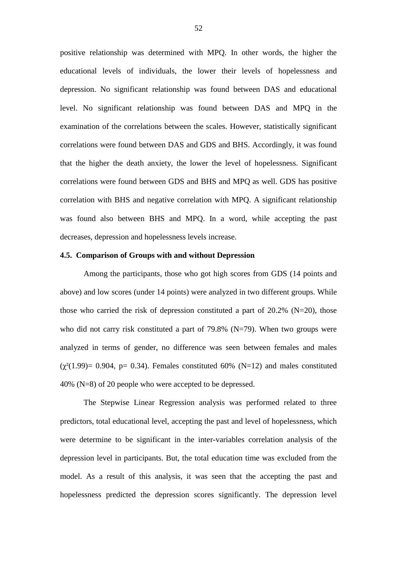positive relationship was determined with MPQ. In other words, the higher the educational levels of individuals, the lower their levels of hopelessness and depression. No significant relationship was found between DAS and educational level. No significant relationship was found between DAS and MPQ in the examination of the correlations between the scales. However, statistically significant correlations were found between DAS and GDS and BHS. Accordingly, it was found that the higher the death anxiety, the lower the level of hopelessness. Significant correlations were found between GDS and BHS and MPQ as well. GDS has positive correlation with BHS and negative correlation with MPQ. A significant relationship was found also between BHS and MPQ. In a word, while accepting the past decreases, depression and hopelessness levels increase.

## **4.5. Comparison of Groups with and without Depression**

Among the participants, those who got high scores from GDS (14 points and above) and low scores (under 14 points) were analyzed in two different groups. While those who carried the risk of depression constituted a part of  $20.2\%$  (N=20), those who did not carry risk constituted a part of  $79.8\%$  (N=79). When two groups were analyzed in terms of gender, no difference was seen between females and males  $(\chi^2(1.99)= 0.904$ , p= 0.34). Females constituted 60% (N=12) and males constituted 40% (N=8) of 20 people who were accepted to be depressed.

The Stepwise Linear Regression analysis was performed related to three predictors, total educational level, accepting the past and level of hopelessness, which were determine to be significant in the inter-variables correlation analysis of the depression level in participants. But, the total education time was excluded from the model. As a result of this analysis, it was seen that the accepting the past and hopelessness predicted the depression scores significantly. The depression level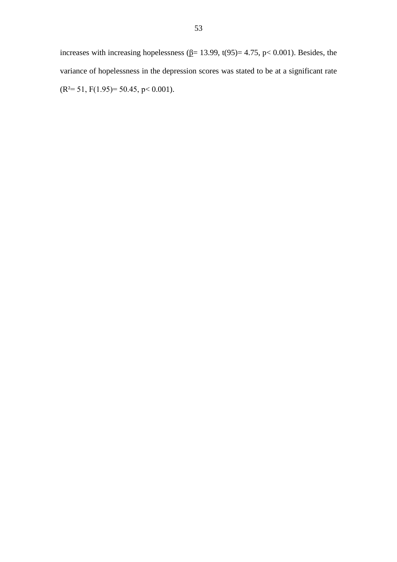increases with increasing hopelessness ( $\underline{\beta}$ = 13.99, t(95)= 4.75, p< 0.001). Besides, the variance of hopelessness in the depression scores was stated to be at a significant rate  $(R<sup>2</sup>= 51, F(1.95)= 50.45, p< 0.001).$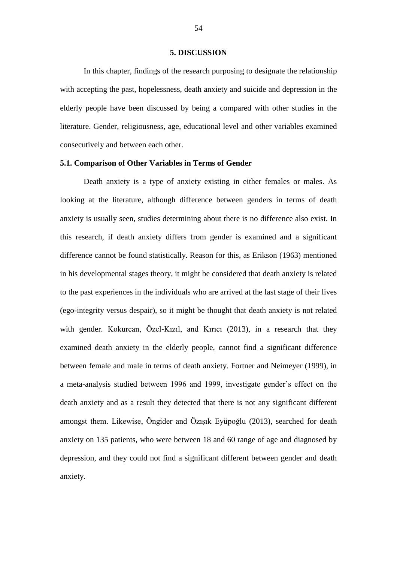#### **5. DISCUSSION**

In this chapter, findings of the research purposing to designate the relationship with accepting the past, hopelessness, death anxiety and suicide and depression in the elderly people have been discussed by being a compared with other studies in the literature. Gender, religiousness, age, educational level and other variables examined consecutively and between each other.

## **5.1. Comparison of Other Variables in Terms of Gender**

Death anxiety is a type of anxiety existing in either females or males. As looking at the literature, although difference between genders in terms of death anxiety is usually seen, studies determining about there is no difference also exist. In this research, if death anxiety differs from gender is examined and a significant difference cannot be found statistically. Reason for this, as Erikson (1963) mentioned in his developmental stages theory, it might be considered that death anxiety is related to the past experiences in the individuals who are arrived at the last stage of their lives (ego-integrity versus despair), so it might be thought that death anxiety is not related with gender. Kokurcan, Özel-Kızıl, and Kırıcı (2013), in a research that they examined death anxiety in the elderly people, cannot find a significant difference between female and male in terms of death anxiety. Fortner and Neimeyer (1999), in a meta-analysis studied between 1996 and 1999, investigate gender's effect on the death anxiety and as a result they detected that there is not any significant different amongst them. Likewise, Öngider and Özışık Eyüpoğlu (2013), searched for death anxiety on 135 patients, who were between 18 and 60 range of age and diagnosed by depression, and they could not find a significant different between gender and death anxiety.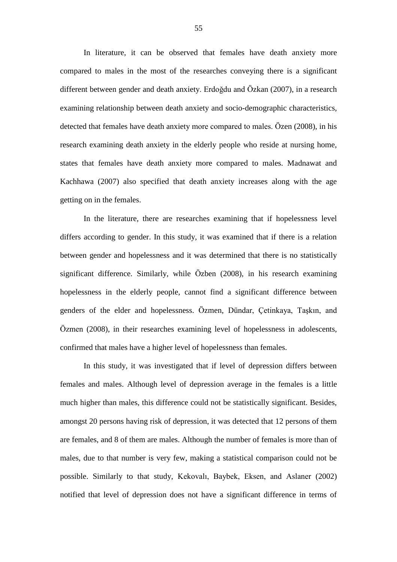In literature, it can be observed that females have death anxiety more compared to males in the most of the researches conveying there is a significant different between gender and death anxiety. Erdoğdu and Özkan (2007), in a research examining relationship between death anxiety and socio-demographic characteristics, detected that females have death anxiety more compared to males. Özen (2008), in his research examining death anxiety in the elderly people who reside at nursing home, states that females have death anxiety more compared to males. Madnawat and Kachhawa (2007) also specified that death anxiety increases along with the age getting on in the females.

In the literature, there are researches examining that if hopelessness level differs according to gender. In this study, it was examined that if there is a relation between gender and hopelessness and it was determined that there is no statistically significant difference. Similarly, while Özben (2008), in his research examining hopelessness in the elderly people, cannot find a significant difference between genders of the elder and hopelessness. Özmen, Dündar, Çetinkaya, Taşkın, and Özmen (2008), in their researches examining level of hopelessness in adolescents, confirmed that males have a higher level of hopelessness than females.

In this study, it was investigated that if level of depression differs between females and males. Although level of depression average in the females is a little much higher than males, this difference could not be statistically significant. Besides, amongst 20 persons having risk of depression, it was detected that 12 persons of them are females, and 8 of them are males. Although the number of females is more than of males, due to that number is very few, making a statistical comparison could not be possible. Similarly to that study, Kekovalı, Baybek, Eksen, and Aslaner (2002) notified that level of depression does not have a significant difference in terms of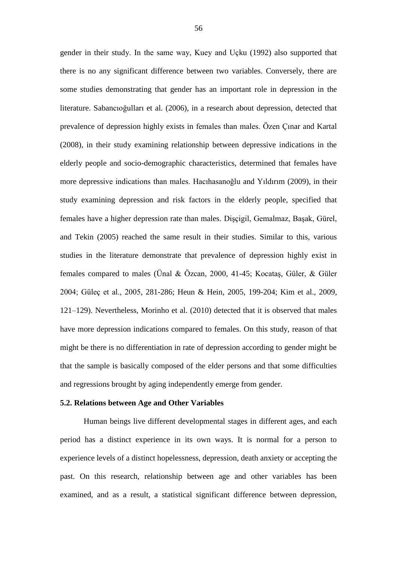gender in their study. In the same way, Kuey and Uçku (1992) also supported that there is no any significant difference between two variables. Conversely, there are some studies demonstrating that gender has an important role in depression in the literature. Sabancıoğulları et al. (2006), in a research about depression, detected that prevalence of depression highly exists in females than males. Özen Çınar and Kartal (2008), in their study examining relationship between depressive indications in the elderly people and socio-demographic characteristics, determined that females have more depressive indications than males. Hacıhasanoğlu and Yıldırım (2009), in their study examining depression and risk factors in the elderly people, specified that females have a higher depression rate than males. Dişçigil, Gemalmaz, Başak, Gürel, and Tekin (2005) reached the same result in their studies. Similar to this, various studies in the literature demonstrate that prevalence of depression highly exist in females compared to males (Ünal & Özcan, 2000, 41-45; Kocataş, Güler, & Güler 2004; Güleç et al., 2005, 281-286; Heun & Hein, 2005, 199-204; Kim et al., 2009, 121–129). Nevertheless, Morinho et al. (2010) detected that it is observed that males have more depression indications compared to females. On this study, reason of that might be there is no differentiation in rate of depression according to gender might be that the sample is basically composed of the elder persons and that some difficulties and regressions brought by aging independently emerge from gender.

#### **5.2. Relations between Age and Other Variables**

Human beings live different developmental stages in different ages, and each period has a distinct experience in its own ways. It is normal for a person to experience levels of a distinct hopelessness, depression, death anxiety or accepting the past. On this research, relationship between age and other variables has been examined, and as a result, a statistical significant difference between depression,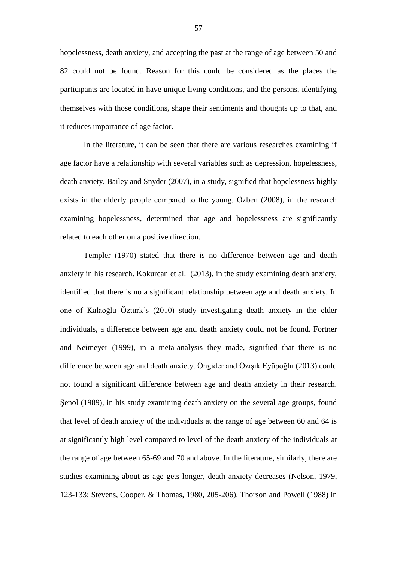hopelessness, death anxiety, and accepting the past at the range of age between 50 and 82 could not be found. Reason for this could be considered as the places the participants are located in have unique living conditions, and the persons, identifying themselves with those conditions, shape their sentiments and thoughts up to that, and it reduces importance of age factor.

In the literature, it can be seen that there are various researches examining if age factor have a relationship with several variables such as depression, hopelessness, death anxiety. Bailey and Snyder (2007), in a study, signified that hopelessness highly exists in the elderly people compared to the young. Özben (2008), in the research examining hopelessness, determined that age and hopelessness are significantly related to each other on a positive direction.

Templer (1970) stated that there is no difference between age and death anxiety in his research. Kokurcan et al. (2013), in the study examining death anxiety, identified that there is no a significant relationship between age and death anxiety. In one of Kalaoğlu Özturk's (2010) study investigating death anxiety in the elder individuals, a difference between age and death anxiety could not be found. Fortner and Neimeyer (1999), in a meta-analysis they made, signified that there is no difference between age and death anxiety. Öngider and Özışık Eyüpoğlu (2013) could not found a significant difference between age and death anxiety in their research. Şenol (1989), in his study examining death anxiety on the several age groups, found that level of death anxiety of the individuals at the range of age between 60 and 64 is at significantly high level compared to level of the death anxiety of the individuals at the range of age between 65-69 and 70 and above. In the literature, similarly, there are studies examining about as age gets longer, death anxiety decreases (Nelson, 1979, 123-133; Stevens, Cooper, & Thomas, 1980, 205-206). Thorson and Powell (1988) in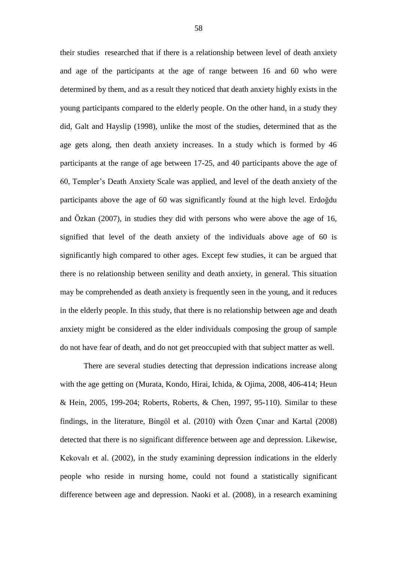their studies researched that if there is a relationship between level of death anxiety and age of the participants at the age of range between 16 and 60 who were determined by them, and as a result they noticed that death anxiety highly exists in the young participants compared to the elderly people. On the other hand, in a study they did, Galt and Hayslip (1998), unlike the most of the studies, determined that as the age gets along, then death anxiety increases. In a study which is formed by 46 participants at the range of age between 17-25, and 40 participants above the age of 60, Templer's Death Anxiety Scale was applied, and level of the death anxiety of the participants above the age of 60 was significantly found at the high level. Erdoğdu and Özkan (2007), in studies they did with persons who were above the age of 16, signified that level of the death anxiety of the individuals above age of 60 is significantly high compared to other ages. Except few studies, it can be argued that there is no relationship between senility and death anxiety, in general. This situation may be comprehended as death anxiety is frequently seen in the young, and it reduces in the elderly people. In this study, that there is no relationship between age and death anxiety might be considered as the elder individuals composing the group of sample do not have fear of death, and do not get preoccupied with that subject matter as well.

There are several studies detecting that depression indications increase along with the age getting on (Murata, [Kondo, Hirai,](http://www.ncbi.nlm.nih.gov/pubmed/?term=Kondo%20K%5BAuthor%5D&cauthor=true&cauthor_uid=17913562) [Ichida, &](http://www.ncbi.nlm.nih.gov/pubmed/?term=Ichida%20Y%5BAuthor%5D&cauthor=true&cauthor_uid=17913562) [Ojima, 2](http://www.ncbi.nlm.nih.gov/pubmed/?term=Ichida%20Y%5BAuthor%5D&cauthor=true&cauthor_uid=17913562)008, 406-414; Heun & Hein, 2005, 199-204; Roberts, [Roberts,](http://www.ncbi.nlm.nih.gov/pubmed/?term=Roberts%20CR%5BAuthor%5D&cauthor=true&cauthor_uid=9231998) & [Chen, 1](http://www.ncbi.nlm.nih.gov/pubmed/?term=Roberts%20CR%5BAuthor%5D&cauthor=true&cauthor_uid=9231998)997, 95-110). Similar to these findings, in the literature, Bingöl et al. (2010) with Özen Çınar and Kartal (2008) detected that there is no significant difference between age and depression. Likewise, Kekovalı et al. (2002), in the study examining depression indications in the elderly people who reside in nursing home, could not found a statistically significant difference between age and depression. Naoki et al. (2008), in a research examining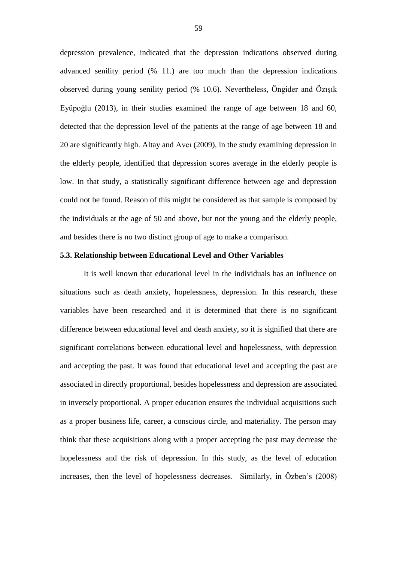depression prevalence, indicated that the depression indications observed during advanced senility period (% 11.) are too much than the depression indications observed during young senility period (% 10.6). Nevertheless, Öngider and Özışık Eyüpoğlu (2013), in their studies examined the range of age between 18 and 60, detected that the depression level of the patients at the range of age between 18 and 20 are significantly high. Altay and Avcı (2009), in the study examining depression in the elderly people, identified that depression scores average in the elderly people is low. In that study, a statistically significant difference between age and depression could not be found. Reason of this might be considered as that sample is composed by the individuals at the age of 50 and above, but not the young and the elderly people, and besides there is no two distinct group of age to make a comparison.

# **5.3. Relationship between Educational Level and Other Variables**

It is well known that educational level in the individuals has an influence on situations such as death anxiety, hopelessness, depression. In this research, these variables have been researched and it is determined that there is no significant difference between educational level and death anxiety, so it is signified that there are significant correlations between educational level and hopelessness, with depression and accepting the past. It was found that educational level and accepting the past are associated in directly proportional, besides hopelessness and depression are associated in inversely proportional. A proper education ensures the individual acquisitions such as a proper business life, career, a conscious circle, and materiality. The person may think that these acquisitions along with a proper accepting the past may decrease the hopelessness and the risk of depression. In this study, as the level of education increases, then the level of hopelessness decreases. Similarly, in Özben's (2008)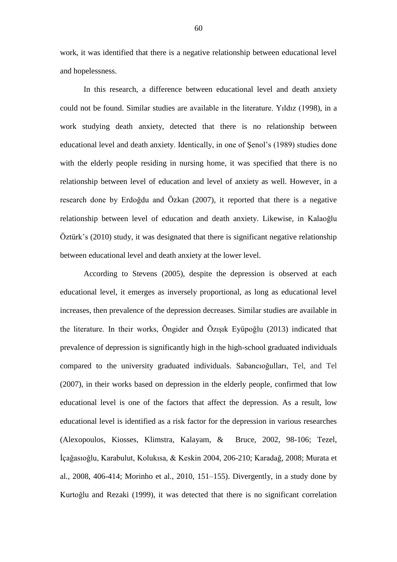work, it was identified that there is a negative relationship between educational level and hopelessness.

In this research, a difference between educational level and death anxiety could not be found. Similar studies are available in the literature. Yıldız (1998), in a work studying death anxiety, detected that there is no relationship between educational level and death anxiety. Identically, in one of Şenol's (1989) studies done with the elderly people residing in nursing home, it was specified that there is no relationship between level of education and level of anxiety as well. However, in a research done by Erdoğdu and Özkan (2007), it reported that there is a negative relationship between level of education and death anxiety. Likewise, in Kalaoğlu Öztürk's (2010) study, it was designated that there is significant negative relationship between educational level and death anxiety at the lower level.

According to Stevens (2005), despite the depression is observed at each educational level, it emerges as inversely proportional, as long as educational level increases, then prevalence of the depression decreases. Similar studies are available in the literature. In their works, Öngider and Özışık Eyüpoğlu (2013) indicated that prevalence of depression is significantly high in the high-school graduated individuals compared to the university graduated individuals. Sabancıoğulları, Tel, and Tel (2007), in their works based on depression in the elderly people, confirmed that low educational level is one of the factors that affect the depression. As a result, low educational level is identified as a risk factor for the depression in various researches (Alexopoulos, [Kiosses, Klimstra,](http://www.ncbi.nlm.nih.gov/pubmed/?term=Kiosses%20DN%5BAuthor%5D&cauthor=true&cauthor_uid=11790640) [Kalayam, &](http://www.ncbi.nlm.nih.gov/pubmed/?term=Kalayam%20B%5BAuthor%5D&cauthor=true&cauthor_uid=11790640) [Bruce, 2](http://www.ncbi.nlm.nih.gov/pubmed/?term=Bruce%20ML%5BAuthor%5D&cauthor=true&cauthor_uid=11790640)002, 98-106; Tezel, İçağasıoğlu, Karabulut, Kolukısa, & Keskin 2004, 206-210; Karadağ, 2008; Murata et al., 2008, 406-414; Morinho et al., 2010, 151–155). Divergently, in a study done by Kurtoğlu and Rezaki (1999), it was detected that there is no significant correlation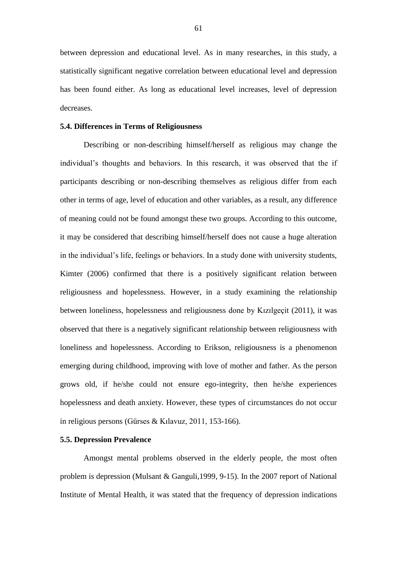between depression and educational level. As in many researches, in this study, a statistically significant negative correlation between educational level and depression has been found either. As long as educational level increases, level of depression decreases.

## **5.4. Differences in Terms of Religiousness**

Describing or non-describing himself/herself as religious may change the individual's thoughts and behaviors. In this research, it was observed that the if participants describing or non-describing themselves as religious differ from each other in terms of age, level of education and other variables, as a result, any difference of meaning could not be found amongst these two groups. According to this outcome, it may be considered that describing himself/herself does not cause a huge alteration in the individual's life, feelings or behaviors. In a study done with university students, Kimter (2006) confirmed that there is a positively significant relation between religiousness and hopelessness. However, in a study examining the relationship between loneliness, hopelessness and religiousness done by Kızılgeçit (2011), it was observed that there is a negatively significant relationship between religiousness with loneliness and hopelessness. According to Erikson, religiousness is a phenomenon emerging during childhood, improving with love of mother and father. As the person grows old, if he/she could not ensure ego-integrity, then he/she experiences hopelessness and death anxiety. However, these types of circumstances do not occur in religious persons (Gürses & Kılavuz, 2011, 153-166).

#### **5.5. Depression Prevalence**

Amongst mental problems observed in the elderly people, the most often problem is depression (Mulsant & Ganguli,1999, 9-15). In the 2007 report of National Institute of Mental Health, it was stated that the frequency of depression indications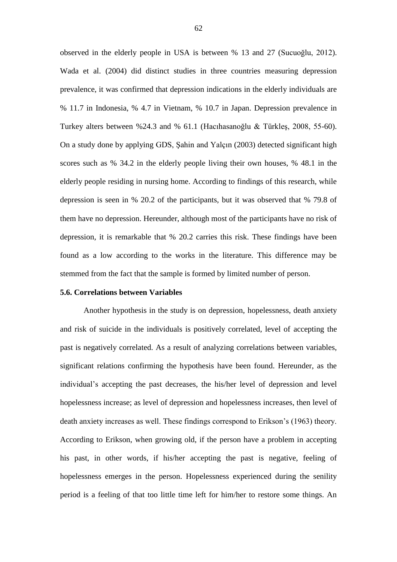observed in the elderly people in USA is between % 13 and 27 (Sucuoğlu, 2012). Wada et al. (2004) did distinct studies in three countries measuring depression prevalence, it was confirmed that depression indications in the elderly individuals are % 11.7 in Indonesia, % 4.7 in Vietnam, % 10.7 in Japan. Depression prevalence in Turkey alters between %24.3 and % 61.1 (Hacıhasanoğlu & Türkleş, 2008, 55-60). On a study done by applying GDS, Şahin and Yalçın (2003) detected significant high scores such as % 34.2 in the elderly people living their own houses, % 48.1 in the elderly people residing in nursing home. According to findings of this research, while depression is seen in % 20.2 of the participants, but it was observed that % 79.8 of them have no depression. Hereunder, although most of the participants have no risk of depression, it is remarkable that % 20.2 carries this risk. These findings have been found as a low according to the works in the literature. This difference may be stemmed from the fact that the sample is formed by limited number of person.

#### **5.6. Correlations between Variables**

Another hypothesis in the study is on depression, hopelessness, death anxiety and risk of suicide in the individuals is positively correlated, level of accepting the past is negatively correlated. As a result of analyzing correlations between variables, significant relations confirming the hypothesis have been found. Hereunder, as the individual's accepting the past decreases, the his/her level of depression and level hopelessness increase; as level of depression and hopelessness increases, then level of death anxiety increases as well. These findings correspond to Erikson's (1963) theory. According to Erikson, when growing old, if the person have a problem in accepting his past, in other words, if his/her accepting the past is negative, feeling of hopelessness emerges in the person. Hopelessness experienced during the senility period is a feeling of that too little time left for him/her to restore some things. An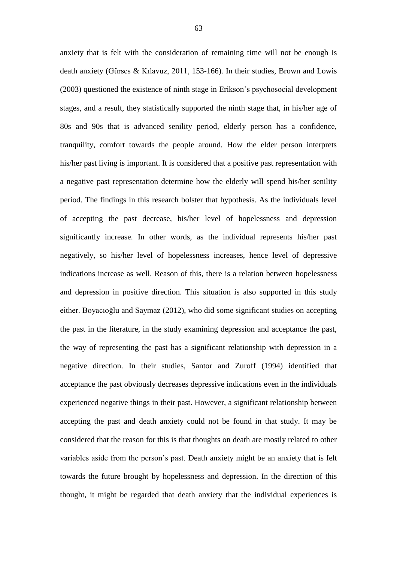anxiety that is felt with the consideration of remaining time will not be enough is death anxiety (Gürses & Kılavuz, 2011, 153-166). In their studies, Brown and Lowis (2003) questioned the existence of ninth stage in Erikson's psychosocial development stages, and a result, they statistically supported the ninth stage that, in his/her age of 80s and 90s that is advanced senility period, elderly person has a confidence, tranquility, comfort towards the people around. How the elder person interprets his/her past living is important. It is considered that a positive past representation with a negative past representation determine how the elderly will spend his/her senility period. The findings in this research bolster that hypothesis. As the individuals level of accepting the past decrease, his/her level of hopelessness and depression significantly increase. In other words, as the individual represents his/her past negatively, so his/her level of hopelessness increases, hence level of depressive indications increase as well. Reason of this, there is a relation between hopelessness and depression in positive direction. This situation is also supported in this study either. Boyacıoğlu and Saymaz (2012), who did some significant studies on accepting the past in the literature, in the study examining depression and acceptance the past, the way of representing the past has a significant relationship with depression in a negative direction. In their studies, Santor and Zuroff (1994) identified that acceptance the past obviously decreases depressive indications even in the individuals experienced negative things in their past. However, a significant relationship between accepting the past and death anxiety could not be found in that study. It may be considered that the reason for this is that thoughts on death are mostly related to other variables aside from the person's past. Death anxiety might be an anxiety that is felt towards the future brought by hopelessness and depression. In the direction of this thought, it might be regarded that death anxiety that the individual experiences is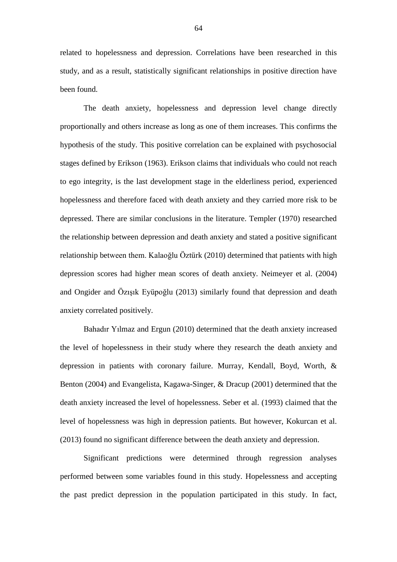related to hopelessness and depression. Correlations have been researched in this study, and as a result, statistically significant relationships in positive direction have been found.

The death anxiety, hopelessness and depression level change directly proportionally and others increase as long as one of them increases. This confirms the hypothesis of the study. This positive correlation can be explained with psychosocial stages defined by Erikson (1963). Erikson claims that individuals who could not reach to ego integrity, is the last development stage in the elderliness period, experienced hopelessness and therefore faced with death anxiety and they carried more risk to be depressed. There are similar conclusions in the literature. Templer (1970) researched the relationship between depression and death anxiety and stated a positive significant relationship between them. Kalaoğlu Öztürk (2010) determined that patients with high depression scores had higher mean scores of death anxiety. Neimeyer et al. (2004) and Ongider and Özışık Eyüpoğlu (2013) similarly found that depression and death anxiety correlated positively.

Bahadır Yılmaz and Ergun (2010) determined that the death anxiety increased the level of hopelessness in their study where they research the death anxiety and depression in patients with coronary failure. Murray, Kendall, Boyd, Worth, & Benton (2004) and Evangelista, Kagawa-Singer, & Dracup (2001) determined that the death anxiety increased the level of hopelessness. Seber et al. (1993) claimed that the level of hopelessness was high in depression patients. But however, Kokurcan et al. (2013) found no significant difference between the death anxiety and depression.

Significant predictions were determined through regression analyses performed between some variables found in this study. Hopelessness and accepting the past predict depression in the population participated in this study. In fact,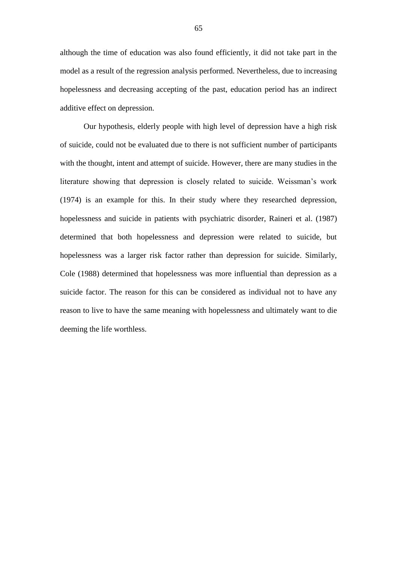although the time of education was also found efficiently, it did not take part in the model as a result of the regression analysis performed. Nevertheless, due to increasing hopelessness and decreasing accepting of the past, education period has an indirect additive effect on depression.

Our hypothesis, elderly people with high level of depression have a high risk of suicide, could not be evaluated due to there is not sufficient number of participants with the thought, intent and attempt of suicide. However, there are many studies in the literature showing that depression is closely related to suicide. Weissman's work (1974) is an example for this. In their study where they researched depression, hopelessness and suicide in patients with psychiatric disorder, Raineri et al. (1987) determined that both hopelessness and depression were related to suicide, but hopelessness was a larger risk factor rather than depression for suicide. Similarly, Cole (1988) determined that hopelessness was more influential than depression as a suicide factor. The reason for this can be considered as individual not to have any reason to live to have the same meaning with hopelessness and ultimately want to die deeming the life worthless.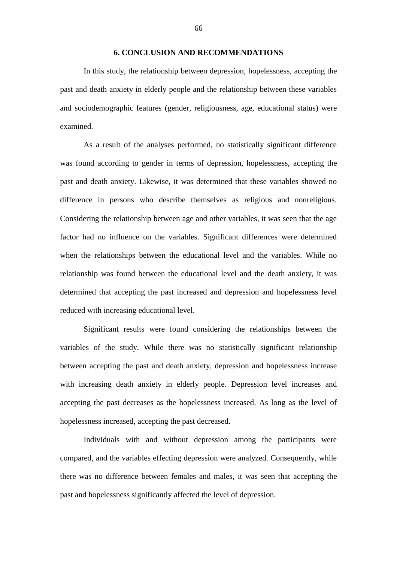### **6. CONCLUSION AND RECOMMENDATIONS**

In this study, the relationship between depression, hopelessness, accepting the past and death anxiety in elderly people and the relationship between these variables and sociodemographic features (gender, religiousness, age, educational status) were examined.

As a result of the analyses performed, no statistically significant difference was found according to gender in terms of depression, hopelessness, accepting the past and death anxiety. Likewise, it was determined that these variables showed no difference in persons who describe themselves as religious and nonreligious. Considering the relationship between age and other variables, it was seen that the age factor had no influence on the variables. Significant differences were determined when the relationships between the educational level and the variables. While no relationship was found between the educational level and the death anxiety, it was determined that accepting the past increased and depression and hopelessness level reduced with increasing educational level.

Significant results were found considering the relationships between the variables of the study. While there was no statistically significant relationship between accepting the past and death anxiety, depression and hopelessness increase with increasing death anxiety in elderly people. Depression level increases and accepting the past decreases as the hopelessness increased. As long as the level of hopelessness increased, accepting the past decreased.

Individuals with and without depression among the participants were compared, and the variables effecting depression were analyzed. Consequently, while there was no difference between females and males, it was seen that accepting the past and hopelessness significantly affected the level of depression.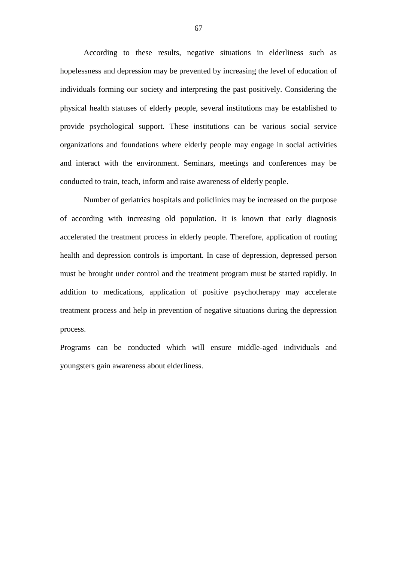According to these results, negative situations in elderliness such as hopelessness and depression may be prevented by increasing the level of education of individuals forming our society and interpreting the past positively. Considering the physical health statuses of elderly people, several institutions may be established to provide psychological support. These institutions can be various social service organizations and foundations where elderly people may engage in social activities and interact with the environment. Seminars, meetings and conferences may be conducted to train, teach, inform and raise awareness of elderly people.

Number of geriatrics hospitals and policlinics may be increased on the purpose of according with increasing old population. It is known that early diagnosis accelerated the treatment process in elderly people. Therefore, application of routing health and depression controls is important. In case of depression, depressed person must be brought under control and the treatment program must be started rapidly. In addition to medications, application of positive psychotherapy may accelerate treatment process and help in prevention of negative situations during the depression process.

Programs can be conducted which will ensure middle-aged individuals and youngsters gain awareness about elderliness.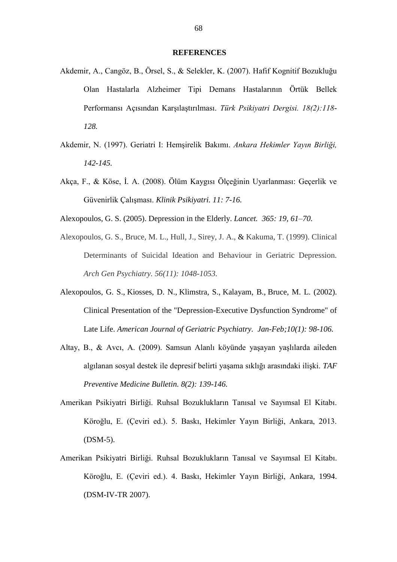#### **REFERENCES**

- Akdemir, A., Cangöz, B., Örsel, S., & Selekler, K. (2007). Hafif Kognitif Bozukluğu Olan Hastalarla Alzheimer Tipi Demans Hastalarının Örtük Bellek Performansı Açısından Karşılaştırılması. *Türk Psikiyatri Dergisi. 18(2):118- 128.*
- Akdemir, N. (1997). Geriatri I: Hemşirelik Bakımı. *Ankara Hekimler Yayın Birliği, 142-145.*
- Akça, F., & Köse, İ. A. (2008). Ölüm Kaygısı Ölçeğinin Uyarlanması: Geçerlik ve Güvenirlik Çalışması. *Klinik Psikiyatri. 11: 7-16.*
- Alexopoulos, G. S. (2005). Depression in the Elderly. *Lancet. 365: 19, 61–70.*
- Alexopoulos, G. S., Bruce, M. L., Hull, J., Sirey, J. A., & Kakuma, T. (1999). Clinical Determinants of Suicidal Ideation and Behaviour in Geriatric Depression. *Arch Gen Psychiatry. 56(11): 1048-1053.*
- [Alexopoulos, G. S.](http://www.ncbi.nlm.nih.gov/pubmed/?term=Alexopoulos%20GS%5BAuthor%5D&cauthor=true&cauthor_uid=11790640), [Kiosses, D. N.](http://www.ncbi.nlm.nih.gov/pubmed/?term=Kiosses%20DN%5BAuthor%5D&cauthor=true&cauthor_uid=11790640), [Klimstra, S.](http://www.ncbi.nlm.nih.gov/pubmed/?term=Klimstra%20S%5BAuthor%5D&cauthor=true&cauthor_uid=11790640), [Kalayam, B.](http://www.ncbi.nlm.nih.gov/pubmed/?term=Kalayam%20B%5BAuthor%5D&cauthor=true&cauthor_uid=11790640), [Bruce, M. L.](http://www.ncbi.nlm.nih.gov/pubmed/?term=Bruce%20ML%5BAuthor%5D&cauthor=true&cauthor_uid=11790640) (2002). Clinical Presentation of the "Depression-Executive Dysfunction Syndrome" of Late Life. *[American Journal of Geriatric Psychiatry.](http://www.ncbi.nlm.nih.gov/pubmed/11790640) Jan-Feb;10(1): 98-106.*
- Altay, B., & Avcı, A. (2009). Samsun Alanlı köyünde yaşayan yaşlılarda aileden algılanan sosyal destek ile depresif belirti yaşama sıklığı arasındaki ilişki. *TAF Preventive Medicine Bulletin. 8(2): 139-146.*
- Amerikan Psikiyatri Birliği. Ruhsal Bozuklukların Tanısal ve Sayımsal El Kitabı. Köroğlu, E. (Çeviri ed.). 5. Baskı, Hekimler Yayın Birliği, Ankara, 2013. (DSM-5).
- Amerikan Psikiyatri Birliği. Ruhsal Bozuklukların Tanısal ve Sayımsal El Kitabı. Köroğlu, E. (Çeviri ed.). 4. Baskı, Hekimler Yayın Birliği, Ankara, 1994. (DSM-IV-TR 2007).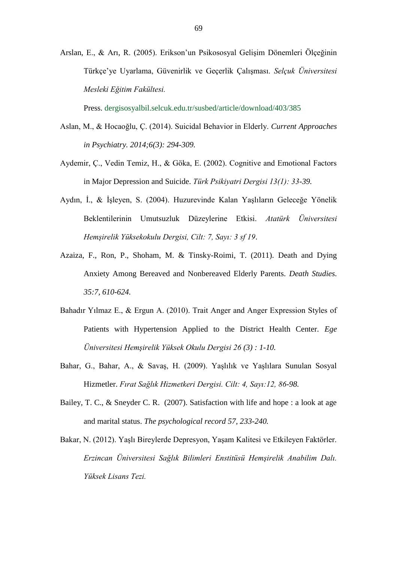Arslan, E., & Arı, R. (2005). Erikson'un Psikososyal Gelişim Dönemleri Ölçeğinin Türkçe'ye Uyarlama, Güvenirlik ve Geçerlik Çalışması. *Selçuk Üniversitesi Mesleki Eğitim Fakültesi.*

Press. dergisosyalbil.selcuk.edu.tr/susbed/article/download/403/385

- Aslan, M., & Hocaoğlu, Ç. (2014). Suicidal Behavior in Elderly. *Current Approaches in Psychiatry. 2014;6(3): 294-309.*
- Aydemir, Ç., Vedin Temiz, H., & Göka, E. (2002). Cognitive and Emotional Factors in Major Depression and Suicide. *Türk Psikiyatri Dergisi 13(1): 33-39.*
- Aydın, İ., & İşleyen, S. (2004). Huzurevinde Kalan Yaşlıların Geleceğe Yönelik Beklentilerinin Umutsuzluk Düzeylerine Etkisi. *Atatürk Üniversitesi Hemşirelik Yüksekokulu Dergisi, Cilt: 7, Sayı: 3 sf 19*.
- Azaiza, F., Ron, P., Shoham, M. & Tinsky-Roimi, T. (2011). Death and Dying Anxiety Among Bereaved and Nonbereaved Elderly Parents. *Death Studies. 35:7, 610-624.*
- Bahadır Yılmaz E., & Ergun A. (2010). Trait Anger and Anger Expression Styles of Patients with Hypertension Applied to the District Health Center. *Ege Üniversitesi Hemşirelik Yüksek Okulu Dergisi 26 (3) : 1-10.*
- Bahar, G., Bahar, A., & Savaş, H. (2009). Yaşlılık ve Yaşlılara Sunulan Sosyal Hizmetler. *Fırat Sağlık Hizmetkeri Dergisi. Cilt: 4, Sayı:12, 86-98.*
- Bailey, T. C., & Sneyder C. R. (2007). Satisfaction with life and hope : a look at age and marital status. *The psychological record 57, 233-240.*
- Bakar, N. (2012). Yaşlı Bireylerde Depresyon, Yaşam Kalitesi ve Etkileyen Faktörler. *Erzincan Üniversitesi Sağlık Bilimleri Enstitüsü Hemşirelik Anabilim Dalı. Yüksek Lisans Tezi.*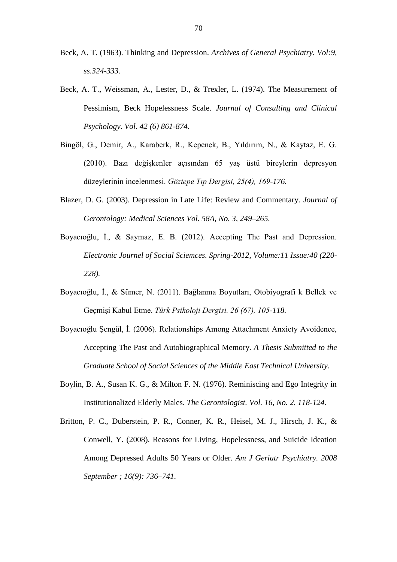- Beck, A. T. (1963). Thinking and Depression. *Archives of General Psychiatry. Vol:9, ss.324-333.*
- Beck, A. T., Weissman, A., Lester, D., & Trexler, L. (1974). The Measurement of Pessimism, Beck Hopelessness Scale. *Journal of Consulting and Clinical Psychology. Vol. 42 (6) 861-874.*
- Bingöl, G., Demir, A., Karaberk, R., Kepenek, B., Yıldırım, N., & Kaytaz, E. G. (2010). Bazı değişkenler açısından 65 yaş üstü bireylerin depresyon düzeylerinin incelenmesi. *Göztepe Tıp Dergisi, 25(4), 169-176.*
- Blazer, D. G. (2003). Depression in Late Life: Review and Commentary. *Journal of Gerontology: Medical Sciences Vol. 58A, No. 3, 249–265.*
- Boyacıoğlu, İ., & Saymaz, E. B. (2012). Accepting The Past and Depression. *Electronic Journel of Social Sciemces. Spring-2012, Volume:11 Issue:40 (220- 228).*
- Boyacıoğlu, İ., & Sümer, N. (2011). Bağlanma Boyutları, Otobiyografi k Bellek ve Geçmişi Kabul Etme. *Türk Psikoloji Dergisi. 26 (67), 105-118.*
- Boyacıoğlu Şengül, İ. (2006). Relationships Among Attachment Anxiety Avoidence, Accepting The Past and Autobiographical Memory. *A Thesis Submitted to the Graduate School of Social Sciences of the Middle East Technical University.*
- Boylin, B. A., Susan K. G., & Milton F. N. (1976). Reminiscing and Ego Integrity in Institutionalized Elderly Males. *The Gerontologist. Vol. 16, No. 2. 118-124.*
- Britton, P. C., Duberstein, P. R., Conner, K. R., Heisel, M. J., Hirsch, J. K., & Conwell, Y. (2008). Reasons for Living, Hopelessness, and Suicide Ideation Among Depressed Adults 50 Years or Older. *Am J Geriatr Psychiatry. 2008 September ; 16(9): 736–741.*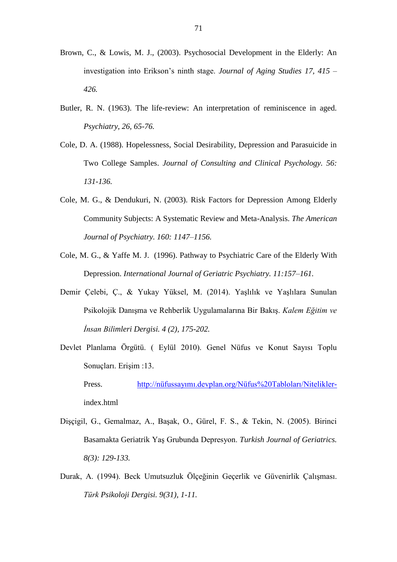- Brown, C., & Lowis, M. J., (2003). Psychosocial Development in the Elderly: An investigation into Erikson's ninth stage. *Journal of Aging Studies 17, 415 – 426.*
- Butler, R. N. (1963). The life-review: An interpretation of reminiscence in aged. *Psychiatry, 26, 65-76.*
- Cole, D. A. (1988). Hopelessness, Social Desirability, Depression and Parasuicide in Two College Samples. *Journal of Consulting and Clinical Psychology. 56: 131-136.*
- Cole, M. G., & Dendukuri, N. (2003). Risk Factors for Depression Among Elderly Community Subjects: A Systematic Review and Meta-Analysis. *The American Journal of Psychiatry. 160: 1147–1156.*
- Cole, M. G., & Yaffe M. J. (1996). Pathway to Psychiatric Care of the Elderly With Depression. *International Journal of Geriatric Psychiatry. 11:157–161.*
- Demir Çelebi, Ç., & Yukay Yüksel, M. (2014). Yaşlılık ve Yaşlılara Sunulan Psikolojik Danışma ve Rehberlik Uygulamalarına Bir Bakış. *Kalem Eğitim ve İnsan Bilimleri Dergisi. 4 (2), 175-202.*
- Devlet Planlama Örgütü. ( Eylül 2010). Genel Nüfus ve Konut Sayısı Toplu Sonuçları. Erişim :13.
	- Press. [http://nüfussayımı.devplan.org/Nüfus%20Tabloları/Nitelikler](http://nüfussayımı.devplan.org/Nüfus%20Tabloları/Nitelikler-)index.html
- Dişçigil, G., Gemalmaz, A., Başak, O., Gürel, F. S., & Tekin, N. (2005). Birinci Basamakta Geriatrik Yaş Grubunda Depresyon. *Turkish Journal of Geriatrics. 8(3): 129-133.*
- Durak, A. (1994). Beck Umutsuzluk Ölçeğinin Geçerlik ve Güvenirlik Çalışması. *Türk Psikoloji Dergisi. 9(31), 1-11.*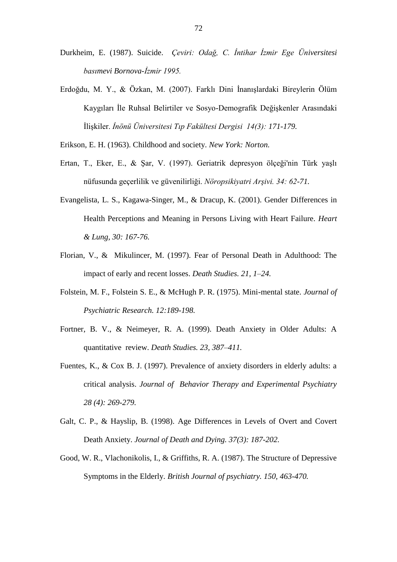- Durkheim, E. (1987). Suicide. *Çeviri: Odağ, C. İntihar İzmir Ege Üniversitesi basımevi Bornova-İzmir 1995.*
- Erdoğdu, M. Y., & Özkan, M. (2007). Farklı Dini İnanışlardaki Bireylerin Ölüm Kaygıları İle Ruhsal Belirtiler ve Sosyo-Demografik Değişkenler Arasındaki İlişkiler. *İnönü Üniversitesi Tıp Fakültesi Dergisi 14(3): 171-179.*
- Erikson, E. H. (1963). Childhood and society. *New York: Norton.*
- Ertan, T., Eker, E., & Şar, V. (1997). Geriatrik depresyon ölçeği'nin Türk yaşlı nüfusunda geçerlilik ve güvenilirliği. *Nöropsikiyatri Arşivi. 34: 62-71.*
- Evangelista, L. S., Kagawa-Singer, M., & Dracup, K. (2001). Gender Differences in Health Perceptions and Meaning in Persons Living with Heart Failure. *Heart & Lung, 30: 167-76.*
- Florian, V., & Mikulincer, M. (1997). Fear of Personal Death in Adulthood: The impact of early and recent losses. *Death Studies. 21, 1–24.*
- Folstein, M. F., Folstein S. E., & McHugh P. R. (1975). Mini-mental state. *Journal of Psychiatric Research. 12:189-198.*
- Fortner, B. V., & Neimeyer, R. A. (1999). Death Anxiety in Older Adults: A quantitative review. *Death Studies. 23, 387–411.*
- Fuentes, K., & Cox B. J. (1997). Prevalence of anxiety disorders in elderly adults: a critical analysis. *Journal of Behavior Therapy and Experimental Psychiatry 28 (4): 269-279.*
- Galt, C. P., & Hayslip, B. (1998). Age Differences in Levels of Overt and Covert Death Anxiety. *Journal of Death and Dying. 37(3): 187-202.*
- Good, W. R., Vlachonikolis, I., & Griffiths, R. A. (1987). The Structure of Depressive Symptoms in the Elderly. *British Journal of psychiatry. 150, 463-470.*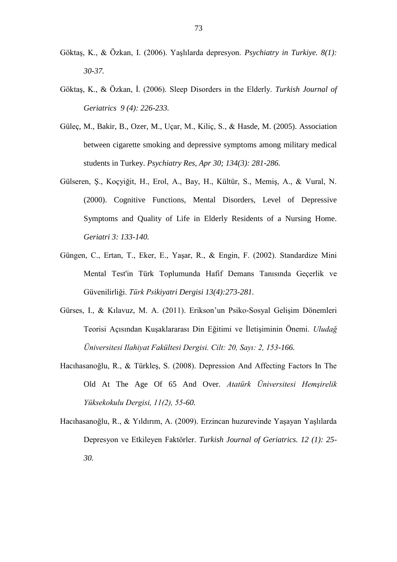- Göktaş, K., & Özkan, I. (2006). Yaşlılarda depresyon. *Psychiatry in Turkiye. 8(1): 30-37.*
- Göktaş, K., & Özkan, İ. (2006). Sleep Disorders in the Elderly. *Turkish Journal of Geriatrics 9 (4): 226-233.*
- Güleç, M., Bakir, B., Ozer, M., Uçar, M., Kiliç, S., & Hasde, M. (2005). Association between cigarette smoking and depressive symptoms among military medical students in Turkey. *Psychiatry Res, Apr 30; 134(3): 281-286.*
- Gülseren, Ş., Koçyiğit, H., Erol, A., Bay, H., Kültür, S., Memiş, A., & Vural, N. (2000). Cognitive Functions, Mental Disorders, Level of Depressive Symptoms and Quality of Life in Elderly Residents of a Nursing Home. *Geriatri 3: 133-140.*
- Güngen, C., Ertan, T., Eker, E., Yaşar, R., & Engin, F. (2002). Standardize Mini Mental Test'in Türk Toplumunda Hafif Demans Tanısında Geçerlik ve Güvenilirliği. *Türk Psikiyatri Dergisi 13(4):273-281.*
- Gürses, I., & Kılavuz, M. A. (2011). Erikson'un Psiko-Sosyal Gelişim Dönemleri Teorisi Açısından Kuşaklararası Din Eğitimi ve İletişiminin Önemi. *Uludağ Üniversitesi Ilahiyat Fakültesi Dergisi. Cilt: 20, Sayı: 2, 153-166.*
- Hacıhasanoğlu, R., & Türkleş, S. (2008). Depression And Affecting Factors In The Old At The Age Of 65 And Over. *Atatürk Üniversitesi Hemşirelik Yüksekokulu Dergisi, 11(2), 55-60.*
- Hacıhasanoğlu, R., & Yıldırım, A. (2009). Erzincan huzurevinde Yaşayan Yaşlılarda Depresyon ve Etkileyen Faktörler. *Turkish Journal of Geriatrics. 12 (1): 25- 30.*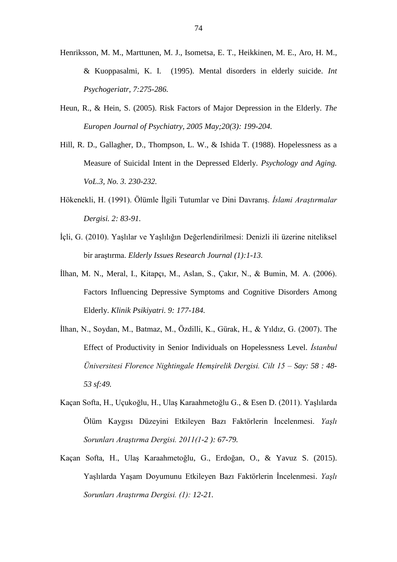- Henriksson, M. M., Marttunen, M. J., Isometsa, E. T., Heikkinen, M. E., Aro, H. M., & Kuoppasalmi, K. I. (1995). Mental disorders in elderly suicide. *Int Psychogeriatr, 7:275-286.*
- Heun, R., & Hein, S. (2005). Risk Factors of Major Depression in the Elderly. *The Europen Journal of Psychiatry, 2005 May;20(3): 199-204.*
- Hill, R. D., Gallagher, D., Thompson, L. W., & Ishida T. (1988). Hopelessness as a Measure of Suicidal Intent in the Depressed Elderly. *Psychology and Aging. VoL.3, No. 3. 230-232.*
- Hökenekli, H. (1991). Ölümle İlgili Tutumlar ve Dini Davranış. *İslami Araştırmalar Dergisi. 2: 83-91.*
- İçli, G. (2010). Yaşlılar ve Yaşlılığın Değerlendirilmesi: Denizli ili üzerine niteliksel bir araştırma. *Elderly Issues Research Journal (1):1-13.*
- İlhan, M. N., Meral, I., Kitapçı, M., Aslan, S., Çakır, N., & Bumin, M. A. (2006). Factors Influencing Depressive Symptoms and Cognitive Disorders Among Elderly. *Klinik Psikiyatri. 9: 177-184.*
- İlhan, N., Soydan, M., Batmaz, M., Özdilli, K., Gürak, H., & Yıldız, G. (2007). The Effect of Productivity in Senior Individuals on Hopelessness Level. *İstanbul Üniversitesi Florence Nightingale Hemşirelik Dergisi. Cilt 15 – Say: 58 : 48- 53 sf:49.*
- Kaçan Softa, H., Uçukoğlu, H., Ulaş Karaahmetoğlu G., & Esen D. (2011). Yaşlılarda Ölüm Kaygısı Düzeyini Etkileyen Bazı Faktörlerin İncelenmesi. *Yaşlı Sorunları Araştırma Dergisi. 2011(1-2 ): 67-79.*
- Kaçan Softa, H., Ulaş Karaahmetoğlu, G., Erdoğan, O., & Yavuz S. (2015). Yaşlılarda Yaşam Doyumunu Etkileyen Bazı Faktörlerin İncelenmesi. *Yaşlı Sorunları Araştırma Dergisi. (1): 12-21.*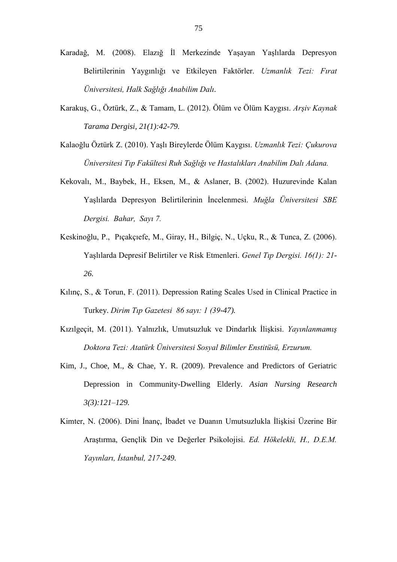- Karadağ, M. (2008). Elazığ İl Merkezinde Yaşayan Yaşlılarda Depresyon Belirtilerinin Yaygınlığı ve Etkileyen Faktörler. *Uzmanlık Tezi: Fırat Üniversitesi, Halk Sağlığı Anabilim Dalı.*
- Karakuş, G., Öztürk, Z., & Tamam, L. (2012). Ölüm ve Ölüm Kaygısı. *Arşiv Kaynak Tarama Dergisi, 21(1):42-79.*
- Kalaoğlu Öztürk Z. (2010). Yaşlı Bireylerde Ölüm Kaygısı. *Uzmanlık Tezi: Çukurova Üniversitesi Tıp Fakültesi Ruh Sağlığı ve Hastalıkları Anabilim Dalı Adana.*
- Kekovalı, M., Baybek, H., Eksen, M., & Aslaner, B. (2002). Huzurevinde Kalan Yaşlılarda Depresyon Belirtilerinin İncelenmesi. *Muğla Üniversitesi SBE Dergisi. Bahar, Sayı 7.*
- Keskinoğlu, P., Pıçakçıefe, M., Giray, H., Bilgiç, N., Uçku, R., & Tunca, Z. (2006). Yaşlılarda Depresif Belirtiler ve Risk Etmenleri. *Genel Tıp Dergisi. 16(1): 21- 26.*
- Kılınç, S., & Torun, F. (2011). Depression Rating Scales Used in Clinical Practice in Turkey. *Dirim Tıp Gazetesi 86 sayı: 1 (39-47).*
- Kızılgeçit, M. (2011). Yalnızlık, Umutsuzluk ve Dindarlık İlişkisi. *Yayınlanmamış Doktora Tezi: Atatürk Üniversitesi Sosyal Bilimler Enstitüsü, Erzurum.*
- Kim, J., Choe, M., & Chae, Y. R. (2009). Prevalence and Predictors of Geriatric Depression in Community-Dwelling Elderly. *Asian Nursing Research 3(3):121–129.*
- Kimter, N. (2006). Dini İnanç, İbadet ve Duanın Umutsuzlukla İlişkisi Üzerine Bir Araştırma, Gençlik Din ve Değerler Psikolojisi. *Ed. Hökelekli, H., D.E.M. Yayınları, İstanbul, 217-249.*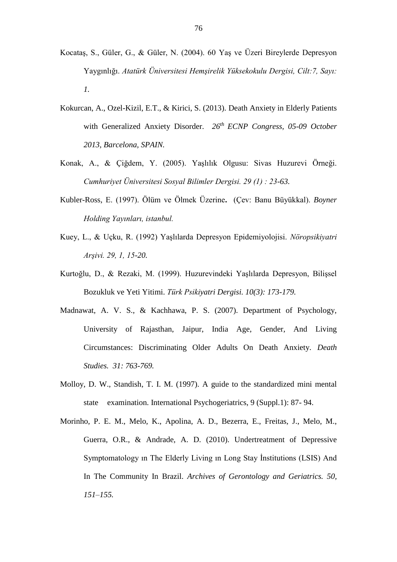- Kocataş, S., Güler, G., & Güler, N. (2004). 60 Yaş ve Üzeri Bireylerde Depresyon Yaygınlığı. *Atatürk Üniversitesi Hemşirelik Yüksekokulu Dergisi, Cilt:7, Sayı: 1.*
- Kokurcan, A., Ozel-Kizil, E.T., & Kirici, S. (2013). Death Anxiety in Elderly Patients with Generalized Anxiety Disorder. *26th ECNP Congress, 05-09 October 2013, Barcelona, SPAIN.*
- Konak, A., & Çiğdem, Y. (2005). Yaşlılık Olgusu: Sivas Huzurevi Örneği. *Cumhuriyet Üniversitesi Sosyal Bilimler Dergisi. 29 (1) : 23-63.*
- Kubler-Ross, E. (1997). Ölüm ve Ölmek Üzerine**.** (Çev: Banu Büyükkal). *Boyner Holding Yayınları, istanbul.*
- Kuey, L., & Uçku, R. (1992) Yaşlılarda Depresyon Epidemiyolojisi. *Nöropsikiyatri Arşivi. 29, 1, 15-20.*
- Kurtoğlu, D., & Rezaki, M. (1999). Huzurevindeki Yaşlılarda Depresyon, Bilişsel Bozukluk ve Yeti Yitimi. *Türk Psikiyatri Dergisi. 10(3): 173-179.*
- Madnawat, A. V. S., & Kachhawa, P. S. (2007). Department of Psychology, University of Rajasthan, Jaipur, India Age, Gender, And Living Circumstances: Discriminating Older Adults On Death Anxiety. *Death Studies. 31: 763-769.*
- Molloy, D. W., Standish, T. I. M. (1997). A guide to the standardized mini mental state examination. International Psychogeriatrics, 9 (Suppl.1): 87- 94.
- Morinho, P. E. M., Melo, K., Apolina, A. D., Bezerra, E., Freitas, J., Melo, M., Guerra, O.R., & Andrade, A. D. (2010). Undertreatment of Depressive Symptomatology ın The Elderly Living ın Long Stay İnstitutions (LSIS) And In The Community In Brazil. *Archives of Gerontology and Geriatrics. 50, 151–155.*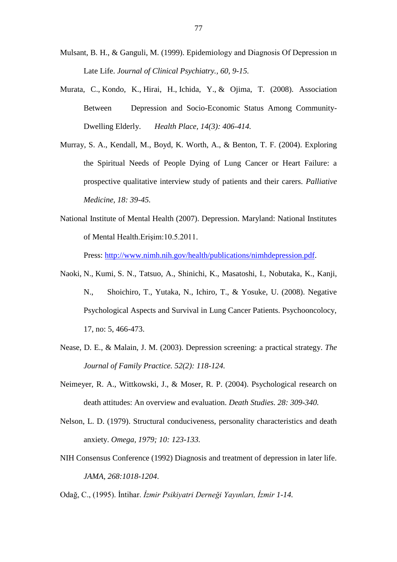- Mulsant, B. H., & Ganguli, M. (1999). Epidemiology and Diagnosis Of Depression ın Late Life. *Journal of Clinical Psychiatry., 60, 9-15.*
- [Murata, C.](http://www.ncbi.nlm.nih.gov/pubmed/?term=Murata%20C%5BAuthor%5D&cauthor=true&cauthor_uid=17913562), [Kondo, K.](http://www.ncbi.nlm.nih.gov/pubmed/?term=Kondo%20K%5BAuthor%5D&cauthor=true&cauthor_uid=17913562), [Hirai, H.](http://www.ncbi.nlm.nih.gov/pubmed/?term=Hirai%20H%5BAuthor%5D&cauthor=true&cauthor_uid=17913562), [Ichida, Y.](http://www.ncbi.nlm.nih.gov/pubmed/?term=Ichida%20Y%5BAuthor%5D&cauthor=true&cauthor_uid=17913562), & [Ojima, T.](http://www.ncbi.nlm.nih.gov/pubmed/?term=Ojima%20T%5BAuthor%5D&cauthor=true&cauthor_uid=17913562) (2008). Association Between Depression and Socio-Economic Status Among Community-Dwelling Elderly. *[Health Place,](http://www.ncbi.nlm.nih.gov/pubmed/17913562) 14(3): 406-414.*
- Murray, S. A., Kendall, M., Boyd, K. Worth, A., & Benton, T. F. (2004). Exploring the Spiritual Needs of People Dying of Lung Cancer or Heart Failure: a prospective qualitative interview study of patients and their carers. *Palliative Medicine, 18: 39-45.*
- National Institute of Mental Health (2007). Depression. Maryland: National Institutes of Mental Health.Erişim:10.5.2011.

Press: [http://www.nimh.nih.gov/health/publications/nimhdepression.pdf.](http://www.nimh.nih.gov/health/publications/nimhdepression.pdf)

- Naoki, N., Kumi, S. N., Tatsuo, A., Shinichi, K., Masatoshi, I., Nobutaka, K., Kanji, N., Shoichiro, T., Yutaka, N., Ichiro, T., & Yosuke, U. (2008). Negative Psychological Aspects and Survival in Lung Cancer Patients. Psychooncolocy, 17, no: 5, 466-473.
- Nease, D. E., & Malain, J. M. (2003). Depression screening: a practical strategy. *The Journal of Family Practice. 52(2): 118-124.*
- Neimeyer, R. A., Wittkowski, J., & Moser, R. P. (2004). Psychological research on death attitudes: An overview and evaluation. *Death Studies. 28: 309-340.*
- Nelson, L. D. (1979). Structural conduciveness, personality characteristics and death anxiety. *Omega, 1979; 10: 123-133.*
- NIH Consensus Conference (1992) Diagnosis and treatment of depression in later life. *JAMA, 268:1018-1204*.
- Odağ, C., (1995). İntihar. *İzmir Psikiyatri Derneği Yayınları, İzmir 1-14.*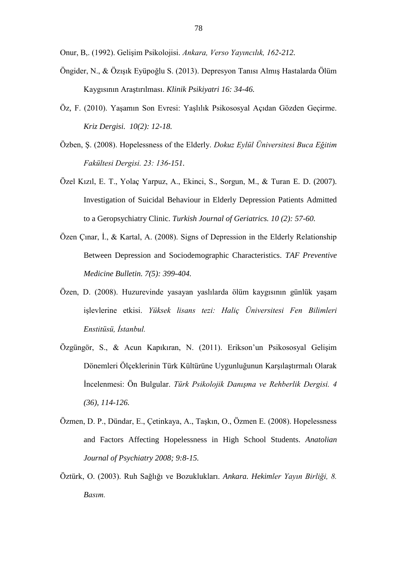Onur, B,. (1992). Gelişim Psikolojisi. *Ankara, Verso Yayıncılık, 162-212.*

- Öngider, N., & Özışık Eyüpoğlu S. (2013). Depresyon Tanısı Almış Hastalarda Ölüm Kaygısının Araştırılması. *Klinik Psikiyatri 16: 34-46.*
- Öz, F. (2010). Yaşamın Son Evresi: Yaşlılık Psikososyal Açıdan Gözden Geçirme. *Kriz Dergisi. 10(2): 12-18.*
- Özben, Ş. (2008). Hopelessness of the Elderly. *Dokuz Eylül Üniversitesi Buca Eğitim Fakültesi Dergisi. 23: 136-151.*
- Özel Kızıl, E. T., Yolaç Yarpuz, A., Ekinci, S., Sorgun, M., & Turan E. D. (2007). Investigation of Suicidal Behaviour in Elderly Depression Patients Admitted to a Geropsychiatry Clinic. *Turkish Journal of Geriatrics. 10 (2): 57-60.*
- Özen Çınar, İ., & Kartal, A. (2008). Signs of Depression in the Elderly Relationship Between Depression and Sociodemographic Characteristics. *TAF Preventive Medicine Bulletin. 7(5): 399-404.*
- Özen, D. (2008). Huzurevinde yasayan yaslılarda ölüm kaygısının günlük yaşam işlevlerine etkisi. *Yüksek lisans tezi: Haliç Üniversitesi Fen Bilimleri Enstitüsü, İstanbul.*
- Özgüngör, S., & Acun Kapıkıran, N. (2011). Erikson'un Psikososyal Gelişim Dönemleri Ölçeklerinin Türk Kültürüne Uygunluğunun Karşılaştırmalı Olarak İncelenmesi: Ön Bulgular. *Türk Psikolojik Danışma ve Rehberlik Dergisi. 4 (36), 114-126.*
- Özmen, D. P., Dündar, E., Çetinkaya, A., Taşkın, O., Özmen E. (2008). Hopelessness and Factors Affecting Hopelessness in High School Students. *Anatolian Journal of Psychiatry 2008; 9:8-15.*
- Öztürk, O. (2003). Ruh Sağlığı ve Bozuklukları. *Ankara. Hekimler Yayın Birliği, 8. Basım.*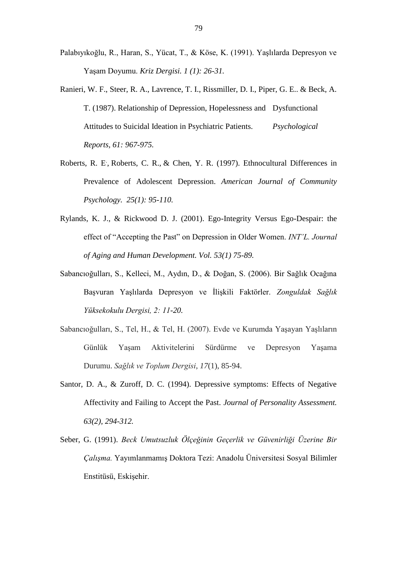- Palabıyıkoğlu, R., Haran, S., Yücat, T., & Köse, K. (1991). Yaşlılarda Depresyon ve Yaşam Doyumu. *Kriz Dergisi. 1 (1): 26-31.*
- Ranieri, W. F., Steer, R. A., Lavrence, T. I., Rissmiller, D. I., Piper, G. E.. & Beck, A. T. (1987). Relationship of Depression, Hopelessness and Dysfunctional Attitudes to Suicidal Ideation in Psychiatric Patients. *Psychological Reports, 61: 967-975.*
- [Roberts, R. E](http://www.ncbi.nlm.nih.gov/pubmed/?term=Roberts%20RE%5BAuthor%5D&cauthor=true&cauthor_uid=9231998), [Roberts, C. R.](http://www.ncbi.nlm.nih.gov/pubmed/?term=Roberts%20CR%5BAuthor%5D&cauthor=true&cauthor_uid=9231998), & [Chen, Y. R.](http://www.ncbi.nlm.nih.gov/pubmed/?term=Chen%20YR%5BAuthor%5D&cauthor=true&cauthor_uid=9231998) (1997). Ethnocultural Differences in Prevalence of Adolescent Depression. *[American Journal of Community](http://www.ncbi.nlm.nih.gov/pubmed/9231998)  [Psychology.](http://www.ncbi.nlm.nih.gov/pubmed/9231998) 25(1): 95-110.*
- Rylands, K. J., & Rickwood D. J. (2001). Ego-Integrity Versus Ego-Despair: the effect of "Accepting the Past" on Depression in Older Women. *INT'L. Journal of Aging and Human Development. Vol. 53(1) 75-89.*
- Sabancıoğulları, S., Kelleci, M., Aydın, D., & Doğan, S. (2006). Bir Sağlık Ocağına Başvuran Yaşlılarda Depresyon ve İlişkili Faktörler. *Zonguldak Sağlık Yüksekokulu Dergisi, 2: 11-20.*
- Sabancıoğulları, S., Tel, H., & Tel, H. (2007). Evde ve Kurumda Yaşayan Yaşlıların Günlük Yaşam Aktivitelerini Sürdürme ve Depresyon Yaşama Durumu. *Sağlık ve Toplum Dergisi*, *17*(1), 85-94.
- Santor, D. A., & Zuroff, D. C. (1994). Depressive symptoms: Effects of Negative Affectivity and Failing to Accept the Past. *Journal of Personality Assessment. 63(2), 294-312.*
- Seber, G. (1991). *Beck Umutsuzluk Ölçeğinin Geçerlik ve Güvenirliği Üzerine Bir Çalışma.* Yayımlanmamış Doktora Tezi: Anadolu Üniversitesi Sosyal Bilimler Enstitüsü, Eskişehir.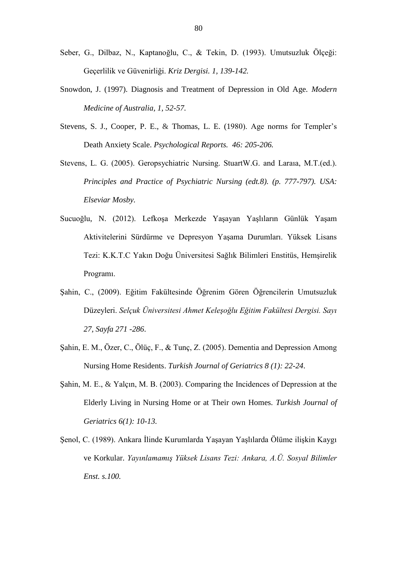- Seber, G., Dilbaz, N., Kaptanoğlu, C., & Tekin, D. (1993). Umutsuzluk Ölçeği: Geçerlilik ve Güvenirliği. *Kriz Dergisi. 1, 139-142.*
- Snowdon, J. (1997). Diagnosis and Treatment of Depression in Old Age. *Modern Medicine of Australia, 1, 52-57.*
- Stevens, S. J., Cooper, P. E., & Thomas, L. E. (1980). Age norms for Templer's Death Anxiety Scale. *Psychological Reports. 46: 205-206.*
- Stevens, L. G. (2005). Geropsychiatric Nursing. StuartW.G. and Laraıa, M.T.(ed.). *Principles and Practice of Psychiatric Nursing (edt.8). (p. 777-797). USA: Elseviar Mosby.*
- Sucuoğlu, N. (2012). Lefkoşa Merkezde Yaşayan Yaşlıların Günlük Yaşam Aktivitelerini Sürdürme ve Depresyon Yaşama Durumları. Yüksek Lisans Tezi: K.K.T.C Yakın Doğu Üniversitesi Sağlık Bilimleri Enstitüs, Hemşirelik Programı.
- Şahin, C., (2009). Eğitim Fakültesinde Öğrenim Gören Öğrencilerin Umutsuzluk Düzeyleri. *Selçuk Üniversitesi Ahmet Keleşoğlu Eğitim Fakültesi Dergisi. Sayı 27, Sayfa 271 -286*.
- Şahin, E. M., Özer, C., Ölüç, F., & Tunç, Z. (2005). Dementia and Depression Among Nursing Home Residents. *Turkish Journal of Geriatrics 8 (1): 22-24*.
- Şahin, M. E., & Yalçın, M. B. (2003). Comparing the Incidences of Depression at the Elderly Living in Nursing Home or at Their own Homes. *Turkish Journal of Geriatrics 6(1): 10-13.*
- Şenol, C. (1989). Ankara İlinde Kurumlarda Yaşayan Yaşlılarda Ölüme ilişkin Kaygı ve Korkular. *Yayınlamamış Yüksek Lisans Tezi: Ankara, A.Ü. Sosyal Bilimler Enst. s.100.*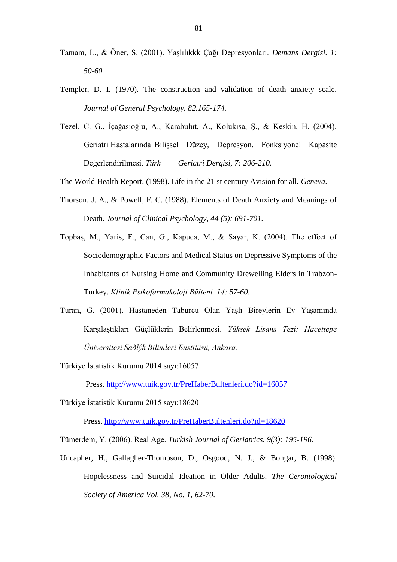- Tamam, L., & Öner, S. (2001). Yaşlılıkkk Çağı Depresyonları. *Demans Dergisi. 1: 50-60.*
- Templer, D. I. (1970). The construction and validation of death anxiety scale. *Journal of General Psychology. 82.165-174.*
- Tezel, C. G., İçağasıoğlu, A., Karabulut, A., Kolukısa, Ş., & Keskin, H. (2004). Geriatri Hastalarında Bilişsel Düzey, Depresyon, Fonksiyonel Kapasite Değerlendirilmesi. *Türk Geriatri Dergisi, 7: 206-210.*
- The World Health Report, (1998). Life in the 21 st century Avision for all. *Geneva*.
- Thorson, J. A., & Powell, F. C. (1988). Elements of Death Anxiety and Meanings of Death. *Journal of Clinical Psychology, 44 (5): 691-701.*
- Topbaş, M., Yaris, F., Can, G., Kapuca, M., & Sayar, K. (2004). The effect of Sociodemographic Factors and Medical Status on Depressive Symptoms of the Inhabitants of Nursing Home and Community Drewelling Elders in Trabzon-Turkey. *Klinik Psikofarmakoloji Bülteni. 14: 57-60.*
- Turan, G. (2001). Hastaneden Taburcu Olan Yaşlı Bireylerin Ev Yaşamında Karşılaştıkları Güçlüklerin Belirlenmesi. *Yüksek Lisans Tezi: Hacettepe Üniversitesi Saðlýk Bilimleri Enstitüsü, Ankara.*
- Türkiye İstatistik Kurumu 2014 sayı:16057

Press.<http://www.tuik.gov.tr/PreHaberBultenleri.do?id=16057>

Türkiye İstatistik Kurumu 2015 sayı:18620

Press.<http://www.tuik.gov.tr/PreHaberBultenleri.do?id=18620>

- Tümerdem, Y. (2006). Real Age. *Turkish Journal of Geriatrics. 9(3): 195-196.*
- Uncapher, H., Gallagher-Thompson, D., Osgood, N. J., & Bongar, B. (1998). Hopelessness and Suicidal Ideation in Older Adults. *The Cerontological Society of America Vol. 38, No. 1, 62-70.*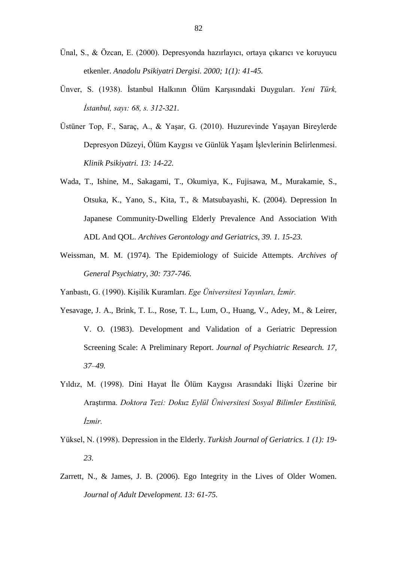- Ünal, S., & Özcan, E. (2000). Depresyonda hazırlayıcı, ortaya çıkarıcı ve koruyucu etkenler. *Anadolu Psikiyatri Dergisi. 2000; 1(1): 41-45.*
- Ünver, S. (1938). İstanbul Halkının Ölüm Karşısındaki Duyguları. *Yeni Türk, İstanbul, sayı: 68, s. 312-321.*
- Üstüner Top, F., Saraç, A., & Yaşar, G. (2010). Huzurevinde Yaşayan Bireylerde Depresyon Düzeyi, Ölüm Kaygısı ve Günlük Yaşam İşlevlerinin Belirlenmesi. *Klinik Psikiyatri. 13: 14-22.*
- Wada, T., Ishine, M., Sakagami, T., Okumiya, K., Fujisawa, M., Murakamie, S., Otsuka, K., Yano, S., Kita, T., & Matsubayashi, K. (2004). Depression In Japanese Community-Dwelling Elderly Prevalence And Association With ADL And QOL. *Archives Gerontology and Geriatrics, 39. 1. 15-23.*
- Weissman, M. M. (1974). The Epidemiology of Suicide Attempts. *Archives of General Psychiatry, 30: 737-746.*
- Yanbastı, G. (1990). Kişilik Kuramları. *Ege Üniversitesi Yayınları, İzmir.*
- Yesavage, J. A., Brink, T. L., Rose, T. L., Lum, O., Huang, V., Adey, M., & Leirer, V. O. (1983). Development and Validation of a Geriatric Depression Screening Scale: A Preliminary Report. *Journal of Psychiatric Research. 17, 37–49.*
- Yıldız, M. (1998). Dini Hayat İle Ölüm Kaygısı Arasındaki İlişki Üzerine bir Araştırma. *Doktora Tezi: Dokuz Eylül Üniversitesi Sosyal Bilimler Enstitüsü, İzmir.*
- Yüksel, N. (1998). Depression in the Elderly. *Turkish Journal of Geriatrics. 1 (1): 19- 23.*
- Zarrett, N., & James, J. B. (2006). Ego Integrity in the Lives of Older Women. *Journal of Adult Development. 13: 61-75.*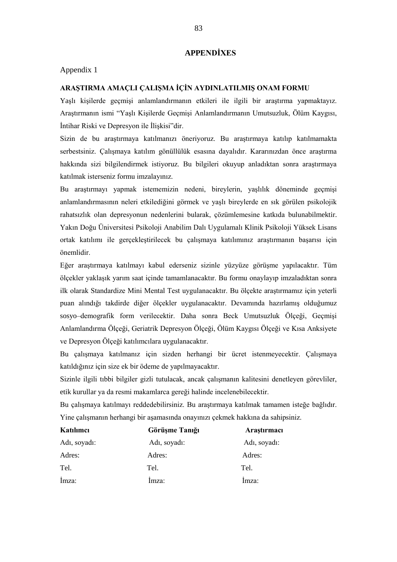### **APPENDİXES**

### Appendix 1

### **ARAŞTIRMA AMAÇLI ÇALIŞMA İÇİN AYDINLATILMIŞ ONAM FORMU**

Yaşlı kişilerde geçmişi anlamlandırmanın etkileri ile ilgili bir araştırma yapmaktayız. Araştırmanın ismi "Yaşlı Kişilerde Geçmişi Anlamlandırmanın Umutsuzluk, Ölüm Kaygısı, İntihar Riski ve Depresyon ile İlişkisi"dir.

Sizin de bu araştırmaya katılmanızı öneriyoruz. Bu araştırmaya katılıp katılmamakta serbestsiniz. Çalışmaya katılım gönüllülük esasına dayalıdır. Kararınızdan önce araştırma hakkında sizi bilgilendirmek istiyoruz. Bu bilgileri okuyup anladıktan sonra araştırmaya katılmak isterseniz formu imzalayınız.

Bu araştırmayı yapmak istememizin nedeni, bireylerin, yaşlılık döneminde geçmişi anlamlandırmasının neleri etkilediğini görmek ve yaşlı bireylerde en sık görülen psikolojik rahatsızlık olan depresyonun nedenlerini bularak, çözümlemesine katkıda bulunabilmektir. Yakın Doğu Üniversitesi Psikoloji Anabilim Dalı Uygulamalı Klinik Psikoloji Yüksek Lisans ortak katılımı ile gerçekleştirilecek bu çalışmaya katılımınız araştırmanın başarısı için önemlidir.

Eğer araştırmaya katılmayı kabul ederseniz sizinle yüzyüze görüşme yapılacaktır. Tüm ölçekler yaklaşık yarım saat içinde tamamlanacaktır. Bu formu onaylayıp imzaladıktan sonra ilk olarak Standardize Mini Mental Test uygulanacaktır. Bu ölçekte araştırmamız için yeterli puan alındığı takdirde diğer ölçekler uygulanacaktır. Devamında hazırlamış olduğumuz sosyo–demografik form verilecektir. Daha sonra Beck Umutsuzluk Ölçeği, Geçmişi Anlamlandırma Ölçeği, Geriatrik Depresyon Ölçeği, Ölüm Kaygısı Ölçeği ve Kısa Anksiyete ve Depresyon Ölçeği katılımcılara uygulanacaktır.

Bu çalışmaya katılmanız için sizden herhangi bir ücret istenmeyecektir. Çalışmaya katıldığınız için size ek bir ödeme de yapılmayacaktır.

Sizinle ilgili tıbbi bilgiler gizli tutulacak, ancak çalışmanın kalitesini denetleyen görevliler, etik kurullar ya da resmi makamlarca gereği halinde incelenebilecektir.

Bu çalışmaya katılmayı reddedebilirsiniz. Bu araştırmaya katılmak tamamen isteğe bağlıdır. Yine çalışmanın herhangi bir aşamasında onayınızı çekmek hakkına da sahipsiniz.

| Katılımcı    | Görüşme Tanığı | Araştırmacı  |  |  |
|--------------|----------------|--------------|--|--|
| Adı, soyadı: | Adı, soyadı:   | Adı, soyadı: |  |  |
| Adres:       | Adres:         | Adres:       |  |  |
| Tel.         | Tel.           | Tel.         |  |  |
| Imza:        | Imza:          | Imza:        |  |  |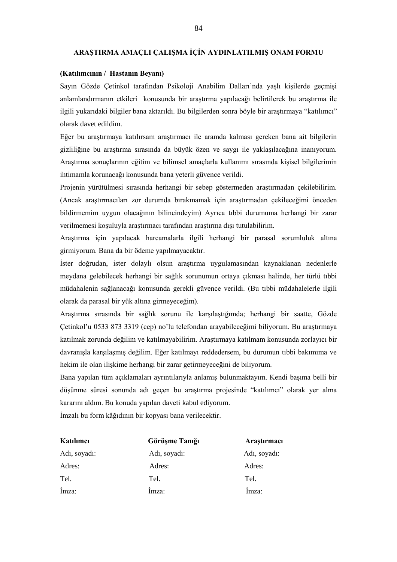#### **ARAŞTIRMA AMAÇLI ÇALIŞMA İÇİN AYDINLATILMIŞ ONAM FORMU**

### **(Katılımcının / Hastanın Beyanı)**

Sayın Gözde Çetinkol tarafından Psikoloji Anabilim Dalları'nda yaşlı kişilerde geçmişi anlamlandırmanın etkileri konusunda bir araştırma yapılacağı belirtilerek bu araştırma ile ilgili yukarıdaki bilgiler bana aktarıldı. Bu bilgilerden sonra böyle bir araştırmaya "katılımcı" olarak davet edildim.

Eğer bu araştırmaya katılırsam araştırmacı ile aramda kalması gereken bana ait bilgilerin gizliliğine bu araştırma sırasında da büyük özen ve saygı ile yaklaşılacağına inanıyorum. Araştırma sonuçlarının eğitim ve bilimsel amaçlarla kullanımı sırasında kişisel bilgilerimin ihtimamla korunacağı konusunda bana yeterli güvence verildi.

Projenin yürütülmesi sırasında herhangi bir sebep göstermeden araştırmadan çekilebilirim. (Ancak araştırmacıları zor durumda bırakmamak için araştırmadan çekileceğimi önceden bildirmemim uygun olacağının bilincindeyim) Ayrıca tıbbi durumuma herhangi bir zarar verilmemesi koşuluyla araştırmacı tarafından araştırma dışı tutulabilirim.

Araştırma için yapılacak harcamalarla ilgili herhangi bir parasal sorumluluk altına girmiyorum. Bana da bir ödeme yapılmayacaktır.

İster doğrudan, ister dolaylı olsun araştırma uygulamasından kaynaklanan nedenlerle meydana gelebilecek herhangi bir sağlık sorunumun ortaya çıkması halinde, her türlü tıbbi müdahalenin sağlanacağı konusunda gerekli güvence verildi. (Bu tıbbi müdahalelerle ilgili olarak da parasal bir yük altına girmeyeceğim).

Araştırma sırasında bir sağlık sorunu ile karşılaştığımda; herhangi bir saatte, Gözde Çetinkol'u 0533 873 3319 (cep) no'lu telefondan arayabileceğimi biliyorum. Bu araştırmaya katılmak zorunda değilim ve katılmayabilirim. Araştırmaya katılmam konusunda zorlayıcı bir davranışla karşılaşmış değilim. Eğer katılmayı reddedersem, bu durumun tıbbi bakımıma ve hekim ile olan ilişkime herhangi bir zarar getirmeyeceğini de biliyorum.

Bana yapılan tüm açıklamaları ayrıntılarıyla anlamış bulunmaktayım. Kendi başıma belli bir düşünme süresi sonunda adı geçen bu araştırma projesinde "katılımcı" olarak yer alma kararını aldım. Bu konuda yapılan daveti kabul ediyorum.

İmzalı bu form kâğıdının bir kopyası bana verilecektir.

| Katılımcı    | Görüşme Tanığı | Araştırmacı  |  |  |
|--------------|----------------|--------------|--|--|
| Adı, soyadı: | Adı, soyadı:   | Adı, soyadı: |  |  |
| Adres:       | Adres:         | Adres:       |  |  |
| Tel.         | Tel.           | Tel.         |  |  |
| Imza:        | Imza:          | Imza:        |  |  |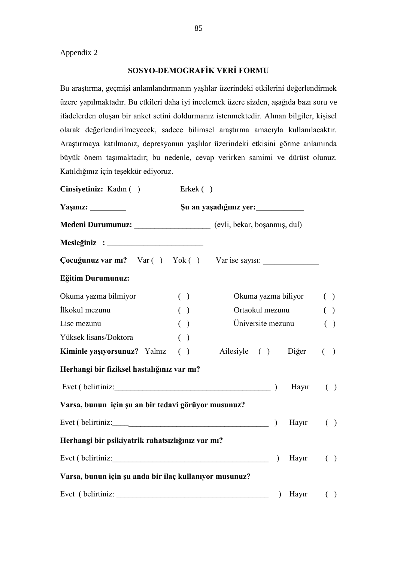## **SOSYO-DEMOGRAFİK VERİ FORMU**

Bu araştırma, geçmişi anlamlandırmanın yaşlılar üzerindeki etkilerini değerlendirmek üzere yapılmaktadır. Bu etkileri daha iyi incelemek üzere sizden, aşağıda bazı soru ve ifadelerden oluşan bir anket setini doldurmanız istenmektedir. Alınan bilgiler, kişisel olarak değerlendirilmeyecek, sadece bilimsel araştırma amacıyla kullanılacaktır. Araştırmaya katılmanız, depresyonun yaşlılar üzerindeki etkisini görme anlamında büyük önem taşımaktadır; bu nedenle, cevap verirken samimi ve dürüst olunuz. Katıldığınız için teşekkür ediyoruz.

| Cinsiyetiniz: Kadın ()                                               | Erkek $($ ) |                     |         |                        |  |
|----------------------------------------------------------------------|-------------|---------------------|---------|------------------------|--|
|                                                                      |             |                     |         |                        |  |
| Medeni Durumunuz: _____________________ (evli, bekar, boşanmış, dul) |             |                     |         |                        |  |
|                                                                      |             |                     |         |                        |  |
|                                                                      |             |                     |         |                        |  |
| Eğitim Durumunuz:                                                    |             |                     |         |                        |  |
| Okuma yazma bilmiyor                                                 | ( )         | Okuma yazma biliyor |         | ( )                    |  |
| İlkokul mezunu                                                       | ( )         | Ortaokul mezunu     |         | ( )                    |  |
| Lise mezunu                                                          | ( )         | Üniversite mezunu   |         | ( )                    |  |
| Yüksek lisans/Doktora                                                | ( )         |                     |         |                        |  |
| Kiminle yaşıyorsunuz? Yalnız ()                                      |             | Ailesiyle () Diğer  |         | $($ )                  |  |
| Herhangi bir fiziksel hastalığınız var mı?                           |             |                     |         |                        |  |
| Evet (belirtiniz: )                                                  |             |                     | Hayır   | ( )                    |  |
| Varsa, bunun için şu an bir tedavi görüyor musunuz?                  |             |                     |         |                        |  |
| Evet (belirtiniz: $\qquad \qquad$ )                                  |             |                     | Hayır   | ( )                    |  |
| Herhangi bir psikiyatrik rahatsızlığınız var mı?                     |             |                     |         |                        |  |
| Evet (belirtiniz: 1999)                                              |             | $\mathcal{L}$       | Hayır   | $\left( \quad \right)$ |  |
| Varsa, bunun için şu anda bir ilaç kullanıyor musunuz?               |             |                     |         |                        |  |
|                                                                      |             |                     | ) Hayır | ( )                    |  |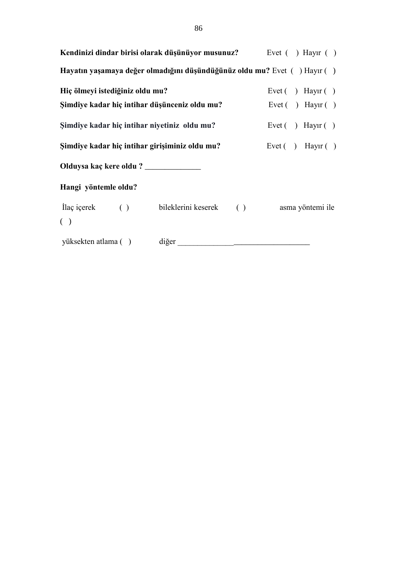|                                       | Kendinizi dindar birisi olarak düşünüyor musunuz? Evet () Hayır ()       |                                                                     |
|---------------------------------------|--------------------------------------------------------------------------|---------------------------------------------------------------------|
|                                       | Hayatın yaşamaya değer olmadığını düşündüğünüz oldu mu? Evet () Hayır () |                                                                     |
| Hiç ölmeyi istediğiniz oldu mu?       |                                                                          | Evet () Hayir ()                                                    |
|                                       | Şimdiye kadar hiç intihar düşünceniz oldu mu?                            | Evet ( ) Hayır ( )                                                  |
|                                       | Şimdiye kadar hiç intihar niyetiniz oldu mu?                             | Evet ( $\overline{\phantom{a}}$ ) Hayr ( $\overline{\phantom{a}}$ ) |
|                                       | Şimdiye kadar hiç intihar girişiminiz oldu mu?                           | Evet () Hayir ()                                                    |
| Olduysa kaç kere oldu ? _____________ |                                                                          |                                                                     |
| Hangi yöntemle oldu?                  |                                                                          |                                                                     |
| ( )                                   | Ilaç içerek () bileklerini keserek () asma yöntemi ile                   |                                                                     |
|                                       |                                                                          |                                                                     |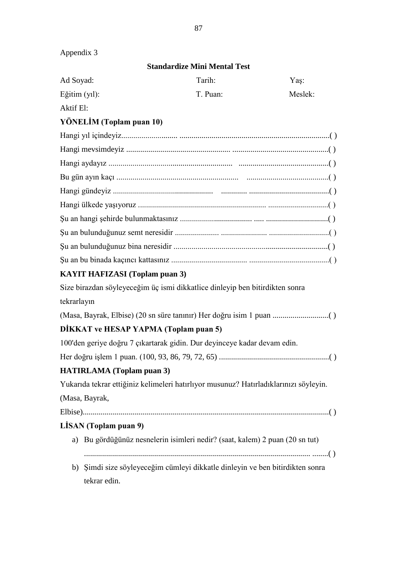| Appendix 3    |                                       |                                                                                       |         |
|---------------|---------------------------------------|---------------------------------------------------------------------------------------|---------|
|               |                                       | <b>Standardize Mini Mental Test</b>                                                   |         |
| Ad Soyad:     |                                       | Tarih:                                                                                | Yaş:    |
| Eğitim (yıl): |                                       | T. Puan:                                                                              | Meslek: |
| Aktif El:     |                                       |                                                                                       |         |
|               | YÖNELİM (Toplam puan 10)              |                                                                                       |         |
|               |                                       |                                                                                       |         |
|               |                                       |                                                                                       |         |
|               |                                       |                                                                                       |         |
|               |                                       |                                                                                       |         |
|               |                                       |                                                                                       |         |
|               |                                       |                                                                                       |         |
|               |                                       |                                                                                       |         |
|               |                                       |                                                                                       |         |
|               |                                       |                                                                                       |         |
|               |                                       |                                                                                       |         |
|               | <b>KAYIT HAFIZASI</b> (Toplam puan 3) |                                                                                       |         |
|               |                                       | Size birazdan söyleyeceğim üç ismi dikkatlice dinleyip ben bitirdikten sonra          |         |
| tekrarlayın   |                                       |                                                                                       |         |
|               |                                       |                                                                                       |         |
|               | DİKKAT ve HESAP YAPMA (Toplam puan 5) |                                                                                       |         |
|               |                                       | 100'den geriye doğru 7 çıkartarak gidin. Dur deyinceye kadar devam edin.              |         |
|               |                                       |                                                                                       |         |
|               | <b>HATIRLAMA</b> (Toplam puan 3)      |                                                                                       |         |
|               |                                       | Yukarıda tekrar ettiğiniz kelimeleri hatırlıyor musunuz? Hatırladıklarınızı söyleyin. |         |
|               | (Masa, Bayrak,                        |                                                                                       |         |
|               |                                       |                                                                                       |         |
|               | LISAN (Toplam puan 9)                 |                                                                                       |         |
|               |                                       | a) Bu gördüğünüz nesnelerin isimleri nedir? (saat, kalem) 2 puan (20 sn tut)          |         |
|               | tekrar edin.                          | b) Şimdi size söyleyeceğim cümleyi dikkatle dinleyin ve ben bitirdikten sonra         |         |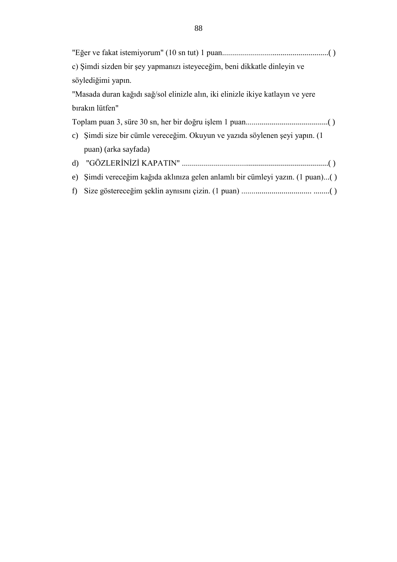| c) Şimdi sizden bir şey yapmanızı isteyeceğim, beni dikkatle dinleyin ve        |
|---------------------------------------------------------------------------------|
| söylediğimi yapın.                                                              |
| "Masada duran kağıdı sağ/sol elinizle alın, iki elinizle ikiye katlayın ve yere |
| bırakın lütfen"                                                                 |
|                                                                                 |
| c) Şimdi size bir cümle vereceğim. Okuyun ve yazıda söylenen şeyi yapın. (1     |
| puan) (arka sayfada)                                                            |
|                                                                                 |
| e) Şimdi vereceğim kağıda aklınıza gelen anlamlı bir cümleyi yazın. (1 puan)()  |
| f                                                                               |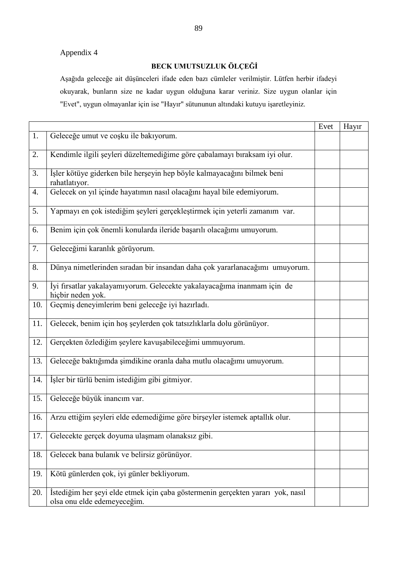Appendix 4

## **BECK UMUTSUZLUK ÖLÇEĞİ**

Aşağıda geleceğe ait düşünceleri ifade eden bazı cümleler verilmiştir. Lütfen herbir ifadeyi okuyarak, bunların size ne kadar uygun olduğuna karar veriniz. Size uygun olanlar için "Evet", uygun olmayanlar için ise "Hayır" sütununun altındaki kutuyu işaretleyiniz.

|     |                                                                                                                | Evet | Hayır |
|-----|----------------------------------------------------------------------------------------------------------------|------|-------|
| 1.  | Geleceğe umut ve coşku ile bakıyorum.                                                                          |      |       |
| 2.  | Kendimle ilgili şeyleri düzeltemediğime göre çabalamayı bıraksam iyi olur.                                     |      |       |
| 3.  | İşler kötüye giderken bile herşeyin hep böyle kalmayacağını bilmek beni<br>rahatlatıyor.                       |      |       |
| 4.  | Gelecek on yıl içinde hayatımın nasıl olacağını hayal bile edemiyorum.                                         |      |       |
| 5.  | Yapmayı en çok istediğim şeyleri gerçekleştirmek için yeterli zamanım var.                                     |      |       |
| 6.  | Benim için çok önemli konularda ileride başarılı olacağımı umuyorum.                                           |      |       |
| 7.  | Geleceğimi karanlık görüyorum.                                                                                 |      |       |
| 8.  | Dünya nimetlerinden sıradan bir insandan daha çok yararlanacağımı umuyorum.                                    |      |       |
| 9.  | İyi fırsatlar yakalayamıyorum. Gelecekte yakalayacağıma inanmam için de<br>hiçbir neden yok.                   |      |       |
| 10. | Geçmiş deneyimlerim beni geleceğe iyi hazırladı.                                                               |      |       |
| 11. | Gelecek, benim için hoş şeylerden çok tatsızlıklarla dolu görünüyor.                                           |      |       |
| 12. | Gerçekten özlediğim şeylere kavuşabileceğimi ummuyorum.                                                        |      |       |
| 13. | Geleceğe baktığımda şimdikine oranla daha mutlu olacağımı umuyorum.                                            |      |       |
| 14. | İşler bir türlü benim istediğim gibi gitmiyor.                                                                 |      |       |
| 15. | Geleceğe büyük inancım var.                                                                                    |      |       |
| 16. | Arzu ettiğim şeyleri elde edemediğime göre birşeyler istemek aptallık olur.                                    |      |       |
| 17. | Gelecekte gerçek doyuma ulaşmam olanaksız gibi.                                                                |      |       |
| 18. | Gelecek bana bulanık ve belirsiz görünüyor.                                                                    |      |       |
| 19. | Kötü günlerden çok, iyi günler bekliyorum.                                                                     |      |       |
| 20. | İstediğim her şeyi elde etmek için çaba göstermenin gerçekten yararı yok, nasıl<br>olsa onu elde edemeyeceğim. |      |       |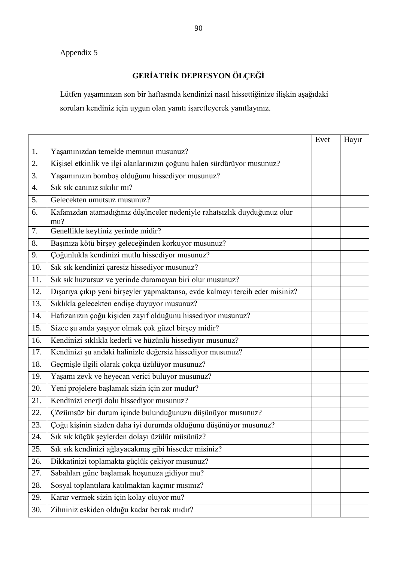# Appendix 5

# **GERİATRİK DEPRESYON ÖLÇEĞİ**

Lütfen yaşamınızın son bir haftasında kendinizi nasıl hissettiğinize ilişkin aşağıdaki soruları kendiniz için uygun olan yanıtı işaretleyerek yanıtlayınız.

|     |                                                                                 | Evet | Hayır |
|-----|---------------------------------------------------------------------------------|------|-------|
| 1.  | Yaşamınızdan temelde memnun musunuz?                                            |      |       |
| 2.  | Kişisel etkinlik ve ilgi alanlarınızın çoğunu halen sürdürüyor musunuz?         |      |       |
| 3.  | Yaşamınızın bomboş olduğunu hissediyor musunuz?                                 |      |       |
| 4.  | Sık sık canınız sıkılır mı?                                                     |      |       |
| 5.  | Gelecekten umutsuz musunuz?                                                     |      |       |
| 6.  | Kafanızdan atamadığınız düşünceler nedeniyle rahatsızlık duyduğunuz olur<br>mu? |      |       |
| 7.  | Genellikle keyfiniz yerinde midir?                                              |      |       |
| 8.  | Başınıza kötü birşey geleceğinden korkuyor musunuz?                             |      |       |
| 9.  | Çoğunlukla kendinizi mutlu hissediyor musunuz?                                  |      |       |
| 10. | Sık sık kendinizi çaresiz hissediyor musunuz?                                   |      |       |
| 11. | Sık sık huzursuz ve yerinde duramayan biri olur musunuz?                        |      |       |
| 12. | Dışarıya çıkıp yeni birşeyler yapmaktansa, evde kalmayı tercih eder misiniz?    |      |       |
| 13. | Sıklıkla gelecekten endişe duyuyor musunuz?                                     |      |       |
| 14. | Hafizanızın çoğu kişiden zayıf olduğunu hissediyor musunuz?                     |      |       |
| 15. | Sizce șu anda yașiyor olmak çok güzel birșey midir?                             |      |       |
| 16. | Kendinizi sıklıkla kederli ve hüzünlü hissediyor musunuz?                       |      |       |
| 17. | Kendinizi şu andaki halinizle değersiz hissediyor musunuz?                      |      |       |
| 18. | Geçmişle ilgili olarak çokça üzülüyor musunuz?                                  |      |       |
| 19. | Yaşamı zevk ve heyecan verici buluyor musunuz?                                  |      |       |
| 20. | Yeni projelere başlamak sizin için zor mudur?                                   |      |       |
| 21. | Kendinizi enerji dolu hissediyor musunuz?                                       |      |       |
| 22. | Çözümsüz bir durum içinde bulunduğunuzu düşünüyor musunuz?                      |      |       |
| 23. | Çoğu kişinin sizden daha iyi durumda olduğunu düşünüyor musunuz?                |      |       |
| 24. | Sık sık küçük şeylerden dolayı üzülür müsünüz?                                  |      |       |
| 25. | Sık sık kendinizi ağlayacakmış gibi hisseder misiniz?                           |      |       |
| 26. | Dikkatinizi toplamakta güçlük çekiyor musunuz?                                  |      |       |
| 27. | Sabahları güne başlamak hoşunuza gidiyor mu?                                    |      |       |
| 28. | Sosyal toplantılara katılmaktan kaçınır mısınız?                                |      |       |
| 29. | Karar vermek sizin için kolay oluyor mu?                                        |      |       |
| 30. | Zihniniz eskiden olduğu kadar berrak mıdır?                                     |      |       |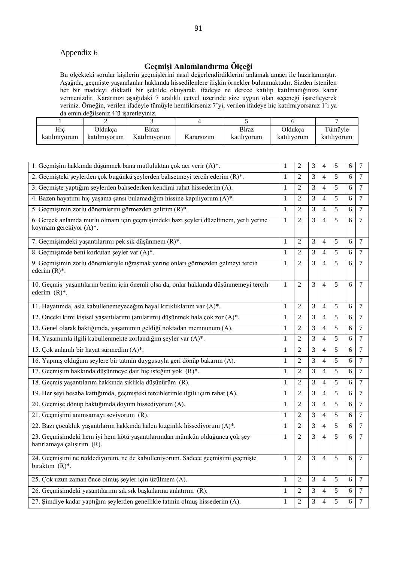## Appendix 6

# **Geçmişi Anlamlandırma Ölçeği**

Bu ölçekteki sorular kişilerin geçmişlerini nasıl değerlendirdiklerini anlamak amacı ile hazırlanmıştır. Aşağıda, geçmişte yaşanılanlar hakkında hissedilenlere ilişkin örnekler bulunmaktadır. Sizden istenilen her bir maddeyi dikkatli bir şekilde okuyarak, ifadeye ne derece katılıp katılmadığınıza karar vermenizdir. Kararınızı aşağıdaki 7 aralıklı cetvel üzerinde size uygun olan seçeneği işaretleyerek veriniz. Örneğin, verilen ifadeyle tümüyle hemfikirseniz 7'yi, verilen ifadeye hiç katılmıyorsanız 1'i ya da emin değilseniz 4'ü işaretleyiniz.

|                     | -                              |                                     |            |                             |                        |                        |
|---------------------|--------------------------------|-------------------------------------|------------|-----------------------------|------------------------|------------------------|
| Hic<br>katılmıyorum | <b>Oldukca</b><br>katılmıyorum | <b>Biraz</b><br>T.T<br>Katılmıyorum | Kararsızım | <b>Biraz</b><br>katılıvorum | Oldukca<br>katılıvorum | Tümüyle<br>katılıvorum |

| 1. Geçmişim hakkında düşünmek bana mutluluktan çok acı verir (A)*.                                             | $\mathbf{1}$ | $\overline{2}$ | 3              | 4              | 5              | 6     | 7              |
|----------------------------------------------------------------------------------------------------------------|--------------|----------------|----------------|----------------|----------------|-------|----------------|
| 2. Geçmişteki şeylerden çok bugünkü şeylerden bahsetmeyi tercih ederim (R)*.                                   | $\mathbf{1}$ | $\overline{2}$ | 3              | $\overline{4}$ | 5              | 6     | $\overline{7}$ |
| 3. Geçmişte yaptığım şeylerden bahsederken kendimi rahat hissederim (A).                                       | $\mathbf{1}$ | 2              | 3              | 4              | 5              | 6     | 7              |
| 4. Bazen hayatımı hiç yaşama şansı bulamadığım hissine kapılıyorum (A)*.                                       | $\mathbf{1}$ | $\overline{2}$ | 3              | $\overline{4}$ | 5              | 6     | $\overline{7}$ |
| 5. Geçmişimin zorlu dönemlerini görmezden gelirim (R)*.                                                        | 1            | 2              | 3              | 4              | 5              | 6     | $\tau$         |
| 6. Gerçek anlamda mutlu olmam için geçmişimdeki bazı şeyleri düzeltmem, yerli yerine<br>koymam gerekiyor (A)*. | $\mathbf{1}$ | 2              | 3              | $\overline{4}$ | 5              | 6     | 7              |
| 7. Geçmişimdeki yaşantılarımı pek sık düşünmem (R)*.                                                           | $\mathbf{1}$ | 2              | 3              | $\overline{4}$ | 5              | 6     | 7              |
| 8. Geçmişimde beni korkutan şeyler var (A)*.                                                                   | $\mathbf{1}$ | $\overline{2}$ | 3              | $\overline{4}$ | 5              | 6     | 7              |
| 9. Geçmişimin zorlu dönemleriyle uğraşmak yerine onları görmezden gelmeyi tercih<br>ederim $(R)^*$ .           | $\mathbf{1}$ | 2              | 3              | $\overline{4}$ | 5              | 6     | 7              |
| 10. Geçmiş yaşantılarım benim için önemli olsa da, onlar hakkında düşünmemeyi tercih<br>ederim $(R)^*$ .       | $\mathbf{1}$ | $\overline{2}$ | 3              | $\overline{4}$ | 5              | 6     | 7              |
| 11. Hayatımda, asla kabullenemeyeceğim hayal kırıklıklarım var (A)*.                                           | $\mathbf{1}$ | $\overline{2}$ | 3              | $\overline{4}$ | 5              | 6     | $\overline{7}$ |
| 12. Önceki kimi kişisel yaşantılarımı (anılarımı) düşünmek hala çok zor (A)*.                                  | 1            | 2              | 3              | 4              | 5              | 6     | 7              |
| 13. Genel olarak baktığımda, yaşamımın geldiği noktadan memnunum (A).                                          | $\mathbf{1}$ | $\overline{2}$ | 3              | $\overline{4}$ | 5              | 6     | 7              |
| 14. Yaşamımla ilgili kabullenmekte zorlandığım şeyler var (A)*.                                                | $\mathbf{1}$ | $\overline{2}$ | 3              | $\overline{4}$ | 5              | 6     | $\overline{7}$ |
| 15. Çok anlamlı bir hayat sürmedim (A)*.                                                                       | $\mathbf{1}$ | 2              | 3              | $\overline{4}$ | 5              | 6     | $\tau$         |
| 16. Yapmış olduğum şeylere bir tatmin duygusuyla geri dönüp bakarım (A).                                       | $\mathbf{1}$ | $\overline{2}$ | 3              | $\overline{4}$ | 5              | 6     | 7              |
| 17. Geçmişim hakkında düşünmeye dair hiç isteğim yok (R)*.                                                     |              |                |                | $\overline{4}$ | 5              | 6     | 7              |
| 18. Geçmiş yaşantılarım hakkında sıklıkla düşünürüm (R).                                                       | $\mathbf{1}$ | $\overline{2}$ | 3              | $\overline{4}$ | 5              | 6     | 7              |
| 19. Her şeyi hesaba kattığımda, geçmişteki tercihlerimle ilgili içim rahat (A).                                | $\mathbf{1}$ | 2              | 3              | 4              | 5              | 6     | 7              |
| 20. Geçmişe dönüp baktığımda doyum hissediyorum (A).                                                           | $\mathbf{1}$ | $\overline{c}$ | 3              | $\overline{4}$ | 5              | 6     | 7              |
| 21. Geçmişimi anımsamayı seviyorum (R).                                                                        | $\mathbf{1}$ | 2              | 3              | 4              | 5              | 6     | 7              |
| 22. Bazı çocukluk yaşantılarım hakkında halen kızgınlık hissediyorum (A)*.                                     | $\mathbf{1}$ | 2              | 3              | $\overline{4}$ | 5              | 6     | $\tau$         |
| 23. Geçmişimdeki hem iyi hem kötü yaşantılarımdan mümkün olduğunca çok şey<br>hatırlamaya çalışırım (R).       | $\mathbf{1}$ | $\overline{2}$ | 3              | $\overline{4}$ | 5              | 6     | 7              |
| 24. Geçmişimi ne reddediyorum, ne de kabulleniyorum. Sadece geçmişimi geçmişte<br>biraktim $(R)^*$ .           | $\mathbf 1$  | $\overline{c}$ | $\overline{3}$ | 4              | 5              | 6     | $\overline{7}$ |
| 25. Çok uzun zaman önce olmuş şeyler için üzülmem (A).                                                         | $\mathbf{1}$ | $\overline{2}$ | $\overline{3}$ | $\overline{4}$ | 5              | 6     | $\overline{7}$ |
| 26. Geçmişimdeki yaşantılarımı sık sık başkalarına anlatırım (R).                                              | $\mathbf{1}$ | $\overline{2}$ | $\overline{3}$ | $\overline{4}$ | 5              | 6     | $\tau$         |
| 27. Şimdiye kadar yaptığım şeylerden genellikle tatmin olmuş hissederim (A).                                   | $\mathbf 1$  | 2              | $\mathfrak{Z}$ | 4              | $\mathfrak{S}$ | $6\,$ | $\tau$         |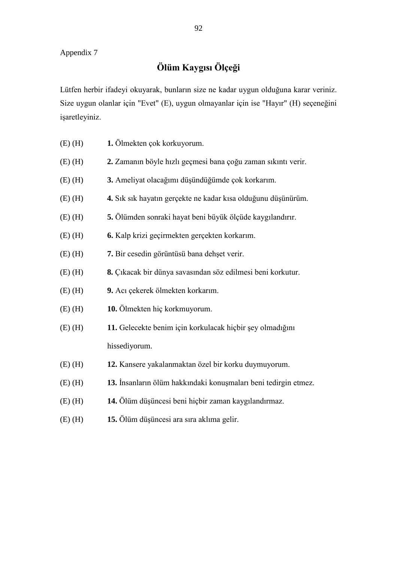# **Ölüm Kaygısı Ölçeği**

Lütfen herbir ifadeyi okuyarak, bunların size ne kadar uygun olduğuna karar veriniz. Size uygun olanlar için "Evet" (E), uygun olmayanlar için ise "Hayır" (H) seçeneğini işaretleyiniz.

- (E) (H) **1.** Ölmekten çok korkuyorum.
- (E) (H) **2.** Zamanın böyle hızlı geçmesi bana çoğu zaman sıkıntı verir.
- (E) (H) **3.** Ameliyat olacağımı düşündüğümde çok korkarım.
- (E) (H) **4.** Sık sık hayatın gerçekte ne kadar kısa olduğunu düşünürüm.
- (E) (H) **5.** Ölümden sonraki hayat beni büyük ölçüde kaygılandırır.
- (E) (H) **6.** Kalp krizi geçirmekten gerçekten korkarım.
- (E) (H) **7.** Bir cesedin görüntüsü bana dehşet verir.
- (E) (H) **8.** Çıkacak bir dünya savasından söz edilmesi beni korkutur.
- (E) (H) **9.** Acı çekerek ölmekten korkarım.
- (E) (H) **10.** Ölmekten hiç korkmuyorum.
- (E) (H) **11.** Gelecekte benim için korkulacak hiçbir şey olmadığını hissediyorum.
- (E) (H) **12.** Kansere yakalanmaktan özel bir korku duymuyorum.
- (E) (H) **13.** İnsanların ölüm hakkındaki konuşmaları beni tedirgin etmez.
- (E) (H) **14.** Ölüm düşüncesi beni hiçbir zaman kaygılandırmaz.
- (E) (H) **15.** Ölüm düşüncesi ara sıra aklıma gelir.